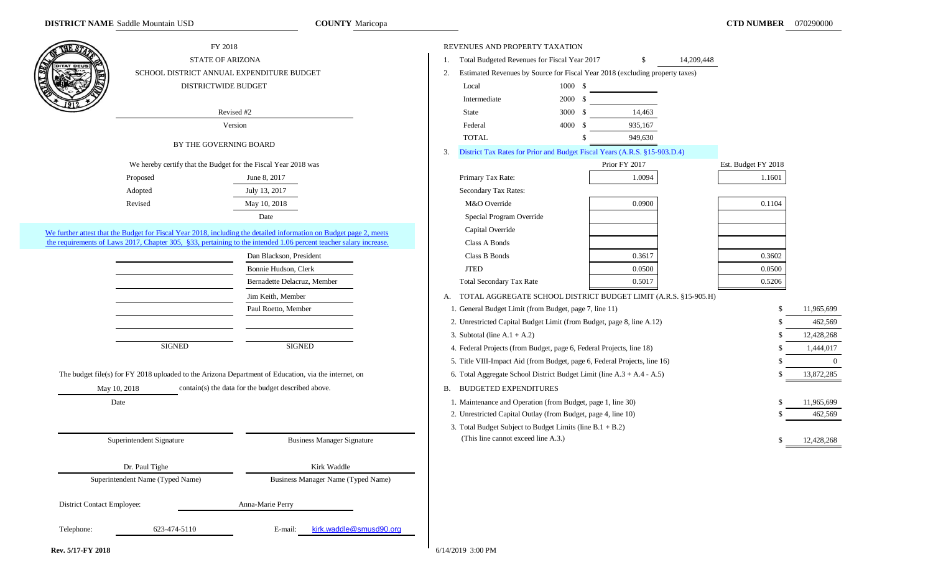**COUNTY** Maricopa

|                            | FY 2018                                                        |                                                                                                                    | REVENUES AND PROPERTY TAXATION                                |                                                                              |                     |            |
|----------------------------|----------------------------------------------------------------|--------------------------------------------------------------------------------------------------------------------|---------------------------------------------------------------|------------------------------------------------------------------------------|---------------------|------------|
| <b>ITAT DEU:</b>           | <b>STATE OF ARIZONA</b>                                        |                                                                                                                    | Total Budgeted Revenues for Fiscal Year 2017                  | 14,209,448<br>S                                                              |                     |            |
|                            |                                                                | SCHOOL DISTRICT ANNUAL EXPENDITURE BUDGET                                                                          | 2.                                                            | Estimated Revenues by Source for Fiscal Year 2018 (excluding property taxes) |                     |            |
|                            | DISTRICTWIDE BUDGET                                            |                                                                                                                    | Local                                                         | 1000 \$                                                                      |                     |            |
|                            |                                                                |                                                                                                                    | Intermediate                                                  | 2000 \$                                                                      |                     |            |
|                            |                                                                | Revised #2                                                                                                         | State                                                         | 14,463<br>3000 \$                                                            |                     |            |
|                            |                                                                | Version                                                                                                            | Federal                                                       | 4000 \$<br>935,167                                                           |                     |            |
|                            |                                                                |                                                                                                                    | <b>TOTAL</b>                                                  | 949,630                                                                      |                     |            |
|                            | BY THE GOVERNING BOARD                                         |                                                                                                                    | 3.                                                            | District Tax Rates for Prior and Budget Fiscal Years (A.R.S. §15-903.D.4)    |                     |            |
|                            | We hereby certify that the Budget for the Fiscal Year 2018 was |                                                                                                                    |                                                               | Prior FY 2017                                                                | Est. Budget FY 2018 |            |
|                            | Proposed                                                       | June 8, 2017                                                                                                       | Primary Tax Rate:                                             | 1.0094                                                                       | 1.1601              |            |
|                            | Adopted                                                        | July 13, 2017                                                                                                      | Secondary Tax Rates:                                          |                                                                              |                     |            |
|                            | Revised                                                        | May 10, 2018                                                                                                       | M&O Override                                                  | 0.0900                                                                       | 0.1104              |            |
|                            |                                                                | Date                                                                                                               | Special Program Override                                      |                                                                              |                     |            |
|                            |                                                                | We further attest that the Budget for Fiscal Year 2018, including the detailed information on Budget page 2, meets | Capital Override                                              |                                                                              |                     |            |
|                            |                                                                | the requirements of Laws 2017, Chapter 305, §33, pertaining to the intended 1.06 percent teacher salary increase.  | Class A Bonds                                                 |                                                                              |                     |            |
|                            |                                                                | Dan Blackson, President                                                                                            | Class B Bonds                                                 | 0.3617                                                                       | 0.3602              |            |
|                            |                                                                | Bonnie Hudson, Clerk                                                                                               | <b>JTED</b>                                                   | 0.0500                                                                       | 0.0500              |            |
|                            |                                                                | Bernadette Delacruz, Member                                                                                        | <b>Total Secondary Tax Rate</b>                               | 0.5017                                                                       | 0.5206              |            |
|                            |                                                                | Jim Keith, Member                                                                                                  |                                                               | A. TOTAL AGGREGATE SCHOOL DISTRICT BUDGET LIMIT (A.R.S. §15-905.H)           |                     |            |
|                            |                                                                | Paul Roetto, Member                                                                                                | 1. General Budget Limit (from Budget, page 7, line 11)        |                                                                              |                     | 11,965,699 |
|                            |                                                                |                                                                                                                    |                                                               | 2. Unrestricted Capital Budget Limit (from Budget, page 8, line A.12)        |                     | 462,569    |
|                            |                                                                |                                                                                                                    | 3. Subtotal (line $A.1 + A.2$ )                               |                                                                              |                     | 12,428,268 |
|                            | <b>SIGNED</b>                                                  | <b>SIGNED</b>                                                                                                      |                                                               | 4. Federal Projects (from Budget, page 6, Federal Projects, line 18)         |                     | 1,444,017  |
|                            |                                                                |                                                                                                                    |                                                               | 5. Title VIII-Impact Aid (from Budget, page 6, Federal Projects, line 16)    |                     | $\Omega$   |
|                            |                                                                | The budget file(s) for FY 2018 uploaded to the Arizona Department of Education, via the internet, on               |                                                               | 6. Total Aggregate School District Budget Limit (line A.3 + A.4 - A.5)       |                     | 13,872,285 |
|                            | May 10, 2018                                                   | contain(s) the data for the budget described above.                                                                | <b>B. BUDGETED EXPENDITURES</b>                               |                                                                              |                     |            |
|                            | Date                                                           |                                                                                                                    | 1. Maintenance and Operation (from Budget, page 1, line 30)   |                                                                              |                     | 11,965,699 |
|                            |                                                                |                                                                                                                    | 2. Unrestricted Capital Outlay (from Budget, page 4, line 10) |                                                                              |                     | 462,569    |
|                            |                                                                |                                                                                                                    | 3. Total Budget Subject to Budget Limits (line $B.1 + B.2$ )  |                                                                              |                     |            |
|                            | Superintendent Signature                                       | <b>Business Manager Signature</b>                                                                                  | (This line cannot exceed line A.3.)                           |                                                                              |                     | 12,428,268 |
|                            |                                                                | Kirk Waddle                                                                                                        |                                                               |                                                                              |                     |            |
|                            | Dr. Paul Tighe<br>Superintendent Name (Typed Name)             | <b>Business Manager Name (Typed Name)</b>                                                                          |                                                               |                                                                              |                     |            |
|                            |                                                                |                                                                                                                    |                                                               |                                                                              |                     |            |
| District Contact Employee: |                                                                | Anna-Marie Perry                                                                                                   |                                                               |                                                                              |                     |            |
| Telephone:                 | 623-474-5110                                                   | kirk.waddle@smusd90.org<br>E-mail:                                                                                 |                                                               |                                                                              |                     |            |
|                            |                                                                |                                                                                                                    |                                                               |                                                                              |                     |            |

**Rev. 5/17-FY 2018** 6/14/2019 3:00 PM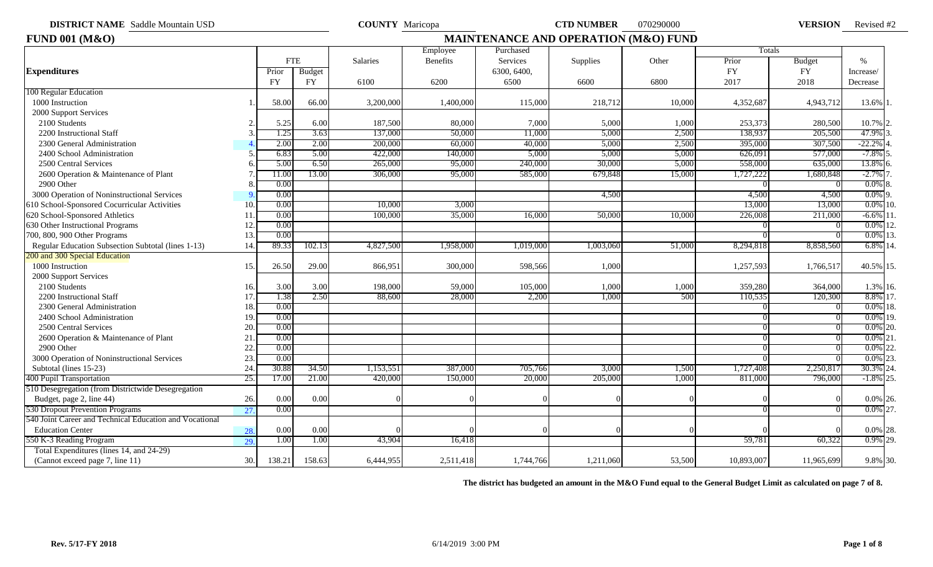**DISTRICT NAME COUNTY** Maricopa **CTD NUMBER** 070290000 **VERSION** Saddle Mountain USD

**VERSION** Revised #2

| <b>FUND 001 (M&amp;O)</b>                               |     |            |        |           |           |             | <b>MAINTENANCE AND OPERATION (M&amp;O) FUND</b> |        |            |               |              |
|---------------------------------------------------------|-----|------------|--------|-----------|-----------|-------------|-------------------------------------------------|--------|------------|---------------|--------------|
|                                                         |     |            |        |           | Employee  | Purchased   |                                                 |        | Totals     |               |              |
|                                                         |     | <b>FTE</b> |        | Salaries  | Benefits  | Services    | Supplies                                        | Other  | Prior      | <b>Budget</b> | $\%$         |
| <b>Expenditures</b>                                     |     | Prior      | Budget |           |           | 6300, 6400, |                                                 |        | <b>FY</b>  | <b>FY</b>     | Increase/    |
|                                                         |     | <b>FY</b>  | FY     | 6100      | 6200      | 6500        | 6600                                            | 6800   | 2017       | 2018          | Decrease     |
| 100 Regular Education                                   |     |            |        |           |           |             |                                                 |        |            |               |              |
| 1000 Instruction                                        |     | 58.00      | 66.00  | 3,200,00  | 1,400,000 | 115,000     | 218,712                                         | 10,000 | 4,352,687  | 4,943,712     | 13.6% 1.     |
| 2000 Support Services                                   |     |            |        |           |           |             |                                                 |        |            |               |              |
| 2100 Students                                           |     | 5.25       | 6.00   | 187,500   | 80,000    | 7,000       | 5,000                                           | 1,000  | 253,373    | 280,500       | 10.7% 2.     |
| 2200 Instructional Staff                                |     | 1.25       | 3.63   | 137,000   | 50,000    | 11.000      | 5,000                                           | 2,500  | 138,937    | 205,500       | 47.9%        |
| 2300 General Administration                             |     | 2.00       | 2.00   | 200,000   | 60,000    | 40,000      | 5,000                                           | 2,500  | 395,000    | 307,500       | $-22.2%$     |
| 2400 School Administration                              |     | 6.83       | 5.00   | 422,000   | 140,000   | 5,000       | 5,000                                           | 5,000  | 626,091    | 577,000       | $-7.8\%$ 5.  |
| 2500 Central Services                                   |     | 5.00       | 6.50   | 265,00    | 95,000    | 240,000     | 30,000                                          | 5,000  | 558,000    | 635,000       | 13.8%        |
| 2600 Operation & Maintenance of Plant                   |     | 11.00      | 13.00  | 306,000   | 95,000    | 585,000     | 679,848                                         | 15,000 | 1,727,222  | 1,680,848     | $-2.7%$      |
| 2900 Other                                              |     | 0.00       |        |           |           |             |                                                 |        |            |               | $0.0\%$ 8.   |
| 3000 Operation of Noninstructional Services             |     | 0.00       |        |           |           |             | 4,500                                           |        | 4,500      | 4,500         | $0.0\%$ 9.   |
| 610 School-Sponsored Cocurricular Activities            | 10  | 0.00       |        | 10,00     | 3,000     |             |                                                 |        | 13,000     | 13,000        | $0.0\%$ 10   |
| 620 School-Sponsored Athletics                          | 11  | 0.00       |        | 100,000   | 35,000    | 16,000      | 50,000                                          | 10.000 | 226,008    | 211,000       | $-6.6\%$ 11  |
| 630 Other Instructional Programs                        | 12  | 0.00       |        |           |           |             |                                                 |        |            |               | $0.0\%$ 12   |
| 700, 800, 900 Other Programs                            | 13  | 0.00       |        |           |           |             |                                                 |        |            |               | $0.0\%$ 13.  |
| Regular Education Subsection Subtotal (lines 1-13)      | 14. | 89.33      | 102.13 | 4,827,500 | 1,958,000 | 1,019,000   | 1,003,060                                       | 51,000 | 8,294,818  | 8,858,560     | $6.8\%$ 14.  |
| 200 and 300 Special Education                           |     |            |        |           |           |             |                                                 |        |            |               |              |
| 1000 Instruction                                        | 15. | 26.50      | 29.00  | 866,951   | 300,000   | 598,566     | 1,000                                           |        | 1,257,593  | 1,766,517     | 40.5% 15.    |
| 2000 Support Services                                   |     |            |        |           |           |             |                                                 |        |            |               |              |
| 2100 Students                                           | 16. | 3.00       | 3.00   | 198,000   | 59,000    | 105,000     | 1,000                                           | 1,000  | 359,280    | 364,000       | 1.3% 16.     |
| 2200 Instructional Staff                                | 17  | 1.38       | 2.50   | 88,600    | 28,000    | 2,200       | 1,000                                           | -500   | 110,535    | 120,300       | 8.8% 17.     |
| 2300 General Administration                             | 18  | 0.00       |        |           |           |             |                                                 |        |            |               | $0.0\%$ 18.  |
| 2400 School Administration                              | 19  | 0.00       |        |           |           |             |                                                 |        |            |               | $0.0\%$ 19.  |
| 2500 Central Services                                   | 20  | 0.00       |        |           |           |             |                                                 |        |            |               | $0.0\%$ 20.  |
| 2600 Operation & Maintenance of Plant                   | 21  | 0.00       |        |           |           |             |                                                 |        |            |               | 0.0%<br>21   |
| 2900 Other                                              | 22  | 0.00       |        |           |           |             |                                                 |        |            |               | 22<br>0.0%   |
| 3000 Operation of Noninstructional Services             | 23  | 0.00       |        |           |           |             |                                                 |        |            |               | 23.<br>0.0%  |
| Subtotal (lines 15-23)                                  | 24  | 30.88      | 34.50  | 1,153,551 | 387,000   | 705,766     | 3,000                                           | 1,500  | 1,727,408  | 2,250,817     | 30.3% 24     |
| 400 Pupil Transportation                                | 25. | 17.00      | 21.00  | 420,000   | 150,000   | 20,000      | 205,000                                         | 1,000  | 811,000    | 796,000       | $-1.8\%$ 25. |
| 510 Desegregation (from Districtwide Desegregation      |     |            |        |           |           |             |                                                 |        |            |               |              |
| Budget, page 2, line 44)                                | 26. | 0.00       | 0.00   |           |           |             |                                                 |        |            |               | $0.0\%$ 26.  |
| 530 Dropout Prevention Programs                         | 27  | 0.00       |        |           |           |             |                                                 |        |            |               | $0.0\%$ 27.  |
| 540 Joint Career and Technical Education and Vocational |     |            |        |           |           |             |                                                 |        |            |               |              |
| <b>Education Center</b>                                 | 28. | 0.00       | 0.00   |           |           |             |                                                 |        |            |               | $0.0\%$ 28.  |
| 550 K-3 Reading Program                                 | 29. | 1.00       | 1.00   | 43,904    | 16,418    |             |                                                 |        | 59,781     | 60,322        | 0.9% 29.     |
| Total Expenditures (lines 14, and 24-29)                |     |            |        |           |           |             |                                                 |        |            |               |              |
| (Cannot exceed page 7, line 11)                         | 30. | 138.21     | 158.63 | 6,444,955 | 2,511,418 | 1,744,766   | 1,211,060                                       | 53,500 | 10,893,007 | 11,965,699    | 9.8% 30.     |

**The district has budgeted an amount in the M&O Fund equal to the General Budget Limit as calculated on page 7 of 8.**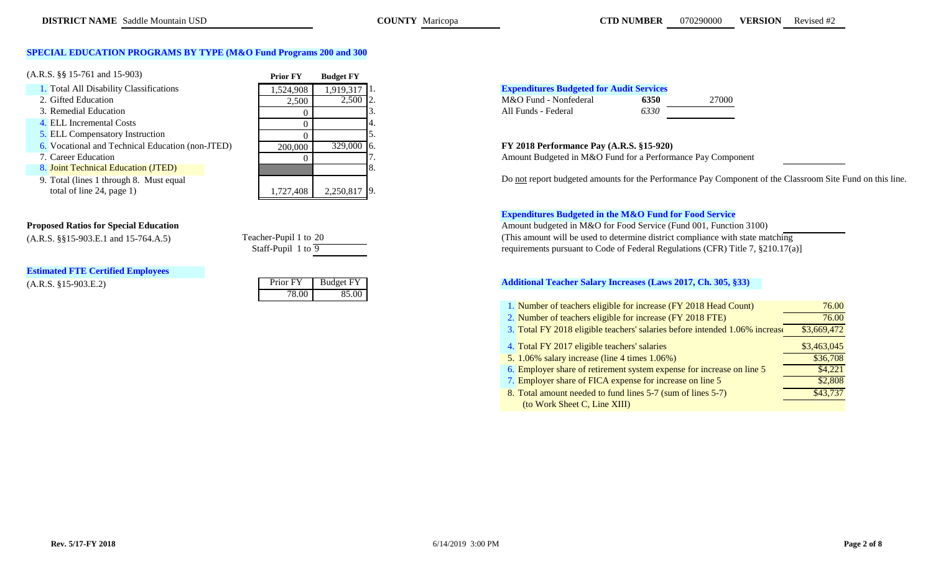# **SPECIAL EDUCATION PROGRAMS BY TYPE (M&O Fund Programs 200 and 300)**

| $(A.R.S. \S\$ 15-761 and 15-903)$                  | <b>Prior FY</b>                                                                                                                                                                                                                                                                                                                                                                                                                                                                 | <b>Budget FY</b>                                 |                                                            |
|----------------------------------------------------|---------------------------------------------------------------------------------------------------------------------------------------------------------------------------------------------------------------------------------------------------------------------------------------------------------------------------------------------------------------------------------------------------------------------------------------------------------------------------------|--------------------------------------------------|------------------------------------------------------------|
| 1. Total All Disability Classifications            | 1.524.908                                                                                                                                                                                                                                                                                                                                                                                                                                                                       | $1,919,317$ 1.                                   | <b>Expenditures Budgeted for Audit Services</b>            |
| 2. Gifted Education                                | 2,500                                                                                                                                                                                                                                                                                                                                                                                                                                                                           | $2,500$ 2.                                       | M&O Fund - Nonfederal<br>6350                              |
| 3. Remedial Education                              |                                                                                                                                                                                                                                                                                                                                                                                                                                                                                 |                                                  | 6330<br>All Funds - Federal                                |
| 4. ELL Incremental Costs                           |                                                                                                                                                                                                                                                                                                                                                                                                                                                                                 |                                                  |                                                            |
| 5. ELL Compensatory Instruction                    |                                                                                                                                                                                                                                                                                                                                                                                                                                                                                 |                                                  |                                                            |
| 6. Vocational and Technical Education (non-JTED)   | 200,000                                                                                                                                                                                                                                                                                                                                                                                                                                                                         | 329,000 6.                                       | FY 2018 Performance Pay (A.R.S. §15-920)                   |
| 7. Career Education                                |                                                                                                                                                                                                                                                                                                                                                                                                                                                                                 |                                                  | Amount Budgeted in M&O Fund for a Performance Pay Comp     |
| 8. Joint Technical Education (JTED)                |                                                                                                                                                                                                                                                                                                                                                                                                                                                                                 |                                                  |                                                            |
| 9. Total (lines 1 through 8. Must equal            |                                                                                                                                                                                                                                                                                                                                                                                                                                                                                 |                                                  | Do not report budgeted amounts for the Performance Pay Com |
| $\cdots$ 1 $\cdots$ $\alpha$ 1 $\cdots$ 1 $\cdots$ | $\overline{\phantom{a}}$ $\overline{\phantom{a}}$ $\overline{\phantom{a}}$ $\overline{\phantom{a}}$ $\overline{\phantom{a}}$ $\overline{\phantom{a}}$ $\overline{\phantom{a}}$ $\overline{\phantom{a}}$ $\overline{\phantom{a}}$ $\overline{\phantom{a}}$ $\overline{\phantom{a}}$ $\overline{\phantom{a}}$ $\overline{\phantom{a}}$ $\overline{\phantom{a}}$ $\overline{\phantom{a}}$ $\overline{\phantom{a}}$ $\overline{\phantom{a}}$ $\overline{\phantom{a}}$ $\overline{\$ | $\sim$ $\sim$ $\sim$ $\sim$ $\sim$ $\sim$ $\sim$ |                                                            |

total of line 24, page 1)  $1,727,408$   $2,250,817$  9.

# **Estimated FTE Certified Employees**

 $(A.R.S. §15-903.E.2)$ 

| Prior FY | <b>Budget FY</b> |
|----------|------------------|
| 78.00    | 85.00            |

| <b>Expenditures Budgeted for Audit Services</b> |      |       |
|-------------------------------------------------|------|-------|
| M&O Fund - Nonfederal                           | 6350 | 27000 |
| All Funds - Federal                             | 6330 |       |

# 6. Vocational and Technical Education (non-JTED) 200,000 329,000 6. **FY 2018 Performance Pay (A.R.S. §15-920)**

Amount Budgeted in M&O Fund for a Performance Pay Component

Do not report budgeted amounts for the Performance Pay Component of the Classroom Site Fund on this line.

## **Expenditures Budgeted in the M&O Fund for Food Service**

**Proposed Ratios for Special Education Amount budgeted in M&O for Food Service (Fund 001, Function 3100)** (A.R.S.  $\S 15-903.E.1$  and  $15-764.A.5$ ) Teacher-Pupil 1 to 20 (This amount will be used to determine district compliance with state matching requirements pursuant to Code of Federal Regulations (CFR) Title 7,  $\S 210.17(a)$ requirements pursuant to Code of Federal Regulations (CFR) Title 7, §210.17(a)]

# **Additional Teacher Salary Increases (Laws 2017, Ch. 305, §33)**

| 1. Number of teachers eligible for increase (FY 2018 Head Count)            | 76.00       |
|-----------------------------------------------------------------------------|-------------|
| 2. Number of teachers eligible for increase (FY 2018 FTE)                   | 76.00       |
| 3. Total FY 2018 eligible teachers' salaries before intended 1.06% increase | \$3,669,472 |
| 4. Total FY 2017 eligible teachers' salaries                                | \$3,463,045 |
| 5. $1.06\%$ salary increase (line 4 times $1.06\%$ )                        | \$36,708    |
| 6. Employer share of retirement system expense for increase on line 5       | \$4,221     |
| 7. Employer share of FICA expense for increase on line 5                    | \$2,808     |
| 8. Total amount needed to fund lines 5-7 (sum of lines 5-7)                 | \$43,737    |
| (to Work Sheet C, Line XIII)                                                |             |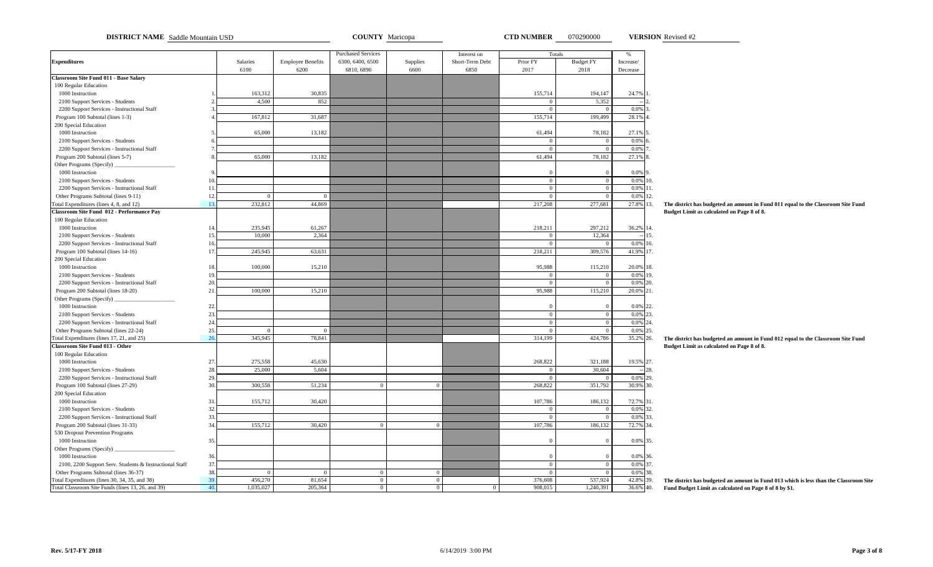| <b>DISTRICT NAME</b> Saddle Mountain USD                                        |                |                      |                          | <b>COUNTY</b> Maricopa    |                |                                | <b>CTD NUMBER</b>  | 070290000            |                    | <b>VERSION</b> Revised #2                                                                    |
|---------------------------------------------------------------------------------|----------------|----------------------|--------------------------|---------------------------|----------------|--------------------------------|--------------------|----------------------|--------------------|----------------------------------------------------------------------------------------------|
|                                                                                 |                |                      |                          | <b>Purchased Services</b> |                |                                |                    |                      |                    |                                                                                              |
| <b>Expenditures</b>                                                             |                | Salaries             | <b>Employee Benefits</b> | 6300, 6400, 6500          | Supplies       | Interest on<br>Short-Term Debt | Totals<br>Prior FY | <b>Budget FY</b>     | $\%$<br>Increase/  |                                                                                              |
|                                                                                 |                | 6100                 | 6200                     | 6810, 6890                | 6600           | 6850                           | 2017               | 2018                 | Decrease           |                                                                                              |
| <b>Classroom Site Fund 011 - Base Salary</b>                                    |                |                      |                          |                           |                |                                |                    |                      |                    |                                                                                              |
| 100 Regular Education                                                           |                |                      |                          |                           |                |                                |                    |                      |                    |                                                                                              |
| 1000 Instruction                                                                |                | 163,312              | 30,835                   |                           |                |                                | 155,714            | 194,147              | 24.7%              |                                                                                              |
| 2100 Support Services - Students                                                |                | 4.500                | 852                      |                           |                |                                | $\Omega$           | 5.352                |                    |                                                                                              |
| 2200 Support Services - Instructional Staff                                     |                |                      |                          |                           |                |                                | $\theta$           | $\Omega$             | 0.0%               |                                                                                              |
| Program 100 Subtotal (lines 1-3)                                                |                | 167,812              | 31,687                   |                           |                |                                | 155,714            | 199,499              | 28.1%              |                                                                                              |
| 200 Special Education                                                           |                |                      |                          |                           |                |                                |                    |                      |                    |                                                                                              |
| 1000 Instruction                                                                |                | 65,000               | 13,182                   |                           |                |                                | 61,494             | 78,182               | 27.1%              |                                                                                              |
| 2100 Support Services - Students                                                |                |                      |                          |                           |                |                                | $\Omega$           | $\overline{0}$       | 0.0%               |                                                                                              |
| 2200 Support Services - Instructional Staff                                     |                |                      |                          |                           |                |                                | $\overline{0}$     | $\overline{0}$       | 0.0%               |                                                                                              |
| Program 200 Subtotal (lines 5-7)                                                |                | 65,000               | 13,182                   |                           |                |                                | 61,494             | 78,182               | 27.1%              |                                                                                              |
| Other Programs (Specify)                                                        |                |                      |                          |                           |                |                                |                    |                      |                    |                                                                                              |
| 1000 Instruction                                                                |                |                      |                          |                           |                |                                | $\Omega$           | $\Omega$             | 0.0%               |                                                                                              |
| 2100 Support Services - Students                                                |                |                      |                          |                           |                |                                | $\mathbf{0}$       | $\overline{0}$       | 0.0%               | 10.                                                                                          |
| 2200 Support Services - Instructional Staff                                     | 11             |                      |                          |                           |                |                                | $\overline{0}$     | $\overline{0}$       | 0.0%               | 11.                                                                                          |
| Other Programs Subtotal (lines 9-11)                                            | 12             | $\Omega$             | $\Omega$                 |                           |                |                                | $\overline{0}$     | $\Omega$             | 0.0%               | 12.                                                                                          |
| Total Expenditures (lines 4, 8, and 12)                                         | 13.            | 232,812              | 44,869                   |                           |                |                                | 217,208            | 277,681              | 27.8% 13.          | The district has budgeted an amount in Fund 011 equal to the Classroom Site Fund             |
| Classroom Site Fund 012 - Performance Pay                                       |                |                      |                          |                           |                |                                |                    |                      |                    | Budget Limit as calculated on Page 8 of 8.                                                   |
| 100 Regular Education                                                           |                |                      |                          |                           |                |                                |                    |                      |                    |                                                                                              |
| 1000 Instruction                                                                | 14             | 235,945              | 61,267                   |                           |                |                                | 218,211            | 297,212              | 36.2% 14.          |                                                                                              |
| 2100 Support Services - Students                                                | 15             | 10,000               | 2,364                    |                           |                |                                | $\overline{0}$     | 12,364               |                    | 15.                                                                                          |
| 2200 Support Services - Instructional Staff                                     | 16             |                      |                          |                           |                |                                | $\overline{0}$     | $\overline{0}$       | 0.0%               | 16.                                                                                          |
| Program 100 Subtotal (lines 14-16)                                              | 17             | 245,945              | 63,631                   |                           |                |                                | 218,211            | 309,576              | 41.9% 17.          |                                                                                              |
| 200 Special Education                                                           |                |                      |                          |                           |                |                                |                    |                      |                    |                                                                                              |
| 1000 Instruction                                                                | 18             | 100,000              | 15,210                   |                           |                |                                | 95,988             | 115,210              | 20.0% 18.          |                                                                                              |
| 2100 Support Services - Students                                                | 1 <sup>1</sup> |                      |                          |                           |                |                                | $\Omega$           | $\overline{0}$       | 0.0%               | 19.                                                                                          |
| 2200 Support Services - Instructional Staff                                     | 20             |                      |                          |                           |                |                                | $\overline{0}$     | $\overline{0}$       | 0.0%               | 20.                                                                                          |
| Program 200 Subtotal (lines 18-20)                                              | 21             | 100,000              | 15,210                   |                           |                |                                | 95,988             | 115,210              | 20.0% 21.          |                                                                                              |
| Other Programs (Specify)                                                        | 22.            |                      |                          |                           |                |                                | $\Omega$           | $\Omega$             |                    |                                                                                              |
| 1000 Instruction                                                                | 23.            |                      |                          |                           |                |                                | $\overline{0}$     | $\overline{0}$       | $0.0\%$<br>$0.0\%$ | 22.<br>23.                                                                                   |
| 2100 Support Services - Students<br>2200 Support Services - Instructional Staff | 24             |                      |                          |                           |                |                                | $\mathbf{0}$       | $\overline{0}$       | 0.0% 24.           |                                                                                              |
| Other Programs Subtotal (lines 22-24)                                           | 25             | $\Omega$             | $\Omega$                 |                           |                |                                | $\mathbf{0}$       | $\overline{0}$       | 0.0%               | 25.                                                                                          |
| Total Expenditures (lines 17, 21, and 25)                                       | 26             | 345,945              | 78,841                   |                           |                |                                | 314,199            | 424,786              | 35.2%              | The district has budgeted an amount in Fund 012 equal to the Classroom Site Fund<br>26.      |
| <b>Classroom Site Fund 013 - Other</b>                                          |                |                      |                          |                           |                |                                |                    |                      |                    | Budget Limit as calculated on Page 8 of 8.                                                   |
| 100 Regular Education                                                           |                |                      |                          |                           |                |                                |                    |                      |                    |                                                                                              |
| 1000 Instruction                                                                | 27.            | 275,558              | 45,630                   |                           |                |                                | 268,822            | 321,188              | 19.5% 27.          |                                                                                              |
| 2100 Support Services - Students                                                | 28.            | 25,000               | 5,604                    |                           |                |                                | $\Omega$           | 30,604               |                    | 28.                                                                                          |
| 2200 Support Services - Instructional Staff                                     | 29             |                      |                          |                           |                |                                | $\mathbf{0}$       | $\overline{0}$       | 0.0% 29.           |                                                                                              |
| Program 100 Subtotal (lines 27-29)                                              | 30             | 300,558              | 51,234                   | $\Omega$                  | $\overline{0}$ |                                | 268,822            | 351,792              | 30.9%              | 30.                                                                                          |
| 200 Special Education                                                           |                |                      |                          |                           |                |                                |                    |                      |                    |                                                                                              |
| 1000 Instruction                                                                | 31             | 155,712              | 30,420                   |                           |                |                                | 107,786            | 186,132              | 72.7%              | 31.                                                                                          |
| 2100 Support Services - Students                                                | 32             |                      |                          |                           |                |                                | $\Omega$           | $\theta$             | 0.0%               | 32.                                                                                          |
| 2200 Support Services - Instructional Staff                                     | 33.            |                      |                          |                           |                |                                | $\mathbf{0}$       | $\Omega$             | 0.0%               | 33.                                                                                          |
| Program 200 Subtotal (lines 31-33)                                              | 34             | 155,712              | 30,420                   | $\Omega$                  | $\overline{0}$ |                                | 107,786            | 186,132              | 72.7%              | 34.                                                                                          |
| 530 Dropout Prevention Programs                                                 |                |                      |                          |                           |                |                                |                    |                      |                    |                                                                                              |
| 1000 Instruction                                                                | 35.            |                      |                          |                           |                |                                | $\Omega$           | $\Omega$             | 0.0%               | 35.                                                                                          |
| Other Programs (Specify)                                                        |                |                      |                          |                           |                |                                |                    |                      |                    |                                                                                              |
| 1000 Instruction                                                                | 36             |                      |                          |                           |                |                                | $\Omega$           | $\Omega$             | 0.0% 36.           |                                                                                              |
| 2100, 2200 Support Serv. Students & Instructional Staff                         | 37             |                      |                          |                           |                |                                | $\boldsymbol{0}$   | $\overline{0}$       | 0.0% 37.           |                                                                                              |
| Other Programs Subtotal (lines 36-37)                                           | 38.            | $\Omega$             | $\overline{0}$           | $\overline{0}$            | $\overline{0}$ |                                | $\overline{0}$     | $\overline{0}$       | 0.0% 38.           |                                                                                              |
| Total Expenditures (lines 30, 34, 35, and 38)                                   | 39             | 456,270<br>1,035,027 | 81,654<br>205,364        | $\overline{0}$            | $\overline{0}$ |                                | 376,608            | 537,924<br>1,240,391 | 42.8%              | The district has budgeted an amount in Fund 013 which is less than the Classroom Site<br>39. |
| Total Classroom Site Funds (lines 13, 26, and 39)                               | 40.            |                      |                          | $\overline{0}$            | $\overline{0}$ | $\overline{0}$                 | 908,015            |                      | 36.6% 40.          | Fund Budget Limit as calculated on Page 8 of 8 by \$1.                                       |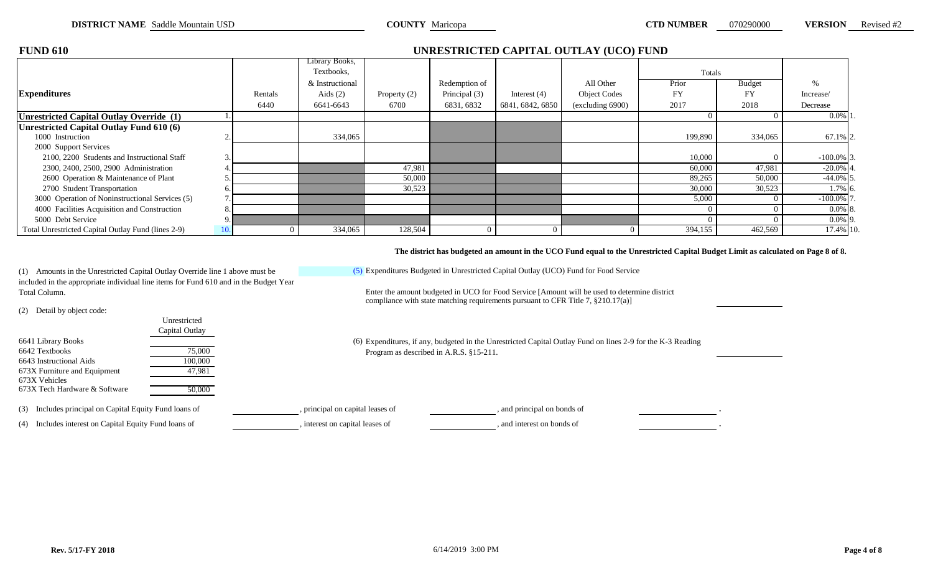| <b>FUND 610</b>                                    |     |         |                 |              |               |                  | UNRESTRICTED CAPITAL OUTLAY (UCO) FUND |           |               |               |
|----------------------------------------------------|-----|---------|-----------------|--------------|---------------|------------------|----------------------------------------|-----------|---------------|---------------|
|                                                    |     |         | Library Books,  |              |               |                  |                                        |           |               |               |
|                                                    |     |         | Textbooks,      |              |               |                  |                                        | Totals    |               |               |
|                                                    |     |         | & Instructional |              | Redemption of |                  | All Other                              | Prior     | <b>Budget</b> | $\%$          |
| <b>Expenditures</b>                                |     | Rentals | Aids $(2)$      | Property (2) | Principal (3) | Interest $(4)$   | <b>Object Codes</b>                    | <b>FY</b> | FY            | Increase/     |
|                                                    |     | 6440    | 6641-6643       | 6700         | 6831, 6832    | 6841, 6842, 6850 | (excluding 6900)                       | 2017      | 2018          | Decrease      |
| Unrestricted Capital Outlay Override (1)           |     |         |                 |              |               |                  |                                        |           |               | $0.0\%$ 1     |
| <b>Inrestricted Capital Outlay Fund 610 (6)</b>    |     |         |                 |              |               |                  |                                        |           |               |               |
| 1000 Instruction                                   |     |         | 334,065         |              |               |                  |                                        | 199,890   | 334,065       | 67.1% 2.      |
| 2000 Support Services                              |     |         |                 |              |               |                  |                                        |           |               |               |
| 2100, 2200 Students and Instructional Staff        | 3.  |         |                 |              |               |                  |                                        | 10,000    |               | $-100.0\%$ 3. |
| 2300, 2400, 2500, 2900 Administration              |     |         |                 | 47,981       |               |                  |                                        | 60,000    | 47,981        | $-20.0\%$ 4.  |
| 2600 Operation & Maintenance of Plant              |     |         |                 | 50,000       |               |                  |                                        | 89,265    | 50,000        | $-44.0\%$ 5.  |
| 2700 Student Transportation                        | b.  |         |                 | 30,523       |               |                  |                                        | 30,000    | 30,523        | 1.7% 6.       |
| 3000 Operation of Noninstructional Services (5)    |     |         |                 |              |               |                  |                                        | 5,000     |               | $-100.0\%$ 7  |
| 4000 Facilities Acquisition and Construction       | 8.  |         |                 |              |               |                  |                                        |           |               | $0.0\%$ 8.    |
| 5000 Debt Service                                  | 9.  |         |                 |              |               |                  |                                        |           |               | $0.0\%$ 9.    |
| Total Unrestricted Capital Outlay Fund (lines 2-9) | 10. |         | 334,065         | 128,504      |               |                  |                                        | 394,155   | 462,569       | 17.4% 10.     |

**The district has budgeted an amount in the UCO Fund equal to the Unrestricted Capital Budget Limit as calculated on Page 8 of 8.**

(5) Expenditures Budgeted in Unrestricted Capital Outlay (UCO) Fund for Food Service

(1) Amounts in the Unrestricted Capital Outlay Override line 1 above must be included in the appropriate individual line items for Fund 610 and in the Budget Year

(2) Detail by object code:

| Unrestricted   |     |
|----------------|-----|
| Capital Outlay |     |
|                | (6) |
| 75,000         |     |
| 100,000        |     |
| 47.981         |     |
|                |     |
| 50,000         |     |
|                |     |
|                |     |

(3) Includes principal on Capital Equity Fund loans of , principal on capital leases of , and principal on bonds of .

(4) Includes interest on Capital Equity Fund loans of , interest on capital leases of , and interest on bonds of

compliance with state matching requirements pursuant to CFR Title 7, §210.17(a)] Total Column. Enter the amount budgeted in UCO for Food Service [Amount will be used to determine district

> Expenditures, if any, budgeted in the Unrestricted Capital Outlay Fund on lines 2-9 for the K-3 Reading Program as described in A.R.S. §15-211.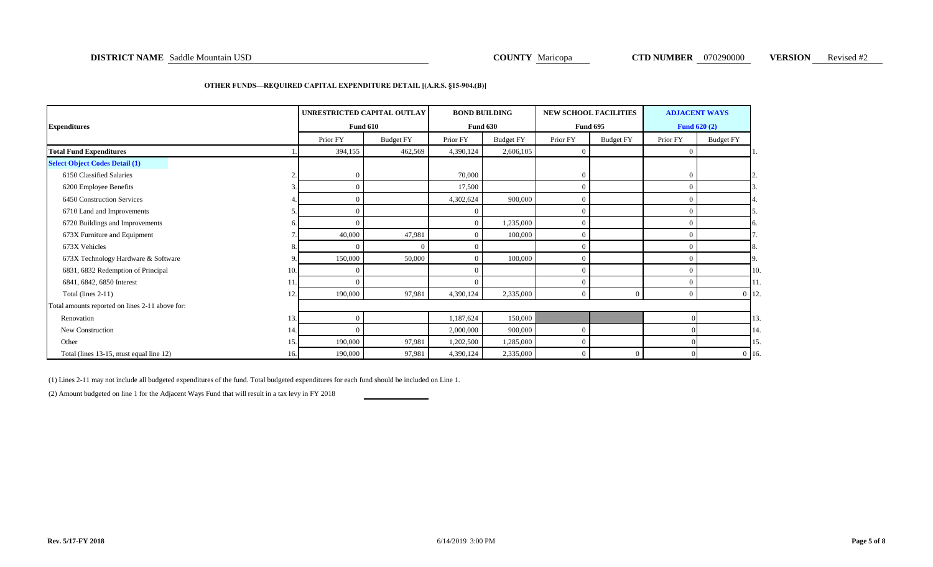### **DISTRICT NAME** Saddle Mountain USD **COUNTY Maricopa COUNTY Maricopa CTD NUMBER** 070290000 **VERSION** Revised #2

### **OTHER FUNDS—REQUIRED CAPITAL EXPENDITURE DETAIL [(A.R.S. §15-904.(B)]**

|                                                 |                |            | UNRESTRICTED CAPITAL OUTLAY |           | <b>BOND BUILDING</b> |                | <b>NEW SCHOOL FACILITIES</b> |                | <b>ADJACENT WAYS</b> |         |
|-------------------------------------------------|----------------|------------|-----------------------------|-----------|----------------------|----------------|------------------------------|----------------|----------------------|---------|
| <b>Expenditures</b>                             |                |            | <b>Fund 610</b>             |           | <b>Fund 630</b>      |                | <b>Fund 695</b>              |                | <b>Fund 620 (2)</b>  |         |
|                                                 |                | Prior FY   | <b>Budget FY</b>            | Prior FY  | <b>Budget FY</b>     | Prior FY       | <b>Budget FY</b>             | Prior FY       | <b>Budget FY</b>     |         |
| <b>Total Fund Expenditures</b>                  |                | 394,155    | 462,569                     | 4,390,124 | 2,606,105            | $\overline{0}$ |                              | $\Omega$       |                      | -1.     |
| <b>Select Object Codes Detail (1)</b>           |                |            |                             |           |                      |                |                              |                |                      |         |
| 6150 Classified Salaries                        | $\overline{2}$ | $\Omega$   |                             | 70,000    |                      | $\overline{0}$ |                              | $\Omega$       |                      |         |
| 6200 Employee Benefits                          |                | $\Omega$   |                             | 17,500    |                      | $\overline{0}$ |                              | $\Omega$       |                      |         |
| 6450 Construction Services                      |                | $\sqrt{ }$ |                             | 4,302,624 | 900,000              | $\overline{0}$ |                              | $\Omega$       |                      |         |
| 6710 Land and Improvements                      |                | $\Omega$   |                             | $\Omega$  |                      | $\overline{0}$ |                              | $\Omega$       |                      |         |
| 6720 Buildings and Improvements                 | 6              | $\sqrt{ }$ |                             | $\Omega$  | 1,235,000            | $\overline{0}$ |                              | $\Omega$       |                      |         |
| 673X Furniture and Equipment                    |                | 40,000     | 47,981                      |           | 100,000              | $\overline{0}$ |                              | $\Omega$       |                      |         |
| 673X Vehicles                                   | 8              |            | $\Omega$                    |           |                      | $\overline{0}$ |                              | $\Omega$       |                      | 8.      |
| 673X Technology Hardware & Software             | 9              | 150,000    | 50,000                      |           | 100,000              | $\overline{0}$ |                              | $\Omega$       |                      | 9       |
| 6831, 6832 Redemption of Principal              | 10.            | C          |                             | $\Omega$  |                      | $\overline{0}$ |                              | $\Omega$       |                      | 10.     |
| 6841, 6842, 6850 Interest                       |                | $\Omega$   |                             |           |                      | $\overline{0}$ |                              | $\overline{0}$ |                      | 11.     |
| Total (lines 2-11)                              | 12.            | 190,000    | 97,981                      | 4,390,124 | 2,335,000            | $\overline{0}$ | $\overline{0}$               | $\Omega$       |                      | $0$ 12. |
| Total amounts reported on lines 2-11 above for: |                |            |                             |           |                      |                |                              |                |                      |         |
| Renovation                                      | 13.            | $\Omega$   |                             | 1,187,624 | 150,000              |                |                              |                |                      | 13.     |
| New Construction                                | 14.            | $\Omega$   |                             | 2,000,000 | 900,000              | $\overline{0}$ |                              |                |                      | 14.     |
| Other                                           | 15.            | 190,000    | 97,981                      | 1,202,500 | 1,285,000            | $\overline{0}$ |                              |                |                      | 15.     |
| Total (lines 13-15, must equal line 12)         | 16.            | 190,000    | 97,981                      | 4,390,124 | 2,335,000            | $\overline{0}$ | $\overline{0}$               |                |                      | $0$ 16. |

(1) Lines 2-11 may not include all budgeted expenditures of the fund. Total budgeted expenditures for each fund should be included on Line 1.

(2) Amount budgeted on line 1 for the Adjacent Ways Fund that will result in a tax levy in FY 2018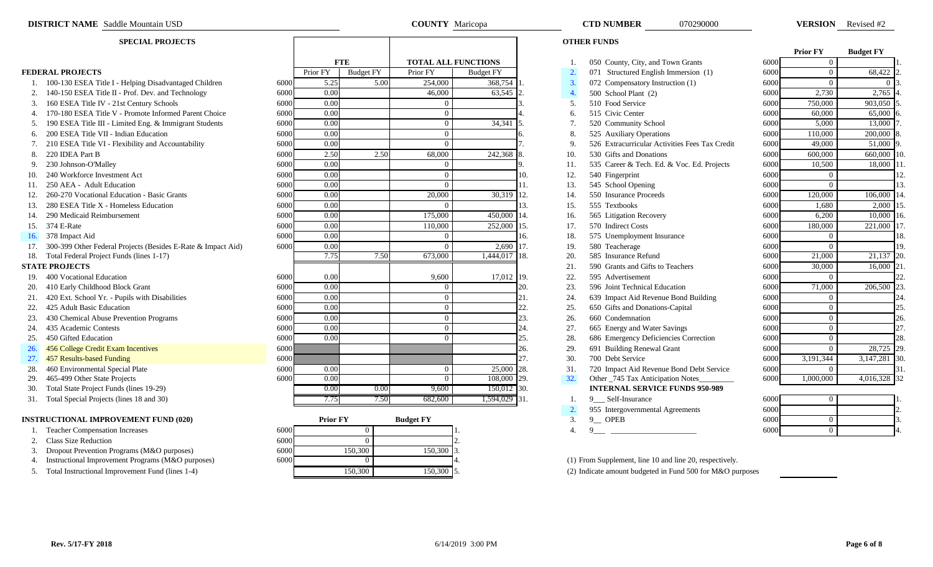|            |                                                                  |      |                 |                  |      |                            |                  |     |                  |                                                |      | <b>Prior FY</b> | <b>Budget FY</b> |     |
|------------|------------------------------------------------------------------|------|-----------------|------------------|------|----------------------------|------------------|-----|------------------|------------------------------------------------|------|-----------------|------------------|-----|
|            |                                                                  |      |                 | <b>FTE</b>       |      | <b>TOTAL ALL FUNCTIONS</b> |                  |     |                  | 050 County, City, and Town Grants              | 6000 | $\Omega$        |                  |     |
|            | <b>FEDERAL PROJECTS</b>                                          |      | Prior FY        | <b>Budget FY</b> |      | Prior FY                   | <b>Budget FY</b> |     | 2.               | 071 Structured English Immersion (1)           | 6000 | $\theta$        | 68,422 2         |     |
|            | 100-130 ESEA Title I - Helping Disadvantaged Children            | 6000 | 5.25            |                  | 5.00 | 254,000                    | 368,754 1        |     | $\overline{3}$ . | 072 Compensatory Instruction (1)               | 6000 | $\Omega$        |                  |     |
|            | 2. 140-150 ESEA Title II - Prof. Dev. and Technology             | 6000 | 0.00            |                  |      | 46,000                     | 63,545           |     | $\overline{4}$ . | 500 School Plant (2)                           | 6000 | 2,730           | 2,765            |     |
|            | 3. 160 ESEA Title IV - 21st Century Schools                      | 6000 | 0.00            |                  |      | $\Omega$                   |                  |     | -5.              | 510 Food Service                               | 6000 | 750,000         | 903,050          |     |
|            | 4. 170-180 ESEA Title V - Promote Informed Parent Choice         | 6000 | 0.00            |                  |      | $\Omega$                   |                  |     | 6.               | 515 Civic Center                               | 6000 | 60,000          | 65,000           |     |
|            | 190 ESEA Title III - Limited Eng. & Immigrant Students           | 6000 | 0.00            |                  |      | 0                          | 34,341           |     | 7 <sub>1</sub>   | 520 Community School                           | 6000 | 5.000           | 13,000           |     |
|            | 6. 200 ESEA Title VII - Indian Education                         | 6000 | 0.00            |                  |      | $\Omega$                   |                  |     | 8                | 525 Auxiliary Operations                       | 6000 | 110,000         | 200,000          |     |
|            | 210 ESEA Title VI - Flexibility and Accountability               | 6000 | 0.00            |                  |      | $\Omega$                   |                  |     | -9               | 526 Extracurricular Activities Fees Tax Credit | 6000 | 49,000          | 51,000           |     |
| 8.         | 220 IDEA Part B                                                  | 6000 | 2.50            |                  | 2.50 | 68,000                     | 242,368          |     | 10.              | 530 Gifts and Donations                        | 6000 | 600,000         | 660,000          |     |
| 9.         | 230 Johnson-O'Malley                                             | 6000 | 0.00            |                  |      | $\Omega$                   |                  |     | 11.              | 535 Career & Tech. Ed. & Voc. Ed. Projects     | 6000 | 10,500          | 18,000           |     |
| 10.        | 240 Workforce Investment Act                                     | 6000 | 0.00            |                  |      | $\Omega$                   |                  | 10. | 12.              | 540 Fingerprint                                | 6000 | $\theta$        |                  | 12. |
|            | 250 AEA - Adult Education                                        | 6000 | 0.00            |                  |      | $\Omega$                   |                  |     | 13.              | 545 School Opening                             | 6000 | $\theta$        |                  | 13. |
|            | 260-270 Vocational Education - Basic Grants                      | 6000 | 0.00            |                  |      | 20,000                     | 30,319           | 12. | 14.              | 550 Insurance Proceeds                         | 6000 | 120,000         | 106,000          |     |
|            | 280 ESEA Title X - Homeless Education                            | 6000 | 0.00            |                  |      | $\Omega$                   |                  | 13. | 15.              | 555 Textbooks                                  | 6000 | 1,680           | 2,000            |     |
|            | 290 Medicaid Reimbursement                                       | 6000 | 0.00            |                  |      | 175,000                    | 450,000          |     | 16.              | 565 Litigation Recovery                        | 6000 | 6,200           | 10,000           |     |
|            | 15. 374 E-Rate                                                   | 6000 | 0.00            |                  |      | 110,000                    | 252,000 15.      |     | 17.              | 570 Indirect Costs                             | 6000 | 180,000         | 221,000          |     |
| 16.        | 378 Impact Aid                                                   | 6000 | 0.00            |                  |      | $\Omega$                   |                  | 16. | 18.              | 575 Unemployment Insurance                     | 6000 | $\overline{0}$  |                  | 18. |
|            | 17. 300-399 Other Federal Projects (Besides E-Rate & Impact Aid) | 6000 | 0.00            |                  |      | $\Omega$                   | 2,690 17.        |     | 19.              | 580 Teacherage                                 | 6000 | $\Omega$        |                  | 19. |
| 18.        | Total Federal Project Funds (lines 1-17)                         |      | 7.75            |                  | 7.50 | 673,000                    | $,444,017$ 18.   |     | 20.              | 585 Insurance Refund                           | 6000 | 21,000          | 21,137 20        |     |
|            | <b>STATE PROJECTS</b>                                            |      |                 |                  |      |                            |                  |     | 21.              | 590 Grants and Gifts to Teachers               | 6000 | 30,000          | 16,000           |     |
| 19.        | 400 Vocational Education                                         | 6000 | 0.00            |                  |      | 9.600                      | 17,012 19.       |     | 22.              | 595 Advertisement                              | 6000 | $\theta$        |                  |     |
|            | 20. 410 Early Childhood Block Grant                              | 6000 | 0.00            |                  |      | $\Omega$                   |                  | 20. | 23.              | 596 Joint Technical Education                  | 6000 | 71,000          | 206,500          |     |
|            | 21. 420 Ext. School Yr. - Pupils with Disabilities               | 6000 | 0.00            |                  |      | $\Omega$                   |                  | 21. | 24.              | 639 Impact Aid Revenue Bond Building           | 6000 | $\overline{0}$  |                  | 24. |
| 22.        | 425 Adult Basic Education                                        | 6000 | 0.00            |                  |      | $\Omega$                   |                  | 22. | 25.              | 650 Gifts and Donations-Capital                | 6000 | $\overline{0}$  |                  | 25. |
| 23.        | 430 Chemical Abuse Prevention Programs                           | 6000 | 0.00            |                  |      | $\Omega$                   |                  | 23. | 26.              | 660 Condemnation                               | 6000 | $\theta$        |                  | 26. |
| 24.        | 435 Academic Contests                                            | 6000 | 0.00            |                  |      | $\Omega$                   |                  | 24. | 27.              | 665 Energy and Water Savings                   | 6000 | $\theta$        |                  | 27. |
| 25.        | 450 Gifted Education                                             | 6000 | 0.00            |                  |      | $\Omega$                   |                  | 25. | 28.              | 686 Emergency Deficiencies Correction          | 6000 | $\overline{0}$  |                  | 28. |
| <b>26.</b> | 456 College Credit Exam Incentives                               | 6000 |                 |                  |      |                            |                  | 26. | 29.              | 691 Building Renewal Grant                     | 6000 | $\theta$        | 28,725 29        |     |
| 27.        | 457 Results-based Funding                                        | 6000 |                 |                  |      |                            |                  | 27  | 30.              | 700 Debt Service                               | 6000 | 3,191,344       | 3,147,281        |     |
| 28.        | 460 Environmental Special Plate                                  | 6000 | 0.00            |                  |      | $\Omega$                   | 25,000 28.       |     | 31.              | 720 Impact Aid Revenue Bond Debt Service       | 6000 | $\theta$        |                  |     |
| 29.        | 465-499 Other State Projects                                     | 6000 | 0.00            |                  |      |                            | 108,000 29.      |     | 32.              | Other _745 Tax Anticipation Notes_             | 6000 | 1,000,000       | 4,016,328 32     |     |
| 30.        | Total State Project Funds (lines 19-29)                          |      | 0.00            |                  | 0.00 | 9,600                      | 150,012 30.      |     |                  | <b>INTERNAL SERVICE FUNDS 950-989</b>          |      |                 |                  |     |
|            | 31. Total Special Projects (lines 18 and 30)                     |      | 7.751           |                  | 7.50 | 682,600                    | $1,594,029$ 31.  |     |                  | 9 Self-Insurance                               | 6000 | $\Omega$        |                  |     |
|            |                                                                  |      |                 |                  |      |                            |                  |     | 2.               | 955 Intergovernmental Agreements               | 6000 |                 |                  |     |
|            | <b>INSTRUCTIONAL IMPROVEMENT FUND (020)</b>                      |      | <b>Prior FY</b> |                  |      | <b>Budget FY</b>           |                  |     | 3.               | $9$ OPEB                                       | 6000 | $\overline{0}$  |                  |     |
|            | 1. Teacher Compensation Increases                                | 6000 |                 | $\overline{0}$   |      |                            |                  |     | $\overline{4}$ . | 9                                              | 6000 | $\overline{0}$  |                  |     |
|            |                                                                  |      |                 |                  |      |                            |                  |     |                  |                                                |      |                 |                  |     |

- 2. Class Size Reduction
- 3. Dropout Prevention Programs (M&O purposes)
- 
- 

| <b>SPECIAL PROJECTS</b>                |      |          |                  |                            |                       |
|----------------------------------------|------|----------|------------------|----------------------------|-----------------------|
|                                        |      |          | <b>FTE</b>       | <b>TOTAL ALL FUNCTIONS</b> |                       |
|                                        |      | Prior FY | <b>Budget FY</b> | Prior FY                   | <b>Budget FY</b>      |
| - Helping Disadvantaged Children       | 6000 | 5.25     | 5.00             | 254,000                    | 368,754               |
| - Prof. Dev. and Technology            | 6000 | 0.00     |                  | 46,000                     | 63,545                |
| 1st Century Schools                    | 6000 | 0.00     |                  | $\overline{0}$             |                       |
| - Promote Informed Parent Choice       | 6000 | 0.00     |                  | $\mathbf{0}$               |                       |
| imited Eng. & Immigrant Students       | 6000 | 0.00     |                  | $\mathbf{0}$               | 34,341                |
| ndian Education                        | 6000 | 0.00     |                  | $\overline{0}$             |                       |
| lexibility and Accountability          | 6000 | 0.00     |                  | $\Omega$                   |                       |
|                                        | 6000 | 2.50     | 2.50             | 68,000                     | 242,368               |
|                                        | 6000 | 0.00     |                  | $\mathbf{0}$               |                       |
| nent Act                               | 6000 | 0.00     |                  | $\overline{0}$             |                       |
| cation                                 | 6000 | 0.00     |                  | $\Omega$                   |                       |
| lucation - Basic Grants                | 6000 | 0.00     |                  | 20,000                     | 30,319                |
| omeless Education                      | 6000 | 0.00     |                  | $\Omega$                   |                       |
| rsement                                | 6000 | 0.00     |                  | 175,000                    | 450,000               |
|                                        | 6000 | 0.00     |                  | 110,000                    | 252,000               |
|                                        | 6000 | 0.00     |                  | $\mathbf{0}$               |                       |
| Projects (Besides E-Rate & Impact Aid) | 6000 | 0.00     |                  | $\Omega$                   | 2.690                 |
| unds (lines $1-17$ )                   |      | 7.75     | 7.50             | 673,000                    | 1,444,017             |
| ion                                    | 6000 | 0.00     |                  | 9,600                      | 17,012 19.            |
| lock Grant                             | 6000 | 0.00     |                  | $\overline{0}$             |                       |
| <b>Pupils with Disabilities</b>        | 6000 | 0.00     |                  | $\overline{0}$             |                       |
| ution                                  | 6000 | 0.00     |                  | $\mathbf{0}$               |                       |
| revention Programs                     | 6000 | 0.00     |                  | $\Omega$                   |                       |
| S                                      | 6000 | 0.00     |                  | $\mathbf{0}$               |                       |
|                                        | 6000 | 0.00     |                  | $\Omega$                   |                       |
| am Incentives                          | 6000 |          |                  |                            |                       |
| ding                                   | 6000 |          |                  |                            |                       |
| ecial Plate                            | 6000 | 0.00     |                  | $\mathbf{0}$               | 25,000                |
| rojects                                | 6000 | 0.00     |                  | $\Omega$                   | 108,000<br><b>29.</b> |
| ds (lines 19-29)                       |      | 0.00     | 0.00             | 9,600                      | 150,012 30.           |
| $\frac{30}{2}$ and $\frac{30}{2}$      |      | 7 75     | 7 50.            | 682.600                    | 594 029 31            |

|    |                                                     |      |                 |                  |  | $222$ must go vernmental $\pi$ greements                |
|----|-----------------------------------------------------|------|-----------------|------------------|--|---------------------------------------------------------|
|    | ISTRUCTIONAL IMPROVEMENT FUND (020)                 |      | <b>Prior FY</b> | <b>Budget FY</b> |  | <b>OPEB</b><br>$\Omega$                                 |
|    | <b>Teacher Compensation Increases</b>               | 6000 |                 |                  |  |                                                         |
|    | 2. Class Size Reduction                             | 6000 |                 |                  |  |                                                         |
|    | Dropout Prevention Programs (M&O purposes)          | 6000 | 150,300         | 150,300 3.       |  |                                                         |
| 4. | Instructional Improvement Programs (M&O purposes)   | 6000 |                 |                  |  | (1) From Supplement, line 10 and line 20, respectively. |
|    | 5. Total Instructional Improvement Fund (lines 1-4) |      | 150.300         | 150,300 5.       |  | $(2)$ Indicate amount budgeted in Fund 500 for M&O pu   |
|    |                                                     |      |                 |                  |  |                                                         |

| <b>DISTRICT NAME</b> Saddle Mountain USD                         |      |                   |                  | <b>COUNTY</b> Maricopa     |                  |      |                  | <b>CTD NUMBER</b><br>070290000                 |      |                 | <b>VERSION</b> Revised #2 |  |
|------------------------------------------------------------------|------|-------------------|------------------|----------------------------|------------------|------|------------------|------------------------------------------------|------|-----------------|---------------------------|--|
| <b>SPECIAL PROJECTS</b>                                          |      |                   |                  |                            |                  |      |                  | <b>OTHER FUNDS</b>                             |      |                 |                           |  |
|                                                                  |      |                   | <b>FTE</b>       | <b>TOTAL ALL FUNCTIONS</b> |                  |      |                  | 050 County, City, and Town Grants              | 6000 | <b>Prior FY</b> | <b>Budget FY</b>          |  |
| <b>EDERAL PROJECTS</b>                                           |      | Prior FY          | <b>Budget FY</b> | Prior FY                   | <b>Budget FY</b> |      | $\overline{2}$ . | 071 Structured English Immersion (1)           | 6000 |                 | 68,422                    |  |
| 1. 100-130 ESEA Title I - Helping Disadvantaged Children         | 6000 | 5.25              | 5.00             | 254,000                    | 368,754 1        |      | $\overline{3}$ . | 072 Compensatory Instruction (1)               | 6000 |                 |                           |  |
| 2. 140-150 ESEA Title II - Prof. Dev. and Technology             | 6000 | 0.00              |                  | 46,000                     | 63,545 2.        |      | $\overline{4}$   | 500 School Plant (2)                           | 6000 | 2,730           | 2,765                     |  |
| 160 ESEA Title IV - 21st Century Schools<br>3.                   | 6000 | 0.00              |                  |                            |                  |      | 5.               | 510 Food Service                               | 6000 | 750,000         | 903,050                   |  |
| 4. 170-180 ESEA Title V - Promote Informed Parent Choice         | 6000 | 0.00              |                  |                            |                  |      | 6.               | 515 Civic Center                               | 6000 | 60,000          | 65,000                    |  |
| 190 ESEA Title III - Limited Eng. & Immigrant Students<br>5.     | 6000 | $\overline{0.00}$ |                  | $\Omega$                   | 34,341           | -15. | 7.               | 520 Community School                           | 6000 | 5,000           | 13,000                    |  |
| 200 ESEA Title VII - Indian Education<br>6.                      | 6000 | 0.00              |                  | $\Omega$                   |                  |      | 8.               | 525 Auxiliary Operations                       | 6000 | 110,000         | 200,000                   |  |
| 210 ESEA Title VI - Flexibility and Accountability               | 6000 | 0.00              |                  | - 0                        |                  |      | 9.               | 526 Extracurricular Activities Fees Tax Credit | 6000 | 49,000          | 51,000                    |  |
| 220 IDEA Part B<br>8.                                            | 6000 | 2.50              | 2.50             | 68,000                     | 242,368 8.       |      | 10.              | 530 Gifts and Donations                        | 6000 | 600,000         | 660,000                   |  |
| 230 Johnson-O'Malley                                             | 6000 | $\overline{0.00}$ |                  |                            |                  |      | 11.              | 535 Career & Tech. Ed. & Voc. Ed. Projects     | 6000 | 10,500          | 18,000                    |  |
| 240 Workforce Investment Act<br>10.                              | 6000 | 0.00              |                  | $\Omega$                   |                  | 10.  | 12.              | 540 Fingerprint                                | 6000 |                 |                           |  |
| 250 AEA - Adult Education<br>11.                                 | 6000 | 0.00              |                  | $\Omega$                   |                  | 11.  | 13.              | 545 School Opening                             | 6000 | $\bigcap$       |                           |  |
| 260-270 Vocational Education - Basic Grants<br>12.               | 6000 | 0.00              |                  | 20,000                     | 30,319 12.       |      | 14.              | 550 Insurance Proceeds                         | 6000 | 120,000         | 106,000                   |  |
| 280 ESEA Title X - Homeless Education<br>13.                     | 6000 | 0.00              |                  |                            |                  | 13.  | 15.              | 555 Textbooks                                  | 6000 | 1,680           | 2,000                     |  |
| 290 Medicaid Reimbursement<br>14.                                | 6000 | 0.00              |                  | 175,000                    | 450,000 14.      |      | 16.              | 565 Litigation Recovery                        | 6000 | 6,200           | 10,000                    |  |
| 15. 374 E-Rate                                                   | 6000 | 0.00              |                  | 110,000                    | 252,000 15.      |      | 17.              | 570 Indirect Costs                             | 6000 | 180,000         | 221,000                   |  |
| 378 Impact Aid<br>l 6.                                           | 6000 | 0.00              |                  |                            |                  | 16.  | 18.              | 575 Unemployment Insurance                     | 6000 |                 |                           |  |
| 17. 300-399 Other Federal Projects (Besides E-Rate & Impact Aid) | 6000 | 0.00              |                  | $\Omega$                   | 2,690 17.        |      | 19.              | 580 Teacherage                                 | 6000 |                 |                           |  |
| 18. Total Federal Project Funds (lines 1-17)                     |      | 7.75              | 7.50             | 673,000                    | 1,444,017 18.    |      | 20.              | 585 Insurance Refund                           | 6000 | 21,000          | 21,137                    |  |
| <b>TATE PROJECTS</b>                                             |      |                   |                  |                            |                  |      | 21.              | 590 Grants and Gifts to Teachers               | 6000 | 30,000          | 16,000                    |  |
| 19. 400 Vocational Education                                     | 6000 | 0.00              |                  | 9,600                      | 17,012 19.       |      | 22.              | 595 Advertisement                              | 6000 |                 |                           |  |
| 20. 410 Early Childhood Block Grant                              | 6000 | 0.00              |                  | $\Omega$                   |                  | 20.  | 23.              | 596 Joint Technical Education                  | 6000 | 71,000          | 206,500                   |  |
| 21. 420 Ext. School Yr. - Pupils with Disabilities               | 6000 | 0.00              |                  | $\Omega$                   |                  | 21.  | 24.              | 639 Impact Aid Revenue Bond Building           | 6000 |                 |                           |  |
| 425 Adult Basic Education<br>22.                                 | 6000 | 0.00              |                  | $\Omega$                   |                  | 22.  | 25.              | 650 Gifts and Donations-Capital                | 6000 | $^{\circ}$      |                           |  |
| 430 Chemical Abuse Prevention Programs                           | 6000 | 0.00              |                  | $\Omega$                   |                  | 23.  | 26.              | 660 Condemnation                               | 6000 |                 |                           |  |
| 435 Academic Contests<br>24.                                     | 6000 | 0.00              |                  | $\Omega$                   |                  | 24.  | 27.              | 665 Energy and Water Savings                   | 6000 | $\Omega$        |                           |  |
| 450 Gifted Education<br>25.                                      | 6000 | 0.00              |                  | $\Omega$                   |                  | 25.  | 28.              | 686 Emergency Deficiencies Correction          | 6000 | $\Omega$        |                           |  |
| 456 College Credit Exam Incentives<br>26.                        | 6000 |                   |                  |                            |                  | 26.  | 29.              | 691 Building Renewal Grant                     | 6000 | $\Omega$        | 28,725                    |  |
| 27. 457 Results-based Funding                                    | 6000 |                   |                  |                            |                  | 27.  | 30.              | 700 Debt Service                               | 6000 | 3,191,344       | 3,147,281                 |  |
| 28. 460 Environmental Special Plate                              | 6000 | 0.00              |                  | $\Omega$                   | 25,000 28.       |      | 31.              | 720 Impact Aid Revenue Bond Debt Service       | 6000 |                 |                           |  |
| 165 100 Other State Projects<br>າດ                               | 6000 | 0.00              |                  | $\overline{0}$             | 108.000.20       |      | 32 <sup>o</sup>  | Other 745 Tay Anticipation Notes               | 6000 | 1.000.000       | 4.016.328                 |  |

- 
- 
- 2. 955 Intergovernmental Agreements<br>3. 9 OPEB
- $9$  OPEB
- 

|      | <b>Prior FY</b> | <b>Budget FY</b> |     |
|------|-----------------|------------------|-----|
| 6000 | $\overline{0}$  |                  | 1.  |
| 6000 | $\overline{0}$  | 68,422           | 2.  |
| 6000 | $\overline{0}$  | $\theta$         | 3.  |
| 6000 | 2,730           | 2,765            | 4.  |
| 6000 | 750,000         | 903,050          | 5.  |
| 6000 | 60,000          | 65,000           | 6.  |
| 6000 | 5,000           | 13,000           | 7.  |
| 6000 | 110,000         | 200,000          | 8.  |
| 6000 | 49,000          | 51,000           | 9.  |
| 6000 | 600,000         | 660,000          | 10. |
| 6000 | 10,500          | 18,000           | 11. |
| 6000 | $\overline{0}$  |                  | 12. |
| 6000 | $\Omega$        |                  | 13. |
| 6000 | 120,000         | 106,000          | 14. |
| 6000 | 1,680           | 2,000            | 15. |
| 6000 | 6,200           | 10,000           | 16. |
| 6000 | 180,000         | 221,000          | 17. |
| 6000 | $\overline{0}$  |                  | 18. |
| 6000 | $\theta$        |                  | 19. |
| 6000 | 21,000          | 21,137           | 20. |
| 6000 | 30,000          | 16,000           | 21. |
| 6000 | 0               |                  | 22. |
| 6000 | 71,000          | 206,500          | 23. |
| 6000 | $\overline{0}$  |                  | 24. |
| 6000 | $\Omega$        |                  | 25. |
| 6000 | $\overline{0}$  |                  | 26. |
| 6000 | $\overline{0}$  |                  | 27. |
| 6000 | $\overline{0}$  |                  | 28. |
| 6000 | $\Omega$        | 28,725           | 29. |
| 6000 | 3,191,344       | 3,147,281        | 30. |
| 6000 | 0               |                  | 31. |
| 6000 | 1,000,000       | 4,016,328        | 32  |

| 6000 | U |    |
|------|---|----|
| 6000 |   | ◠  |
| 6000 | U | 3. |
| 6000 | U | 4. |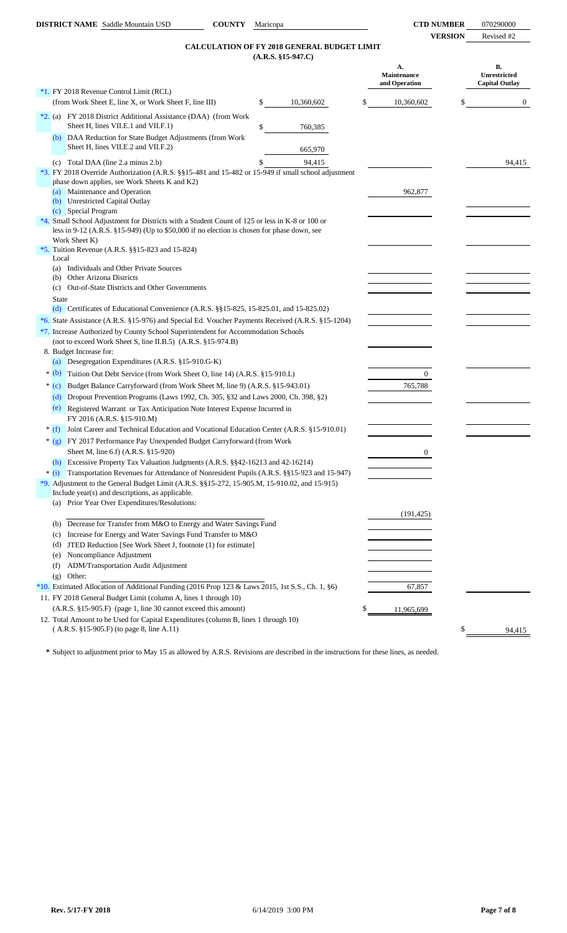# **CALCULATION OF FY 2018 GENERAL BUDGET LIMIT**

| <b>B.</b><br>А.<br><b>Unrestricted</b><br>Maintenance<br>and Operation<br><b>Capital Outlay</b><br>*1. FY 2018 Revenue Control Limit (RCL)<br>(from Work Sheet E, line X, or Work Sheet F, line III)<br>\$<br>10,360,602<br>\$<br>10,360,602<br>\$<br>$\overline{0}$<br>*2. (a) FY 2018 District Additional Assistance (DAA) (from Work<br>Sheet H, lines VII.E.1 and VII.F.1)<br>\$<br>760,385<br>DAA Reduction for State Budget Adjustments (from Work<br>(b)<br>Sheet H, lines VII.E.2 and VII.F.2)<br>665,970<br>(c) Total DAA (line 2.a minus 2.b)<br>94,415<br>94,415<br>*3. FY 2018 Override Authorization (A.R.S. §§15-481 and 15-482 or 15-949 if small school adjustment<br>phase down applies, see Work Sheets K and K2)<br>(a) Maintenance and Operation<br>962,877<br>(b) Unrestricted Capital Outlay<br>(c) Special Program<br>*4. Small School Adjustment for Districts with a Student Count of 125 or less in K-8 or 100 or<br>less in 9-12 (A.R.S. $\S 15$ -949) (Up to \$50,000 if no election is chosen for phase down, see<br>Work Sheet K)<br>*5. Tuition Revenue (A.R.S. $\S$ §15-823 and 15-824)<br>Local<br>(a) Individuals and Other Private Sources<br>(b) Other Arizona Districts<br>Out-of-State Districts and Other Governments<br>(c)<br><b>State</b><br>(d) Certificates of Educational Convenience $(A.R.S. \$ § 15-825, 15-825.01, and 15-825.02)<br>*6. State Assistance (A.R.S. §15-976) and Special Ed. Voucher Payments Received (A.R.S. §15-1204)<br>*7. Increase Authorized by County School Superintendent for Accommodation Schools<br>(not to exceed Work Sheet S, line II.B.5) (A.R.S. §15-974.B)<br>8. Budget Increase for:<br>(a) Desegregation Expenditures (A.R.S. §15-910.G-K)<br>$*(b)$<br>Tuition Out Debt Service (from Work Sheet O, line 14) (A.R.S. §15-910.L)<br>$\overline{0}$<br>Budget Balance Carryforward (from Work Sheet M, line 9) (A.R.S. §15-943.01)<br>765,788<br>$*(c)$<br>(d) Dropout Prevention Programs (Laws 1992, Ch. 305, §32 and Laws 2000, Ch. 398, §2)<br>Registered Warrant or Tax Anticipation Note Interest Expense Incurred in<br>(e)<br>FY 2016 (A.R.S. §15-910.M)<br>Joint Career and Technical Education and Vocational Education Center (A.R.S. §15-910.01)<br>$*(f)$<br>* (g) FY 2017 Performance Pay Unexpended Budget Carryforward (from Work<br>Sheet M, line 6.f) (A.R.S. §15-920)<br>0<br>Excessive Property Tax Valuation Judgments (A.R.S. §§42-16213 and 42-16214)<br>(h)<br>Transportation Revenues for Attendance of Nonresident Pupils (A.R.S. §§15-923 and 15-947)<br>* (i)<br>*9. Adjustment to the General Budget Limit (A.R.S. §§15-272, 15-905.M, 15-910.02, and 15-915)<br>Include year(s) and descriptions, as applicable.<br>(a) Prior Year Over Expenditures/Resolutions:<br>(191, 425)<br>(b) Decrease for Transfer from M&O to Energy and Water Savings Fund<br>Increase for Energy and Water Savings Fund Transfer to M&O<br>(c)<br>JTED Reduction [See Work Sheet J, footnote (1) for estimate]<br>(d)<br>Noncompliance Adjustment<br>(e)<br>ADM/Transportation Audit Adjustment<br>(f)<br>Other:<br>(g)<br>67,857<br>11. FY 2018 General Budget Limit (column A, lines 1 through 10)<br>(A.R.S. §15-905.F) (page 1, line 30 cannot exceed this amount)<br>\$<br>11,965,699<br>12. Total Amount to be Used for Capital Expenditures (column B, lines 1 through 10)<br>(A.R.S. §15-905.F) (to page 8, line A.11)<br>\$<br>94,415 |  | $(A.R.S. §15-947.C)$ |  |  |
|----------------------------------------------------------------------------------------------------------------------------------------------------------------------------------------------------------------------------------------------------------------------------------------------------------------------------------------------------------------------------------------------------------------------------------------------------------------------------------------------------------------------------------------------------------------------------------------------------------------------------------------------------------------------------------------------------------------------------------------------------------------------------------------------------------------------------------------------------------------------------------------------------------------------------------------------------------------------------------------------------------------------------------------------------------------------------------------------------------------------------------------------------------------------------------------------------------------------------------------------------------------------------------------------------------------------------------------------------------------------------------------------------------------------------------------------------------------------------------------------------------------------------------------------------------------------------------------------------------------------------------------------------------------------------------------------------------------------------------------------------------------------------------------------------------------------------------------------------------------------------------------------------------------------------------------------------------------------------------------------------------------------------------------------------------------------------------------------------------------------------------------------------------------------------------------------------------------------------------------------------------------------------------------------------------------------------------------------------------------------------------------------------------------------------------------------------------------------------------------------------------------------------------------------------------------------------------------------------------------------------------------------------------------------------------------------------------------------------------------------------------------------------------------------------------------------------------------------------------------------------------------------------------------------------------------------------------------------------------------------------------------------------------------------------------------------------------------------------------------------------------------------------------------------------------------------------------------------------------------------------------------------------------------------------------------------------------------------------------------------------------------------------------------------------------------------|--|----------------------|--|--|
| *10. Estimated Allocation of Additional Funding (2016 Prop 123 & Laws 2015, 1st S.S., Ch. 1, §6)                                                                                                                                                                                                                                                                                                                                                                                                                                                                                                                                                                                                                                                                                                                                                                                                                                                                                                                                                                                                                                                                                                                                                                                                                                                                                                                                                                                                                                                                                                                                                                                                                                                                                                                                                                                                                                                                                                                                                                                                                                                                                                                                                                                                                                                                                                                                                                                                                                                                                                                                                                                                                                                                                                                                                                                                                                                                                                                                                                                                                                                                                                                                                                                                                                                                                                                                             |  |                      |  |  |
|                                                                                                                                                                                                                                                                                                                                                                                                                                                                                                                                                                                                                                                                                                                                                                                                                                                                                                                                                                                                                                                                                                                                                                                                                                                                                                                                                                                                                                                                                                                                                                                                                                                                                                                                                                                                                                                                                                                                                                                                                                                                                                                                                                                                                                                                                                                                                                                                                                                                                                                                                                                                                                                                                                                                                                                                                                                                                                                                                                                                                                                                                                                                                                                                                                                                                                                                                                                                                                              |  |                      |  |  |
|                                                                                                                                                                                                                                                                                                                                                                                                                                                                                                                                                                                                                                                                                                                                                                                                                                                                                                                                                                                                                                                                                                                                                                                                                                                                                                                                                                                                                                                                                                                                                                                                                                                                                                                                                                                                                                                                                                                                                                                                                                                                                                                                                                                                                                                                                                                                                                                                                                                                                                                                                                                                                                                                                                                                                                                                                                                                                                                                                                                                                                                                                                                                                                                                                                                                                                                                                                                                                                              |  |                      |  |  |
|                                                                                                                                                                                                                                                                                                                                                                                                                                                                                                                                                                                                                                                                                                                                                                                                                                                                                                                                                                                                                                                                                                                                                                                                                                                                                                                                                                                                                                                                                                                                                                                                                                                                                                                                                                                                                                                                                                                                                                                                                                                                                                                                                                                                                                                                                                                                                                                                                                                                                                                                                                                                                                                                                                                                                                                                                                                                                                                                                                                                                                                                                                                                                                                                                                                                                                                                                                                                                                              |  |                      |  |  |
|                                                                                                                                                                                                                                                                                                                                                                                                                                                                                                                                                                                                                                                                                                                                                                                                                                                                                                                                                                                                                                                                                                                                                                                                                                                                                                                                                                                                                                                                                                                                                                                                                                                                                                                                                                                                                                                                                                                                                                                                                                                                                                                                                                                                                                                                                                                                                                                                                                                                                                                                                                                                                                                                                                                                                                                                                                                                                                                                                                                                                                                                                                                                                                                                                                                                                                                                                                                                                                              |  |                      |  |  |
|                                                                                                                                                                                                                                                                                                                                                                                                                                                                                                                                                                                                                                                                                                                                                                                                                                                                                                                                                                                                                                                                                                                                                                                                                                                                                                                                                                                                                                                                                                                                                                                                                                                                                                                                                                                                                                                                                                                                                                                                                                                                                                                                                                                                                                                                                                                                                                                                                                                                                                                                                                                                                                                                                                                                                                                                                                                                                                                                                                                                                                                                                                                                                                                                                                                                                                                                                                                                                                              |  |                      |  |  |
|                                                                                                                                                                                                                                                                                                                                                                                                                                                                                                                                                                                                                                                                                                                                                                                                                                                                                                                                                                                                                                                                                                                                                                                                                                                                                                                                                                                                                                                                                                                                                                                                                                                                                                                                                                                                                                                                                                                                                                                                                                                                                                                                                                                                                                                                                                                                                                                                                                                                                                                                                                                                                                                                                                                                                                                                                                                                                                                                                                                                                                                                                                                                                                                                                                                                                                                                                                                                                                              |  |                      |  |  |
|                                                                                                                                                                                                                                                                                                                                                                                                                                                                                                                                                                                                                                                                                                                                                                                                                                                                                                                                                                                                                                                                                                                                                                                                                                                                                                                                                                                                                                                                                                                                                                                                                                                                                                                                                                                                                                                                                                                                                                                                                                                                                                                                                                                                                                                                                                                                                                                                                                                                                                                                                                                                                                                                                                                                                                                                                                                                                                                                                                                                                                                                                                                                                                                                                                                                                                                                                                                                                                              |  |                      |  |  |
|                                                                                                                                                                                                                                                                                                                                                                                                                                                                                                                                                                                                                                                                                                                                                                                                                                                                                                                                                                                                                                                                                                                                                                                                                                                                                                                                                                                                                                                                                                                                                                                                                                                                                                                                                                                                                                                                                                                                                                                                                                                                                                                                                                                                                                                                                                                                                                                                                                                                                                                                                                                                                                                                                                                                                                                                                                                                                                                                                                                                                                                                                                                                                                                                                                                                                                                                                                                                                                              |  |                      |  |  |
|                                                                                                                                                                                                                                                                                                                                                                                                                                                                                                                                                                                                                                                                                                                                                                                                                                                                                                                                                                                                                                                                                                                                                                                                                                                                                                                                                                                                                                                                                                                                                                                                                                                                                                                                                                                                                                                                                                                                                                                                                                                                                                                                                                                                                                                                                                                                                                                                                                                                                                                                                                                                                                                                                                                                                                                                                                                                                                                                                                                                                                                                                                                                                                                                                                                                                                                                                                                                                                              |  |                      |  |  |
|                                                                                                                                                                                                                                                                                                                                                                                                                                                                                                                                                                                                                                                                                                                                                                                                                                                                                                                                                                                                                                                                                                                                                                                                                                                                                                                                                                                                                                                                                                                                                                                                                                                                                                                                                                                                                                                                                                                                                                                                                                                                                                                                                                                                                                                                                                                                                                                                                                                                                                                                                                                                                                                                                                                                                                                                                                                                                                                                                                                                                                                                                                                                                                                                                                                                                                                                                                                                                                              |  |                      |  |  |
|                                                                                                                                                                                                                                                                                                                                                                                                                                                                                                                                                                                                                                                                                                                                                                                                                                                                                                                                                                                                                                                                                                                                                                                                                                                                                                                                                                                                                                                                                                                                                                                                                                                                                                                                                                                                                                                                                                                                                                                                                                                                                                                                                                                                                                                                                                                                                                                                                                                                                                                                                                                                                                                                                                                                                                                                                                                                                                                                                                                                                                                                                                                                                                                                                                                                                                                                                                                                                                              |  |                      |  |  |
|                                                                                                                                                                                                                                                                                                                                                                                                                                                                                                                                                                                                                                                                                                                                                                                                                                                                                                                                                                                                                                                                                                                                                                                                                                                                                                                                                                                                                                                                                                                                                                                                                                                                                                                                                                                                                                                                                                                                                                                                                                                                                                                                                                                                                                                                                                                                                                                                                                                                                                                                                                                                                                                                                                                                                                                                                                                                                                                                                                                                                                                                                                                                                                                                                                                                                                                                                                                                                                              |  |                      |  |  |
|                                                                                                                                                                                                                                                                                                                                                                                                                                                                                                                                                                                                                                                                                                                                                                                                                                                                                                                                                                                                                                                                                                                                                                                                                                                                                                                                                                                                                                                                                                                                                                                                                                                                                                                                                                                                                                                                                                                                                                                                                                                                                                                                                                                                                                                                                                                                                                                                                                                                                                                                                                                                                                                                                                                                                                                                                                                                                                                                                                                                                                                                                                                                                                                                                                                                                                                                                                                                                                              |  |                      |  |  |
|                                                                                                                                                                                                                                                                                                                                                                                                                                                                                                                                                                                                                                                                                                                                                                                                                                                                                                                                                                                                                                                                                                                                                                                                                                                                                                                                                                                                                                                                                                                                                                                                                                                                                                                                                                                                                                                                                                                                                                                                                                                                                                                                                                                                                                                                                                                                                                                                                                                                                                                                                                                                                                                                                                                                                                                                                                                                                                                                                                                                                                                                                                                                                                                                                                                                                                                                                                                                                                              |  |                      |  |  |
|                                                                                                                                                                                                                                                                                                                                                                                                                                                                                                                                                                                                                                                                                                                                                                                                                                                                                                                                                                                                                                                                                                                                                                                                                                                                                                                                                                                                                                                                                                                                                                                                                                                                                                                                                                                                                                                                                                                                                                                                                                                                                                                                                                                                                                                                                                                                                                                                                                                                                                                                                                                                                                                                                                                                                                                                                                                                                                                                                                                                                                                                                                                                                                                                                                                                                                                                                                                                                                              |  |                      |  |  |
|                                                                                                                                                                                                                                                                                                                                                                                                                                                                                                                                                                                                                                                                                                                                                                                                                                                                                                                                                                                                                                                                                                                                                                                                                                                                                                                                                                                                                                                                                                                                                                                                                                                                                                                                                                                                                                                                                                                                                                                                                                                                                                                                                                                                                                                                                                                                                                                                                                                                                                                                                                                                                                                                                                                                                                                                                                                                                                                                                                                                                                                                                                                                                                                                                                                                                                                                                                                                                                              |  |                      |  |  |
|                                                                                                                                                                                                                                                                                                                                                                                                                                                                                                                                                                                                                                                                                                                                                                                                                                                                                                                                                                                                                                                                                                                                                                                                                                                                                                                                                                                                                                                                                                                                                                                                                                                                                                                                                                                                                                                                                                                                                                                                                                                                                                                                                                                                                                                                                                                                                                                                                                                                                                                                                                                                                                                                                                                                                                                                                                                                                                                                                                                                                                                                                                                                                                                                                                                                                                                                                                                                                                              |  |                      |  |  |
|                                                                                                                                                                                                                                                                                                                                                                                                                                                                                                                                                                                                                                                                                                                                                                                                                                                                                                                                                                                                                                                                                                                                                                                                                                                                                                                                                                                                                                                                                                                                                                                                                                                                                                                                                                                                                                                                                                                                                                                                                                                                                                                                                                                                                                                                                                                                                                                                                                                                                                                                                                                                                                                                                                                                                                                                                                                                                                                                                                                                                                                                                                                                                                                                                                                                                                                                                                                                                                              |  |                      |  |  |
|                                                                                                                                                                                                                                                                                                                                                                                                                                                                                                                                                                                                                                                                                                                                                                                                                                                                                                                                                                                                                                                                                                                                                                                                                                                                                                                                                                                                                                                                                                                                                                                                                                                                                                                                                                                                                                                                                                                                                                                                                                                                                                                                                                                                                                                                                                                                                                                                                                                                                                                                                                                                                                                                                                                                                                                                                                                                                                                                                                                                                                                                                                                                                                                                                                                                                                                                                                                                                                              |  |                      |  |  |
|                                                                                                                                                                                                                                                                                                                                                                                                                                                                                                                                                                                                                                                                                                                                                                                                                                                                                                                                                                                                                                                                                                                                                                                                                                                                                                                                                                                                                                                                                                                                                                                                                                                                                                                                                                                                                                                                                                                                                                                                                                                                                                                                                                                                                                                                                                                                                                                                                                                                                                                                                                                                                                                                                                                                                                                                                                                                                                                                                                                                                                                                                                                                                                                                                                                                                                                                                                                                                                              |  |                      |  |  |
|                                                                                                                                                                                                                                                                                                                                                                                                                                                                                                                                                                                                                                                                                                                                                                                                                                                                                                                                                                                                                                                                                                                                                                                                                                                                                                                                                                                                                                                                                                                                                                                                                                                                                                                                                                                                                                                                                                                                                                                                                                                                                                                                                                                                                                                                                                                                                                                                                                                                                                                                                                                                                                                                                                                                                                                                                                                                                                                                                                                                                                                                                                                                                                                                                                                                                                                                                                                                                                              |  |                      |  |  |
|                                                                                                                                                                                                                                                                                                                                                                                                                                                                                                                                                                                                                                                                                                                                                                                                                                                                                                                                                                                                                                                                                                                                                                                                                                                                                                                                                                                                                                                                                                                                                                                                                                                                                                                                                                                                                                                                                                                                                                                                                                                                                                                                                                                                                                                                                                                                                                                                                                                                                                                                                                                                                                                                                                                                                                                                                                                                                                                                                                                                                                                                                                                                                                                                                                                                                                                                                                                                                                              |  |                      |  |  |
|                                                                                                                                                                                                                                                                                                                                                                                                                                                                                                                                                                                                                                                                                                                                                                                                                                                                                                                                                                                                                                                                                                                                                                                                                                                                                                                                                                                                                                                                                                                                                                                                                                                                                                                                                                                                                                                                                                                                                                                                                                                                                                                                                                                                                                                                                                                                                                                                                                                                                                                                                                                                                                                                                                                                                                                                                                                                                                                                                                                                                                                                                                                                                                                                                                                                                                                                                                                                                                              |  |                      |  |  |
|                                                                                                                                                                                                                                                                                                                                                                                                                                                                                                                                                                                                                                                                                                                                                                                                                                                                                                                                                                                                                                                                                                                                                                                                                                                                                                                                                                                                                                                                                                                                                                                                                                                                                                                                                                                                                                                                                                                                                                                                                                                                                                                                                                                                                                                                                                                                                                                                                                                                                                                                                                                                                                                                                                                                                                                                                                                                                                                                                                                                                                                                                                                                                                                                                                                                                                                                                                                                                                              |  |                      |  |  |
|                                                                                                                                                                                                                                                                                                                                                                                                                                                                                                                                                                                                                                                                                                                                                                                                                                                                                                                                                                                                                                                                                                                                                                                                                                                                                                                                                                                                                                                                                                                                                                                                                                                                                                                                                                                                                                                                                                                                                                                                                                                                                                                                                                                                                                                                                                                                                                                                                                                                                                                                                                                                                                                                                                                                                                                                                                                                                                                                                                                                                                                                                                                                                                                                                                                                                                                                                                                                                                              |  |                      |  |  |
|                                                                                                                                                                                                                                                                                                                                                                                                                                                                                                                                                                                                                                                                                                                                                                                                                                                                                                                                                                                                                                                                                                                                                                                                                                                                                                                                                                                                                                                                                                                                                                                                                                                                                                                                                                                                                                                                                                                                                                                                                                                                                                                                                                                                                                                                                                                                                                                                                                                                                                                                                                                                                                                                                                                                                                                                                                                                                                                                                                                                                                                                                                                                                                                                                                                                                                                                                                                                                                              |  |                      |  |  |
|                                                                                                                                                                                                                                                                                                                                                                                                                                                                                                                                                                                                                                                                                                                                                                                                                                                                                                                                                                                                                                                                                                                                                                                                                                                                                                                                                                                                                                                                                                                                                                                                                                                                                                                                                                                                                                                                                                                                                                                                                                                                                                                                                                                                                                                                                                                                                                                                                                                                                                                                                                                                                                                                                                                                                                                                                                                                                                                                                                                                                                                                                                                                                                                                                                                                                                                                                                                                                                              |  |                      |  |  |
|                                                                                                                                                                                                                                                                                                                                                                                                                                                                                                                                                                                                                                                                                                                                                                                                                                                                                                                                                                                                                                                                                                                                                                                                                                                                                                                                                                                                                                                                                                                                                                                                                                                                                                                                                                                                                                                                                                                                                                                                                                                                                                                                                                                                                                                                                                                                                                                                                                                                                                                                                                                                                                                                                                                                                                                                                                                                                                                                                                                                                                                                                                                                                                                                                                                                                                                                                                                                                                              |  |                      |  |  |
|                                                                                                                                                                                                                                                                                                                                                                                                                                                                                                                                                                                                                                                                                                                                                                                                                                                                                                                                                                                                                                                                                                                                                                                                                                                                                                                                                                                                                                                                                                                                                                                                                                                                                                                                                                                                                                                                                                                                                                                                                                                                                                                                                                                                                                                                                                                                                                                                                                                                                                                                                                                                                                                                                                                                                                                                                                                                                                                                                                                                                                                                                                                                                                                                                                                                                                                                                                                                                                              |  |                      |  |  |
|                                                                                                                                                                                                                                                                                                                                                                                                                                                                                                                                                                                                                                                                                                                                                                                                                                                                                                                                                                                                                                                                                                                                                                                                                                                                                                                                                                                                                                                                                                                                                                                                                                                                                                                                                                                                                                                                                                                                                                                                                                                                                                                                                                                                                                                                                                                                                                                                                                                                                                                                                                                                                                                                                                                                                                                                                                                                                                                                                                                                                                                                                                                                                                                                                                                                                                                                                                                                                                              |  |                      |  |  |
|                                                                                                                                                                                                                                                                                                                                                                                                                                                                                                                                                                                                                                                                                                                                                                                                                                                                                                                                                                                                                                                                                                                                                                                                                                                                                                                                                                                                                                                                                                                                                                                                                                                                                                                                                                                                                                                                                                                                                                                                                                                                                                                                                                                                                                                                                                                                                                                                                                                                                                                                                                                                                                                                                                                                                                                                                                                                                                                                                                                                                                                                                                                                                                                                                                                                                                                                                                                                                                              |  |                      |  |  |
|                                                                                                                                                                                                                                                                                                                                                                                                                                                                                                                                                                                                                                                                                                                                                                                                                                                                                                                                                                                                                                                                                                                                                                                                                                                                                                                                                                                                                                                                                                                                                                                                                                                                                                                                                                                                                                                                                                                                                                                                                                                                                                                                                                                                                                                                                                                                                                                                                                                                                                                                                                                                                                                                                                                                                                                                                                                                                                                                                                                                                                                                                                                                                                                                                                                                                                                                                                                                                                              |  |                      |  |  |
|                                                                                                                                                                                                                                                                                                                                                                                                                                                                                                                                                                                                                                                                                                                                                                                                                                                                                                                                                                                                                                                                                                                                                                                                                                                                                                                                                                                                                                                                                                                                                                                                                                                                                                                                                                                                                                                                                                                                                                                                                                                                                                                                                                                                                                                                                                                                                                                                                                                                                                                                                                                                                                                                                                                                                                                                                                                                                                                                                                                                                                                                                                                                                                                                                                                                                                                                                                                                                                              |  |                      |  |  |
|                                                                                                                                                                                                                                                                                                                                                                                                                                                                                                                                                                                                                                                                                                                                                                                                                                                                                                                                                                                                                                                                                                                                                                                                                                                                                                                                                                                                                                                                                                                                                                                                                                                                                                                                                                                                                                                                                                                                                                                                                                                                                                                                                                                                                                                                                                                                                                                                                                                                                                                                                                                                                                                                                                                                                                                                                                                                                                                                                                                                                                                                                                                                                                                                                                                                                                                                                                                                                                              |  |                      |  |  |
|                                                                                                                                                                                                                                                                                                                                                                                                                                                                                                                                                                                                                                                                                                                                                                                                                                                                                                                                                                                                                                                                                                                                                                                                                                                                                                                                                                                                                                                                                                                                                                                                                                                                                                                                                                                                                                                                                                                                                                                                                                                                                                                                                                                                                                                                                                                                                                                                                                                                                                                                                                                                                                                                                                                                                                                                                                                                                                                                                                                                                                                                                                                                                                                                                                                                                                                                                                                                                                              |  |                      |  |  |
|                                                                                                                                                                                                                                                                                                                                                                                                                                                                                                                                                                                                                                                                                                                                                                                                                                                                                                                                                                                                                                                                                                                                                                                                                                                                                                                                                                                                                                                                                                                                                                                                                                                                                                                                                                                                                                                                                                                                                                                                                                                                                                                                                                                                                                                                                                                                                                                                                                                                                                                                                                                                                                                                                                                                                                                                                                                                                                                                                                                                                                                                                                                                                                                                                                                                                                                                                                                                                                              |  |                      |  |  |
|                                                                                                                                                                                                                                                                                                                                                                                                                                                                                                                                                                                                                                                                                                                                                                                                                                                                                                                                                                                                                                                                                                                                                                                                                                                                                                                                                                                                                                                                                                                                                                                                                                                                                                                                                                                                                                                                                                                                                                                                                                                                                                                                                                                                                                                                                                                                                                                                                                                                                                                                                                                                                                                                                                                                                                                                                                                                                                                                                                                                                                                                                                                                                                                                                                                                                                                                                                                                                                              |  |                      |  |  |
|                                                                                                                                                                                                                                                                                                                                                                                                                                                                                                                                                                                                                                                                                                                                                                                                                                                                                                                                                                                                                                                                                                                                                                                                                                                                                                                                                                                                                                                                                                                                                                                                                                                                                                                                                                                                                                                                                                                                                                                                                                                                                                                                                                                                                                                                                                                                                                                                                                                                                                                                                                                                                                                                                                                                                                                                                                                                                                                                                                                                                                                                                                                                                                                                                                                                                                                                                                                                                                              |  |                      |  |  |
|                                                                                                                                                                                                                                                                                                                                                                                                                                                                                                                                                                                                                                                                                                                                                                                                                                                                                                                                                                                                                                                                                                                                                                                                                                                                                                                                                                                                                                                                                                                                                                                                                                                                                                                                                                                                                                                                                                                                                                                                                                                                                                                                                                                                                                                                                                                                                                                                                                                                                                                                                                                                                                                                                                                                                                                                                                                                                                                                                                                                                                                                                                                                                                                                                                                                                                                                                                                                                                              |  |                      |  |  |
|                                                                                                                                                                                                                                                                                                                                                                                                                                                                                                                                                                                                                                                                                                                                                                                                                                                                                                                                                                                                                                                                                                                                                                                                                                                                                                                                                                                                                                                                                                                                                                                                                                                                                                                                                                                                                                                                                                                                                                                                                                                                                                                                                                                                                                                                                                                                                                                                                                                                                                                                                                                                                                                                                                                                                                                                                                                                                                                                                                                                                                                                                                                                                                                                                                                                                                                                                                                                                                              |  |                      |  |  |
|                                                                                                                                                                                                                                                                                                                                                                                                                                                                                                                                                                                                                                                                                                                                                                                                                                                                                                                                                                                                                                                                                                                                                                                                                                                                                                                                                                                                                                                                                                                                                                                                                                                                                                                                                                                                                                                                                                                                                                                                                                                                                                                                                                                                                                                                                                                                                                                                                                                                                                                                                                                                                                                                                                                                                                                                                                                                                                                                                                                                                                                                                                                                                                                                                                                                                                                                                                                                                                              |  |                      |  |  |
|                                                                                                                                                                                                                                                                                                                                                                                                                                                                                                                                                                                                                                                                                                                                                                                                                                                                                                                                                                                                                                                                                                                                                                                                                                                                                                                                                                                                                                                                                                                                                                                                                                                                                                                                                                                                                                                                                                                                                                                                                                                                                                                                                                                                                                                                                                                                                                                                                                                                                                                                                                                                                                                                                                                                                                                                                                                                                                                                                                                                                                                                                                                                                                                                                                                                                                                                                                                                                                              |  |                      |  |  |
|                                                                                                                                                                                                                                                                                                                                                                                                                                                                                                                                                                                                                                                                                                                                                                                                                                                                                                                                                                                                                                                                                                                                                                                                                                                                                                                                                                                                                                                                                                                                                                                                                                                                                                                                                                                                                                                                                                                                                                                                                                                                                                                                                                                                                                                                                                                                                                                                                                                                                                                                                                                                                                                                                                                                                                                                                                                                                                                                                                                                                                                                                                                                                                                                                                                                                                                                                                                                                                              |  |                      |  |  |
|                                                                                                                                                                                                                                                                                                                                                                                                                                                                                                                                                                                                                                                                                                                                                                                                                                                                                                                                                                                                                                                                                                                                                                                                                                                                                                                                                                                                                                                                                                                                                                                                                                                                                                                                                                                                                                                                                                                                                                                                                                                                                                                                                                                                                                                                                                                                                                                                                                                                                                                                                                                                                                                                                                                                                                                                                                                                                                                                                                                                                                                                                                                                                                                                                                                                                                                                                                                                                                              |  |                      |  |  |

**\*** Subject to adjustment prior to May 15 as allowed by A.R.S. Revisions are described in the instructions for these lines, as needed.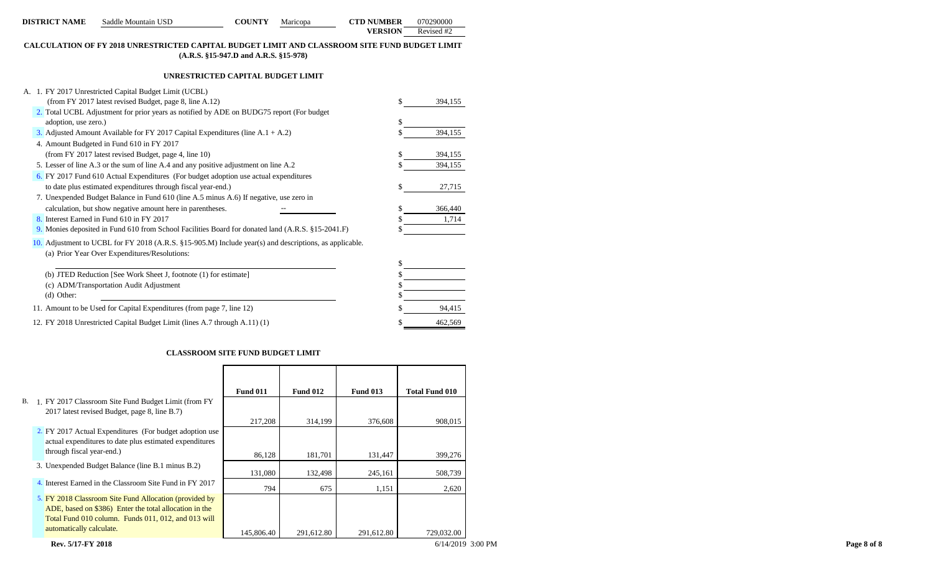| <b>DISTRICT NAME</b> | Saddle Mountain USD                                                                                                                                     | <b>COUNTY</b>                         | Maricopa | <b>CTD NUMBER</b> | 070290000  |
|----------------------|---------------------------------------------------------------------------------------------------------------------------------------------------------|---------------------------------------|----------|-------------------|------------|
|                      |                                                                                                                                                         |                                       |          | <b>VERSION</b>    | Revised #2 |
|                      | CALCULATION OF FY 2018 UNRESTRICTED CAPITAL BUDGET LIMIT AND CLASSROOM SITE FUND BUDGET LIMIT                                                           | (A.R.S. §15-947.D and A.R.S. §15-978) |          |                   |            |
|                      |                                                                                                                                                         | UNRESTRICTED CAPITAL BUDGET LIMIT     |          |                   |            |
|                      | A. 1. FY 2017 Unrestricted Capital Budget Limit (UCBL)                                                                                                  |                                       |          |                   |            |
|                      | (from FY 2017 latest revised Budget, page 8, line A.12)                                                                                                 |                                       |          | \$                | 394,155    |
|                      | 2. Total UCBL Adjustment for prior years as notified by ADE on BUDG75 report (For budget                                                                |                                       |          |                   |            |
| adoption, use zero.) |                                                                                                                                                         |                                       |          |                   |            |
|                      | 3. Adjusted Amount Available for FY 2017 Capital Expenditures (line $A.1 + A.2$ )                                                                       |                                       |          |                   | 394,155    |
|                      | 4. Amount Budgeted in Fund 610 in FY 2017                                                                                                               |                                       |          |                   |            |
|                      | (from FY 2017 latest revised Budget, page 4, line 10)                                                                                                   |                                       |          |                   | 394,155    |
|                      | 5. Lesser of line A.3 or the sum of line A.4 and any positive adjustment on line A.2                                                                    |                                       |          |                   | 394,155    |
|                      | 6. FY 2017 Fund 610 Actual Expenditures (For budget adoption use actual expenditures                                                                    |                                       |          |                   |            |
|                      | to date plus estimated expenditures through fiscal year-end.)                                                                                           |                                       |          | \$                | 27,715     |
|                      | 7. Unexpended Budget Balance in Fund 610 (line A.5 minus A.6) If negative, use zero in                                                                  |                                       |          |                   |            |
|                      | calculation, but show negative amount here in parentheses.                                                                                              |                                       |          |                   | 366,440    |
|                      | 8. Interest Earned in Fund 610 in FY 2017                                                                                                               |                                       |          |                   | 1,714      |
|                      | 9. Monies deposited in Fund 610 from School Facilities Board for donated land (A.R.S. §15-2041.F)                                                       |                                       |          |                   |            |
|                      | 10. Adjustment to UCBL for FY 2018 (A.R.S. §15-905.M) Include year(s) and descriptions, as applicable.<br>(a) Prior Year Over Expenditures/Resolutions: |                                       |          |                   |            |
|                      |                                                                                                                                                         |                                       |          |                   |            |
|                      | (b) JTED Reduction [See Work Sheet J, footnote (1) for estimate]                                                                                        |                                       |          |                   |            |
|                      | (c) ADM/Transportation Audit Adjustment                                                                                                                 |                                       |          |                   |            |
| $(d)$ Other:         |                                                                                                                                                         |                                       |          |                   |            |
|                      | 11. Amount to be Used for Capital Expenditures (from page 7, line 12)                                                                                   |                                       |          |                   | 94,415     |
|                      | 12. FY 2018 Unrestricted Capital Budget Limit (lines A.7 through A.11) (1)                                                                              |                                       |          | S                 | 462,569    |

### **CLASSROOM SITE FUND BUDGET LIMIT**

|                                                                                                                                                                         | <b>Fund 011</b> | <b>Fund 012</b> | <b>Fund 013</b> | <b>Total Fund 010</b> |
|-------------------------------------------------------------------------------------------------------------------------------------------------------------------------|-----------------|-----------------|-----------------|-----------------------|
| B. 1. FY 2017 Classroom Site Fund Budget Limit (from FY<br>2017 latest revised Budget, page 8, line B.7)                                                                |                 |                 |                 |                       |
|                                                                                                                                                                         | 217,208         | 314,199         | 376,608         | 908,015               |
| 2. FY 2017 Actual Expenditures (For budget adoption use<br>actual expenditures to date plus estimated expenditures                                                      |                 |                 |                 |                       |
| through fiscal year-end.)                                                                                                                                               | 86,128          | 181,701         | 131,447         | 399,276               |
| 3. Unexpended Budget Balance (line B.1 minus B.2)                                                                                                                       | 131,080         | 132,498         | 245,161         | 508,739               |
| 4. Interest Earned in the Classroom Site Fund in FY 2017                                                                                                                | 794             | 675             | 1,151           | 2,620                 |
| 5. FY 2018 Classroom Site Fund Allocation (provided by<br>ADE, based on \$386) Enter the total allocation in the<br>Total Fund 010 column. Funds 011, 012, and 013 will |                 |                 |                 |                       |
| automatically calculate.                                                                                                                                                | 145,806.40      | 291,612.80      | 291,612.80      | 729,032.00            |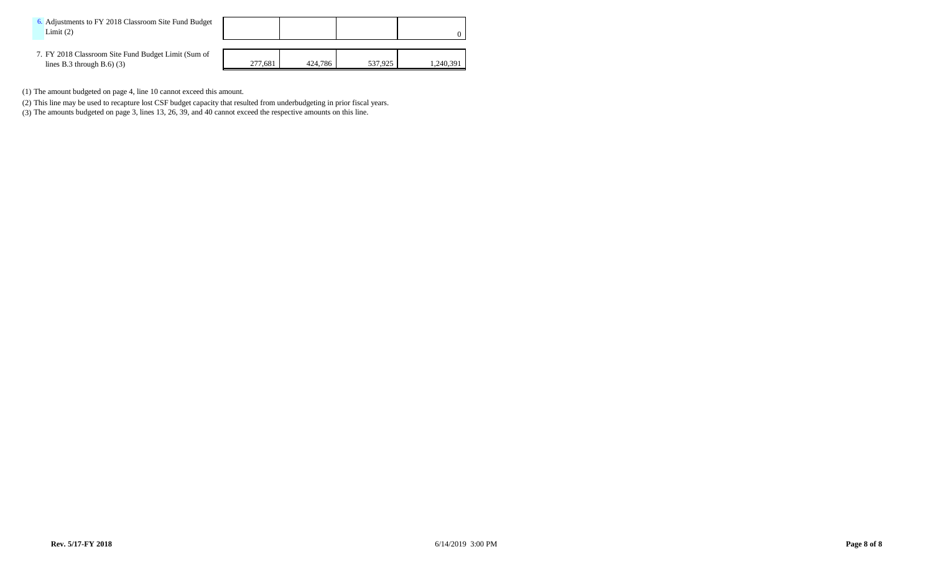| 6. Adjustments to FY 2018 Classroom Site Fund Budget<br>Limit(2)                   |         |         |         |           |
|------------------------------------------------------------------------------------|---------|---------|---------|-----------|
| 7. FY 2018 Classroom Site Fund Budget Limit (Sum of<br>lines B.3 through B.6 $(3)$ | 277.681 | 424,786 | 537.925 | 1,240,391 |

- (1) The amount budgeted on page 4, line 10 cannot exceed this amount.
- (2) This line may be used to recapture lost CSF budget capacity that resulted from underbudgeting in prior fiscal years.
- (3) The amounts budgeted on page 3, lines 13, 26, 39, and 40 cannot exceed the respective amounts on this line.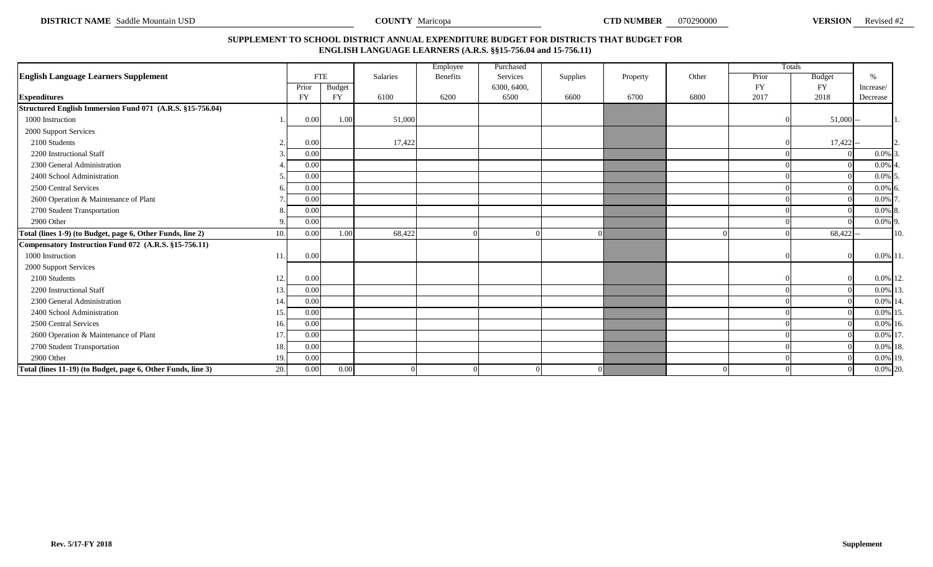**DISTRICT NAME** Saddle Mountain USD **VERSION COUNTY Maricopa COUNTY Maricopa COUNTY MARE COUNTY OF SALL COUNTY OF SALL COUNTY OF SALL COUNTY OF SALL COUNTY OF SALL COUNTY OF SALL COUNTY OF SALL COUNTY OF SALL COUNTY** 

**COUNTY** Maricopa

# **SUPPLEMENT TO SCHOOL DISTRICT ANNUAL EXPENDITURE BUDGET FOR DISTRICTS THAT BUDGET FOR ENGLISH LANGUAGE LEARNERS (A.R.S. §§15-756.04 and 15-756.11)**

|                                                              |     |           |            |                 | Employee        | Purchased   |          |          |       |           | Totals        |               |     |
|--------------------------------------------------------------|-----|-----------|------------|-----------------|-----------------|-------------|----------|----------|-------|-----------|---------------|---------------|-----|
| <b>English Language Learners Supplement</b>                  |     |           | <b>FTE</b> | <b>Salaries</b> | <b>Benefits</b> | Services    | Supplies | Property | Other | Prior     | <b>Budget</b> | $\frac{0}{6}$ |     |
|                                                              |     | Prior     | Budget     |                 |                 | 6300, 6400, |          |          |       | <b>FY</b> | <b>FY</b>     | Increase/     |     |
| <b>Expenditures</b>                                          |     | <b>FY</b> | <b>FY</b>  | 6100            | 6200            | 6500        | 6600     | 6700     | 6800  | 2017      | 2018          | Decrease      |     |
| Structured English Immersion Fund 071 (A.R.S. §15-756.04)    |     |           |            |                 |                 |             |          |          |       |           |               |               |     |
| 1000 Instruction                                             |     | 0.00      | 1.00       | 51,000          |                 |             |          |          |       |           | $51,000 -$    |               |     |
| 2000 Support Services                                        |     |           |            |                 |                 |             |          |          |       |           |               |               |     |
| 2100 Students                                                |     | 0.00      |            | 17,422          |                 |             |          |          |       |           | $17,422$ --   |               |     |
| 2200 Instructional Staff                                     |     | 0.00      |            |                 |                 |             |          |          |       |           |               | $0.0\%$ 3     |     |
| 2300 General Administration                                  |     | 0.00      |            |                 |                 |             |          |          |       |           |               | 0.0%          |     |
| 2400 School Administration                                   |     | 0.00      |            |                 |                 |             |          |          |       |           |               | $0.0\%$ 5     |     |
| 2500 Central Services                                        |     | 0.00      |            |                 |                 |             |          |          |       |           |               | $0.0\%$ 6     |     |
| 2600 Operation & Maintenance of Plant                        |     | 0.00      |            |                 |                 |             |          |          |       |           |               | 0.0%          |     |
| 2700 Student Transportation                                  |     | 0.00      |            |                 |                 |             |          |          |       |           |               | $0.0\%$ 8.    |     |
| 2900 Other                                                   |     | 0.00      |            |                 |                 |             |          |          |       |           |               | 0.0% 9.       |     |
| Total (lines 1-9) (to Budget, page 6, Other Funds, line 2)   | 10. | 0.00      | 1.00       | 68,422          |                 |             |          |          |       |           | $68,422$ --   |               | 10. |
| Compensatory Instruction Fund 072 (A.R.S. §15-756.11)        |     |           |            |                 |                 |             |          |          |       |           |               |               |     |
| 1000 Instruction                                             | 11  | 0.00      |            |                 |                 |             |          |          |       |           |               | $0.0\%$ 11.   |     |
| 2000 Support Services                                        |     |           |            |                 |                 |             |          |          |       |           |               |               |     |
| 2100 Students                                                | 12. | 0.00      |            |                 |                 |             |          |          |       |           |               | 0.0% 12.      |     |
| 2200 Instructional Staff                                     | 13. | 0.00      |            |                 |                 |             |          |          |       |           |               | 0.0% 13.      |     |
| 2300 General Administration                                  | 14  | 0.00      |            |                 |                 |             |          |          |       |           |               | 0.0% 14       |     |
| 2400 School Administration                                   | 15. | 0.00      |            |                 |                 |             |          |          |       |           |               | 0.0% 15       |     |
| 2500 Central Services                                        | 16. | 0.00      |            |                 |                 |             |          |          |       |           |               | $0.0\%$ 16.   |     |
| 2600 Operation & Maintenance of Plant                        | 17. | 0.00      |            |                 |                 |             |          |          |       |           |               | 0.0% 17.      |     |
| 2700 Student Transportation                                  | 18. | 0.00      |            |                 |                 |             |          |          |       |           |               | 0.0% 18.      |     |
| 2900 Other                                                   | 19. | 0.00      |            |                 |                 |             |          |          |       |           |               | 0.0% 19.      |     |
| Total (lines 11-19) (to Budget, page 6, Other Funds, line 3) | 20. | 0.00      | 0.00       |                 | $\Omega$        |             | $\Omega$ |          |       |           | $\Omega$      | 0.0% 20.      |     |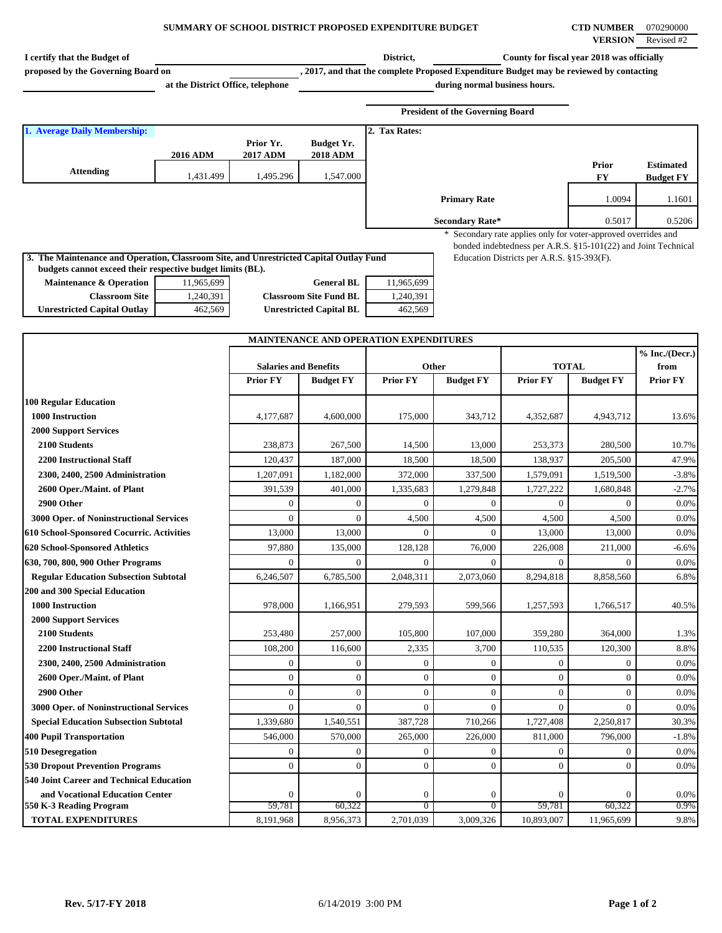## **SUMMARY OF SCHOOL DISTRICT PROPOSED EXPENDITURE BUDGET CTD NUMBER** 070290000

| I certify that the Budget of                                                           |                                   |                              |                                        | District,                          |                                                                                         | County for fiscal year 2018 was officially                                                                   |                        |                  |
|----------------------------------------------------------------------------------------|-----------------------------------|------------------------------|----------------------------------------|------------------------------------|-----------------------------------------------------------------------------------------|--------------------------------------------------------------------------------------------------------------|------------------------|------------------|
| proposed by the Governing Board on                                                     |                                   |                              |                                        |                                    | , 2017, and that the complete Proposed Expenditure Budget may be reviewed by contacting |                                                                                                              |                        |                  |
|                                                                                        | at the District Office, telephone |                              |                                        |                                    | during normal business hours.                                                           |                                                                                                              |                        |                  |
|                                                                                        |                                   |                              |                                        |                                    |                                                                                         |                                                                                                              |                        |                  |
|                                                                                        |                                   |                              |                                        |                                    | <b>President of the Governing Board</b>                                                 |                                                                                                              |                        |                  |
| 1. Average Daily Membership:                                                           |                                   |                              |                                        | 2. Tax Rates:                      |                                                                                         |                                                                                                              |                        |                  |
|                                                                                        |                                   | Prior Yr.                    | <b>Budget Yr.</b>                      |                                    |                                                                                         |                                                                                                              |                        |                  |
|                                                                                        | 2016 ADM                          | <b>2017 ADM</b>              | <b>2018 ADM</b>                        |                                    |                                                                                         |                                                                                                              | Prior                  | <b>Estimated</b> |
| <b>Attending</b>                                                                       | 1,431.499                         | 1,495.296                    | 1,547.000                              |                                    |                                                                                         |                                                                                                              | FY                     | <b>Budget FY</b> |
|                                                                                        |                                   |                              |                                        |                                    | <b>Primary Rate</b>                                                                     |                                                                                                              | 1.0094                 | 1.1601           |
|                                                                                        |                                   |                              |                                        |                                    |                                                                                         |                                                                                                              |                        |                  |
|                                                                                        |                                   |                              |                                        |                                    | <b>Secondary Rate*</b>                                                                  |                                                                                                              | 0.5017                 | 0.5206           |
|                                                                                        |                                   |                              |                                        |                                    |                                                                                         | * Secondary rate applies only for voter-approved overrides and                                               |                        |                  |
| 3. The Maintenance and Operation, Classroom Site, and Unrestricted Capital Outlay Fund |                                   |                              |                                        |                                    |                                                                                         | bonded indebtedness per A.R.S. §15-101(22) and Joint Technical<br>Education Districts per A.R.S. §15-393(F). |                        |                  |
| budgets cannot exceed their respective budget limits (BL).                             |                                   |                              |                                        |                                    |                                                                                         |                                                                                                              |                        |                  |
| Maintenance & Operation                                                                | 11,965,699                        |                              | <b>General BL</b>                      | 11,965,699                         |                                                                                         |                                                                                                              |                        |                  |
| <b>Classroom Site</b>                                                                  | 1,240,391                         |                              | <b>Classroom Site Fund BL</b>          | 1,240,391                          |                                                                                         |                                                                                                              |                        |                  |
| <b>Unrestricted Capital Outlay</b>                                                     | 462,569                           |                              | <b>Unrestricted Capital BL</b>         | 462,569                            |                                                                                         |                                                                                                              |                        |                  |
|                                                                                        |                                   |                              |                                        |                                    |                                                                                         |                                                                                                              |                        |                  |
|                                                                                        |                                   |                              | MAINTENANCE AND OPERATION EXPENDITURES |                                    |                                                                                         |                                                                                                              |                        |                  |
|                                                                                        |                                   |                              |                                        |                                    |                                                                                         |                                                                                                              |                        | % Inc. / (Decr.) |
|                                                                                        |                                   | <b>Salaries and Benefits</b> |                                        |                                    | Other                                                                                   | <b>TOTAL</b>                                                                                                 |                        | from             |
|                                                                                        |                                   | <b>Prior FY</b>              | <b>Budget FY</b>                       | <b>Prior FY</b>                    | <b>Budget FY</b>                                                                        | <b>Prior FY</b>                                                                                              | <b>Budget FY</b>       | <b>Prior FY</b>  |
| <b>100 Regular Education</b>                                                           |                                   |                              |                                        |                                    |                                                                                         |                                                                                                              |                        |                  |
| 1000 Instruction                                                                       |                                   | 4,177,687                    | 4,600,000                              | 175,000                            | 343,712                                                                                 | 4,352,687                                                                                                    | 4,943,712              | 13.6%            |
| <b>2000 Support Services</b>                                                           |                                   |                              |                                        |                                    |                                                                                         |                                                                                                              |                        |                  |
| 2100 Students                                                                          |                                   | 238,873                      | 267,500                                | 14,500                             | 13,000                                                                                  | 253,373                                                                                                      | 280,500                | 10.7%            |
| <b>2200 Instructional Staff</b>                                                        |                                   | 120,437                      | 187,000                                | 18,500                             | 18,500                                                                                  | 138,937                                                                                                      | 205,500                | 47.9%            |
| 2300, 2400, 2500 Administration                                                        |                                   | 1,207,091                    | 1,182,000                              | 372,000                            | 337,500                                                                                 | 1,579,091                                                                                                    | 1,519,500              | $-3.8%$          |
| 2600 Oper./Maint. of Plant                                                             |                                   | 391,539                      | 401,000                                | 1,335,683                          | 1,279,848                                                                               | 1,727,222                                                                                                    | 1,680,848              | $-2.7%$          |
| 2900 Other                                                                             |                                   | $\Omega$                     | $\boldsymbol{0}$                       | $\mathbf{0}$                       | $\mathbf{0}$                                                                            | $\boldsymbol{0}$                                                                                             | $\mathbf{0}$           | 0.0%             |
| 3000 Oper. of Noninstructional Services                                                |                                   | $\Omega$                     | $\mathbf{0}$                           | 4,500                              | 4,500                                                                                   | 4,500                                                                                                        | 4,500                  | 0.0%             |
| 610 School-Sponsored Cocurric. Activities                                              |                                   | 13,000                       | 13,000                                 | $\overline{0}$                     | $\mathbf{0}$                                                                            | 13,000                                                                                                       | 13,000                 | 0.0%             |
| 620 School-Sponsored Athletics                                                         |                                   | 97,880                       | 135,000                                | 128,128                            | 76,000                                                                                  | 226,008                                                                                                      | 211,000                | $-6.6%$          |
| 630, 700, 800, 900 Other Programs                                                      |                                   | $\theta$                     | $\mathbf{0}$                           | $\mathbf{0}$                       | 0                                                                                       | $\mathbf{0}$                                                                                                 | $\Omega$               | 0.0%             |
| <b>Regular Education Subsection Subtotal</b>                                           |                                   | 6.246.507                    | 6,785,500                              | 2,048,311                          | 2,073,060                                                                               | 8,294,818                                                                                                    | 8,858,560              | 6.8%             |
| 200 and 300 Special Education                                                          |                                   |                              |                                        |                                    |                                                                                         |                                                                                                              |                        |                  |
| 1000 Instruction                                                                       |                                   | 978,000                      | 1,166,951                              | 279,593                            | 599,566                                                                                 | 1,257,593                                                                                                    | 1,766,517              | 40.5%            |
| <b>2000 Support Services</b>                                                           |                                   |                              |                                        |                                    |                                                                                         |                                                                                                              |                        |                  |
| 2100 Students                                                                          |                                   | 253,480                      | 257,000                                | 105,800                            | 107,000                                                                                 | 359,280                                                                                                      | 364,000                | 1.3%             |
| <b>2200 Instructional Staff</b>                                                        |                                   | 108,200                      | 116,600                                | 2,335                              | 3,700                                                                                   | 110,535                                                                                                      | 120,300                | 8.8%             |
| 2300, 2400, 2500 Administration                                                        |                                   | $\theta$                     | $\overline{0}$                         | $\mathbf{0}$                       | $\boldsymbol{0}$                                                                        | $\boldsymbol{0}$                                                                                             | $\mathbf{0}$           | 0.0%             |
| 2600 Oper./Maint. of Plant                                                             |                                   | $\mathbf{0}$                 | $\mathbf{0}$                           | $\boldsymbol{0}$                   | $\boldsymbol{0}$                                                                        | $\mathbf{0}$                                                                                                 | $\mathbf{0}$           | 0.0%             |
| 2900 Other                                                                             |                                   | $\overline{0}$               | $\boldsymbol{0}$                       | $\boldsymbol{0}$                   | $\mathbf{0}$                                                                            | $\mathbf{0}$                                                                                                 | $\mathbf{0}$           | 0.0%             |
| 3000 Oper. of Noninstructional Services                                                |                                   | $\Omega$                     | $\mathbf{0}$                           | $\mathbf{0}$                       | $\mathbf{0}$                                                                            | $\mathbf{0}$                                                                                                 | $\Omega$               | 0.0%             |
| <b>Special Education Subsection Subtotal</b>                                           |                                   | 1,339,680                    | 1,540,551                              | 387,728                            | 710,266                                                                                 | 1,727,408                                                                                                    | 2,250,817              | 30.3%            |
| <b>400 Pupil Transportation</b>                                                        |                                   | 546,000                      | 570,000                                | 265,000                            | 226,000                                                                                 | 811,000                                                                                                      | 796,000                | $-1.8%$          |
| 510 Desegregation                                                                      |                                   | $\theta$                     | $\boldsymbol{0}$                       | $\mathbf{0}$                       | $\boldsymbol{0}$                                                                        | $\boldsymbol{0}$                                                                                             | $\mathbf{0}$           | 0.0%             |
| <b>530 Dropout Prevention Programs</b>                                                 |                                   | $\overline{0}$               | $\mathbf{0}$                           | $\boldsymbol{0}$                   | $\mathbf{0}$                                                                            | $\mathbf{0}$                                                                                                 | $\mathbf{0}$           | 0.0%             |
| 540 Joint Career and Technical Education                                               |                                   |                              |                                        |                                    |                                                                                         |                                                                                                              |                        |                  |
| and Vocational Education Center<br>550 K-3 Reading Program                             |                                   | $\theta$<br>59,781           | $\boldsymbol{0}$<br>60,322             | $\boldsymbol{0}$<br>$\overline{0}$ | $\boldsymbol{0}$<br>$\overline{0}$                                                      | $\Omega$<br>59,781                                                                                           | $\mathbf{0}$<br>60,322 | 0.0%<br>0.9%     |
| <b>TOTAL EXPENDITURES</b>                                                              |                                   | 8,191,968                    | 8,956,373                              | 2,701,039                          | 3,009,326                                                                               | 10,893,007                                                                                                   | 11,965,699             | 9.8%             |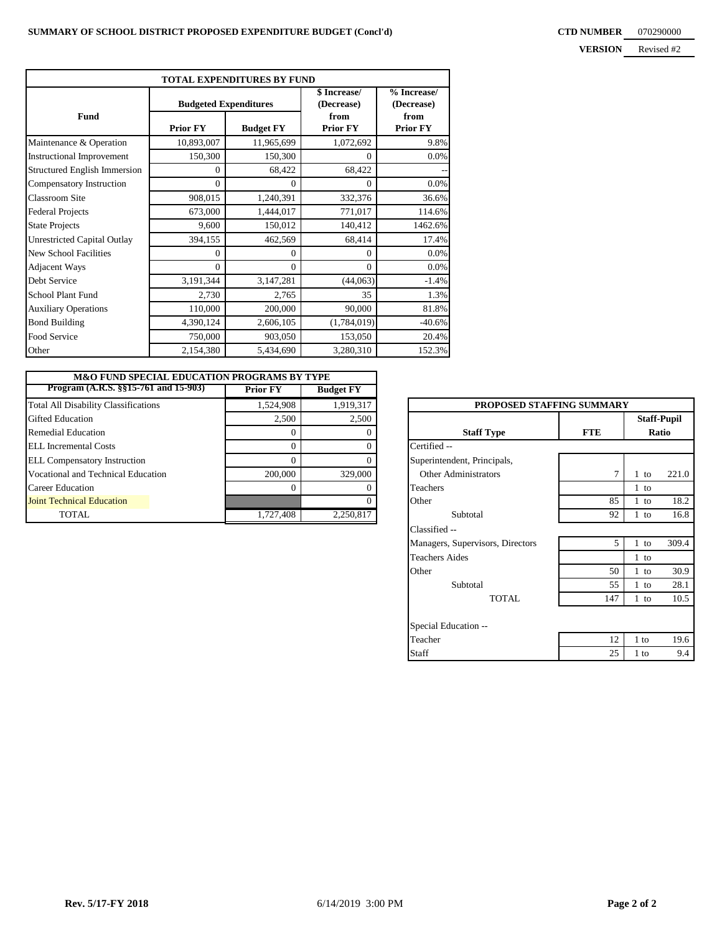|                                     |                              | TOTAL EXPENDITURES BY FUND |                            |                           |  |
|-------------------------------------|------------------------------|----------------------------|----------------------------|---------------------------|--|
|                                     | <b>Budgeted Expenditures</b> |                            | \$ Increase/<br>(Decrease) | % Increase/<br>(Decrease) |  |
| Fund                                | <b>Prior FY</b>              | <b>Budget FY</b>           | from<br><b>Prior FY</b>    | from<br><b>Prior FY</b>   |  |
| Maintenance & Operation             | 10,893,007                   | 11,965,699                 | 1,072,692                  | 9.8%                      |  |
| <b>Instructional Improvement</b>    | 150,300                      | 150,300                    | 0                          | $0.0\%$                   |  |
| <b>Structured English Immersion</b> | 0                            | 68,422                     | 68,422                     |                           |  |
| Compensatory Instruction            | $\Omega$                     | $\Omega$                   | $\theta$                   | $0.0\%$                   |  |
| <b>Classroom Site</b>               | 908,015                      | 1,240,391                  | 332,376                    | 36.6%                     |  |
| <b>Federal Projects</b>             | 673,000                      | 1,444,017                  | 771,017                    | 114.6%                    |  |
| <b>State Projects</b>               | 9,600                        | 150,012                    | 140,412                    | 1462.6%                   |  |
| <b>Unrestricted Capital Outlay</b>  | 394,155                      | 462,569                    | 68,414                     | 17.4%                     |  |
| <b>New School Facilities</b>        | $\theta$                     | $\Omega$                   | $\theta$                   | $0.0\%$                   |  |
| <b>Adjacent Ways</b>                | $\Omega$                     | $\Omega$                   | $\theta$                   | $0.0\%$                   |  |
| Debt Service                        | 3,191,344                    | 3,147,281                  | (44,063)                   | $-1.4%$                   |  |
| School Plant Fund                   | 2,730                        | 2,765                      | 35                         | 1.3%                      |  |
| <b>Auxiliary Operations</b>         | 110,000                      | 200,000                    | 90,000                     | 81.8%                     |  |
| <b>Bond Building</b>                | 4,390,124                    | 2,606,105                  | (1,784,019)                | $-40.6%$                  |  |
| Food Service                        | 750,000                      | 903,050                    | 153,050                    | 20.4%                     |  |
| Other                               | 2,154,380                    | 5,434,690                  | 3,280,310                  | 152.3%                    |  |

| <b>M&amp;O FUND SPECIAL EDUCATION PROGRAMS BY TYPE</b> |                 |                  |                                  |            |                    |
|--------------------------------------------------------|-----------------|------------------|----------------------------------|------------|--------------------|
| Program (A.R.S. §§15-761 and 15-903)                   | <b>Prior FY</b> | <b>Budget FY</b> |                                  |            |                    |
| <b>Total All Disability Classifications</b>            | 1,524,908       | 1,919,317        | <b>PROPOSED STAFFING SUMMARY</b> |            |                    |
| Gifted Education                                       | 2.500           | 2,500            |                                  |            | <b>Staff-Pupil</b> |
| <b>Remedial Education</b>                              |                 |                  | <b>Staff Type</b>                | <b>FTE</b> |                    |
| ELL Incremental Costs                                  |                 |                  | Certified --                     |            |                    |
| <b>ELL Compensatory Instruction</b>                    |                 |                  | Superintendent, Principals,      |            |                    |
| Vocational and Technical Education                     | 200,000         | 329,000          | Other Administrators             |            | $\cdot$ to         |
| Career Education                                       |                 |                  | Teachers                         |            | to                 |
| Joint Technical Education                              |                 |                  | Other                            | 85         | to                 |
| TOTAL.                                                 | 1,727,408       | 2,250,817        | Subtotal                         | 92         | to                 |

| <b>PROPOSED STAFFING SUMMARY</b> |            |                             |       |  |
|----------------------------------|------------|-----------------------------|-------|--|
| <b>Staff Type</b>                | <b>FTE</b> | <b>Staff-Pupil</b><br>Ratio |       |  |
| Certified --                     |            |                             |       |  |
| Superintendent, Principals,      |            |                             |       |  |
| <b>Other Administrators</b>      | 7          | $1$ to                      | 221.0 |  |
| Teachers                         |            | $1$ to                      |       |  |
| Other                            | 85         | $1$ to                      | 18.2  |  |
| Subtotal                         | 92         | $1$ to                      | 16.8  |  |
| Classified --                    |            |                             |       |  |
| Managers, Supervisors, Directors | 5          | $1$ to                      | 309.4 |  |
| <b>Teachers Aides</b>            |            | $1$ to                      |       |  |
| Other                            | 50         | $1$ to                      | 30.9  |  |
| Subtotal                         | 55         | $1$ to                      | 28.1  |  |
| TOTAL.                           | 147        | $1$ to                      | 10.5  |  |
| Special Education --             |            |                             |       |  |
| Teacher                          | 12         | 1 to                        | 19.6  |  |
| Staff                            | 25         | 1 to                        | 9.4   |  |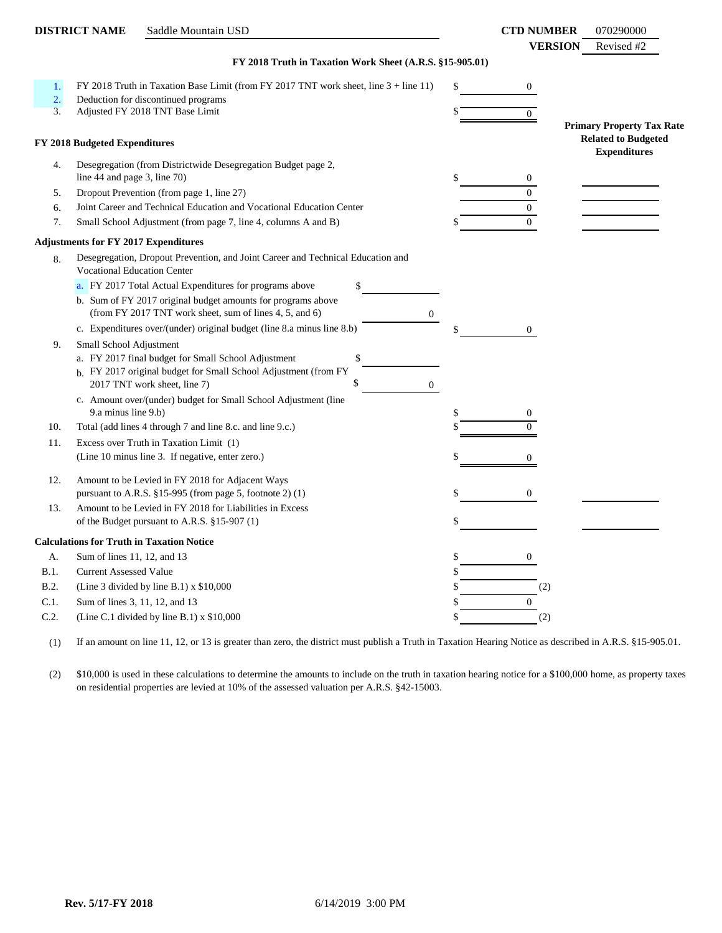|                  | <b>DISTRICT NAME</b><br>Saddle Mountain USD                                                                                                 |    | <b>CTD NUMBER</b> | 070290000                                         |
|------------------|---------------------------------------------------------------------------------------------------------------------------------------------|----|-------------------|---------------------------------------------------|
|                  |                                                                                                                                             |    | <b>VERSION</b>    | Revised #2                                        |
|                  | FY 2018 Truth in Taxation Work Sheet (A.R.S. §15-905.01)                                                                                    |    |                   |                                                   |
| 1.               | FY 2018 Truth in Taxation Base Limit (from FY 2017 TNT work sheet, line $3 +$ line 11)                                                      | \$ | $\overline{0}$    |                                                   |
| $\overline{2}$ . | Deduction for discontinued programs                                                                                                         |    |                   |                                                   |
| 3.               | Adjusted FY 2018 TNT Base Limit                                                                                                             |    | $\overline{0}$    |                                                   |
|                  |                                                                                                                                             |    |                   | <b>Primary Property Tax Rate</b>                  |
|                  | FY 2018 Budgeted Expenditures                                                                                                               |    |                   | <b>Related to Budgeted</b><br><b>Expenditures</b> |
| 4.               | Desegregation (from Districtwide Desegregation Budget page 2,                                                                               |    |                   |                                                   |
|                  | line 44 and page 3, line $70$ )                                                                                                             | \$ | $\mathbf{0}$      |                                                   |
| 5.               | Dropout Prevention (from page 1, line 27)                                                                                                   |    | $\Omega$          |                                                   |
| 6.               | Joint Career and Technical Education and Vocational Education Center                                                                        |    | $\overline{0}$    |                                                   |
| 7.               | Small School Adjustment (from page 7, line 4, columns A and B)                                                                              |    | $\Omega$          |                                                   |
|                  | <b>Adjustments for FY 2017 Expenditures</b>                                                                                                 |    |                   |                                                   |
| 8.               | Desegregation, Dropout Prevention, and Joint Career and Technical Education and<br>Vocational Education Center                              |    |                   |                                                   |
|                  | a. FY 2017 Total Actual Expenditures for programs above<br>\$                                                                               |    |                   |                                                   |
|                  | b. Sum of FY 2017 original budget amounts for programs above<br>(from FY 2017 TNT work sheet, sum of lines 4, 5, and 6)<br>$\boldsymbol{0}$ |    |                   |                                                   |
|                  | c. Expenditures over/(under) original budget (line 8.a minus line 8.b)                                                                      | \$ | $\mathbf{0}$      |                                                   |
| 9.               | Small School Adjustment                                                                                                                     |    |                   |                                                   |
|                  | \$<br>a. FY 2017 final budget for Small School Adjustment                                                                                   |    |                   |                                                   |
|                  | b. FY 2017 original budget for Small School Adjustment (from FY                                                                             |    |                   |                                                   |
|                  | \$<br>2017 TNT work sheet, line 7)<br>$\overline{0}$                                                                                        |    |                   |                                                   |
|                  | c. Amount over/(under) budget for Small School Adjustment (line                                                                             |    |                   |                                                   |
| 10.              | 9.a minus line 9.b)<br>Total (add lines 4 through 7 and line 8.c. and line 9.c.)                                                            | \$ | 0<br>$\theta$     |                                                   |
| 11.              |                                                                                                                                             |    |                   |                                                   |
|                  | Excess over Truth in Taxation Limit (1)<br>(Line 10 minus line 3. If negative, enter zero.)                                                 |    | $\theta$          |                                                   |
|                  |                                                                                                                                             |    |                   |                                                   |
| 12.              | Amount to be Levied in FY 2018 for Adjacent Ways                                                                                            |    |                   |                                                   |
|                  | pursuant to A.R.S. $§15-995$ (from page 5, footnote 2) (1)                                                                                  |    | $\overline{0}$    |                                                   |
| 13.              | Amount to be Levied in FY 2018 for Liabilities in Excess                                                                                    |    |                   |                                                   |
|                  | of the Budget pursuant to A.R.S. §15-907 (1)                                                                                                | \$ |                   |                                                   |
|                  | <b>Calculations for Truth in Taxation Notice</b>                                                                                            |    |                   |                                                   |
| А.               | Sum of lines 11, 12, and 13                                                                                                                 | \$ | $\mathbf{0}$      |                                                   |
| B.1.             | <b>Current Assessed Value</b>                                                                                                               | S  |                   |                                                   |
| <b>B.2.</b>      | (Line 3 divided by line B.1) $x$ \$10,000                                                                                                   | S  | (2)               |                                                   |
| C.1.             | Sum of lines 3, 11, 12, and 13                                                                                                              |    | $\overline{0}$    |                                                   |
| C.2.             | (Line C.1 divided by line B.1) $x$ \$10,000                                                                                                 |    | (2)               |                                                   |

(1) If an amount on line 11, 12, or 13 is greater than zero, the district must publish a Truth in Taxation Hearing Notice as described in A.R.S. §15-905.01.

(2) \$10,000 is used in these calculations to determine the amounts to include on the truth in taxation hearing notice for a \$100,000 home, as property taxes on residential properties are levied at 10% of the assessed valuation per A.R.S. §42-15003.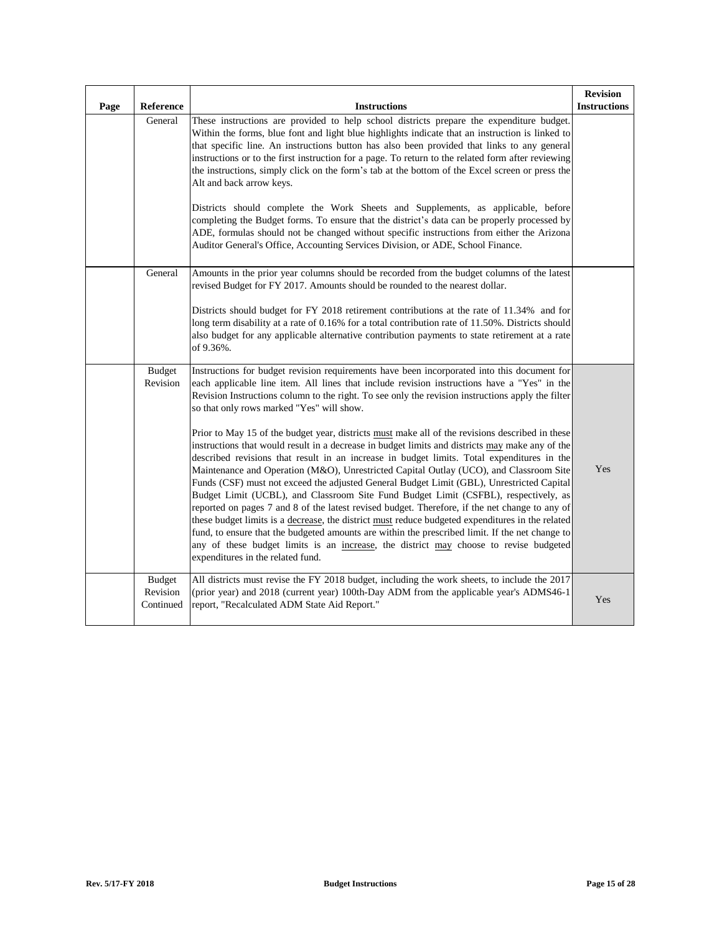| Page | Reference                              | <b>Instructions</b>                                                                                                                                                                                                                                                                                                                                                                                                                                                                                                                                                                                                                                                                                                                                                                                                                                                                                                                                                                                                                                                                                                                                                                                                                                                                                                                                                   | <b>Revision</b><br><b>Instructions</b> |
|------|----------------------------------------|-----------------------------------------------------------------------------------------------------------------------------------------------------------------------------------------------------------------------------------------------------------------------------------------------------------------------------------------------------------------------------------------------------------------------------------------------------------------------------------------------------------------------------------------------------------------------------------------------------------------------------------------------------------------------------------------------------------------------------------------------------------------------------------------------------------------------------------------------------------------------------------------------------------------------------------------------------------------------------------------------------------------------------------------------------------------------------------------------------------------------------------------------------------------------------------------------------------------------------------------------------------------------------------------------------------------------------------------------------------------------|----------------------------------------|
|      | General                                | These instructions are provided to help school districts prepare the expenditure budget.<br>Within the forms, blue font and light blue highlights indicate that an instruction is linked to<br>that specific line. An instructions button has also been provided that links to any general<br>instructions or to the first instruction for a page. To return to the related form after reviewing<br>the instructions, simply click on the form's tab at the bottom of the Excel screen or press the<br>Alt and back arrow keys.<br>Districts should complete the Work Sheets and Supplements, as applicable, before<br>completing the Budget forms. To ensure that the district's data can be properly processed by<br>ADE, formulas should not be changed without specific instructions from either the Arizona<br>Auditor General's Office, Accounting Services Division, or ADE, School Finance.                                                                                                                                                                                                                                                                                                                                                                                                                                                                   |                                        |
|      | General                                | Amounts in the prior year columns should be recorded from the budget columns of the latest<br>revised Budget for FY 2017. Amounts should be rounded to the nearest dollar.<br>Districts should budget for FY 2018 retirement contributions at the rate of 11.34% and for<br>long term disability at a rate of 0.16% for a total contribution rate of 11.50%. Districts should<br>also budget for any applicable alternative contribution payments to state retirement at a rate<br>of 9.36%.                                                                                                                                                                                                                                                                                                                                                                                                                                                                                                                                                                                                                                                                                                                                                                                                                                                                          |                                        |
|      | <b>Budget</b><br>Revision              | Instructions for budget revision requirements have been incorporated into this document for<br>each applicable line item. All lines that include revision instructions have a "Yes" in the<br>Revision Instructions column to the right. To see only the revision instructions apply the filter<br>so that only rows marked "Yes" will show.<br>Prior to May 15 of the budget year, districts must make all of the revisions described in these<br>instructions that would result in a decrease in budget limits and districts may make any of the<br>described revisions that result in an increase in budget limits. Total expenditures in the<br>Maintenance and Operation (M&O), Unrestricted Capital Outlay (UCO), and Classroom Site<br>Funds (CSF) must not exceed the adjusted General Budget Limit (GBL), Unrestricted Capital<br>Budget Limit (UCBL), and Classroom Site Fund Budget Limit (CSFBL), respectively, as<br>reported on pages 7 and 8 of the latest revised budget. Therefore, if the net change to any of<br>these budget limits is a decrease, the district must reduce budgeted expenditures in the related<br>fund, to ensure that the budgeted amounts are within the prescribed limit. If the net change to<br>any of these budget limits is an increase, the district may choose to revise budgeted<br>expenditures in the related fund. | Yes                                    |
|      | <b>Budget</b><br>Revision<br>Continued | All districts must revise the FY 2018 budget, including the work sheets, to include the 2017<br>(prior year) and 2018 (current year) 100th-Day ADM from the applicable year's ADMS46-1<br>report, "Recalculated ADM State Aid Report."                                                                                                                                                                                                                                                                                                                                                                                                                                                                                                                                                                                                                                                                                                                                                                                                                                                                                                                                                                                                                                                                                                                                | Yes                                    |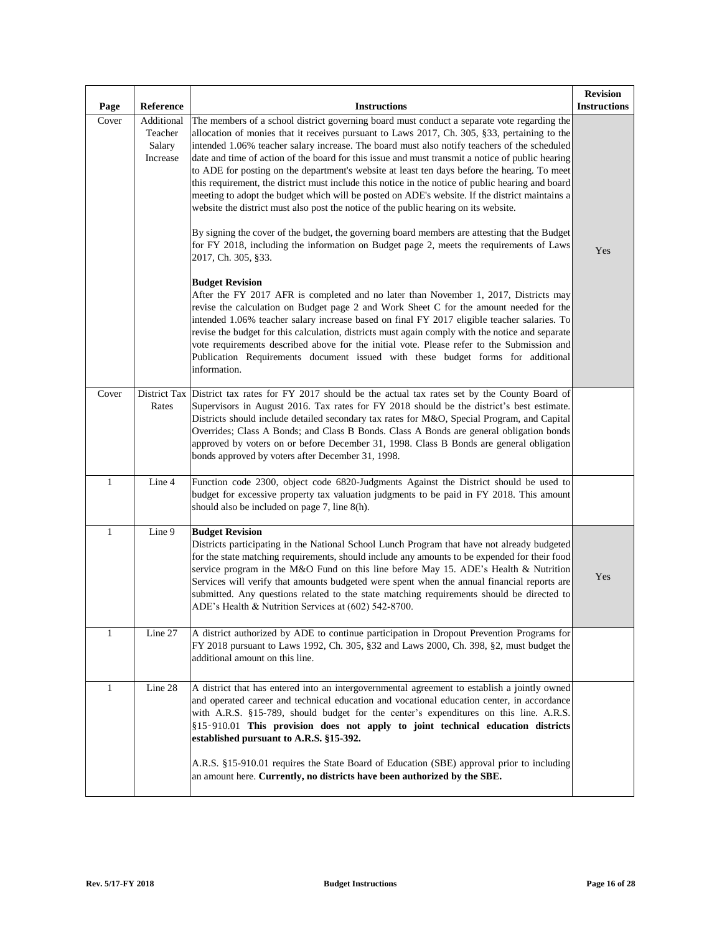| Page         | Reference                                   | <b>Instructions</b>                                                                                                                                                                                                                                                                                                                                                                                                                                                                                                                                                                                                                                                                                                                                                                                                                                                                             | <b>Revision</b><br><b>Instructions</b> |
|--------------|---------------------------------------------|-------------------------------------------------------------------------------------------------------------------------------------------------------------------------------------------------------------------------------------------------------------------------------------------------------------------------------------------------------------------------------------------------------------------------------------------------------------------------------------------------------------------------------------------------------------------------------------------------------------------------------------------------------------------------------------------------------------------------------------------------------------------------------------------------------------------------------------------------------------------------------------------------|----------------------------------------|
| Cover        | Additional<br>Teacher<br>Salary<br>Increase | The members of a school district governing board must conduct a separate vote regarding the<br>allocation of monies that it receives pursuant to Laws 2017, Ch. 305, §33, pertaining to the<br>intended 1.06% teacher salary increase. The board must also notify teachers of the scheduled<br>date and time of action of the board for this issue and must transmit a notice of public hearing<br>to ADE for posting on the department's website at least ten days before the hearing. To meet<br>this requirement, the district must include this notice in the notice of public hearing and board<br>meeting to adopt the budget which will be posted on ADE's website. If the district maintains a<br>website the district must also post the notice of the public hearing on its website.<br>By signing the cover of the budget, the governing board members are attesting that the Budget |                                        |
|              |                                             | for FY 2018, including the information on Budget page 2, meets the requirements of Laws<br>2017, Ch. 305, §33.                                                                                                                                                                                                                                                                                                                                                                                                                                                                                                                                                                                                                                                                                                                                                                                  | Yes                                    |
|              |                                             | <b>Budget Revision</b><br>After the FY 2017 AFR is completed and no later than November 1, 2017, Districts may<br>revise the calculation on Budget page 2 and Work Sheet C for the amount needed for the<br>intended 1.06% teacher salary increase based on final FY 2017 eligible teacher salaries. To<br>revise the budget for this calculation, districts must again comply with the notice and separate<br>vote requirements described above for the initial vote. Please refer to the Submission and<br>Publication Requirements document issued with these budget forms for additional<br>information.                                                                                                                                                                                                                                                                                    |                                        |
| Cover        | Rates                                       | District Tax District tax rates for FY 2017 should be the actual tax rates set by the County Board of<br>Supervisors in August 2016. Tax rates for FY 2018 should be the district's best estimate.<br>Districts should include detailed secondary tax rates for M&O, Special Program, and Capital<br>Overrides; Class A Bonds; and Class B Bonds. Class A Bonds are general obligation bonds<br>approved by voters on or before December 31, 1998. Class B Bonds are general obligation<br>bonds approved by voters after December 31, 1998.                                                                                                                                                                                                                                                                                                                                                    |                                        |
| $\mathbf{1}$ | Line 4                                      | Function code 2300, object code 6820-Judgments Against the District should be used to<br>budget for excessive property tax valuation judgments to be paid in FY 2018. This amount<br>should also be included on page 7, line 8(h).                                                                                                                                                                                                                                                                                                                                                                                                                                                                                                                                                                                                                                                              |                                        |
| $\mathbf{1}$ | Line 9                                      | <b>Budget Revision</b><br>Districts participating in the National School Lunch Program that have not already budgeted<br>for the state matching requirements, should include any amounts to be expended for their food<br>service program in the M&O Fund on this line before May 15. ADE's Health & Nutrition<br>Services will verify that amounts budgeted were spent when the annual financial reports are<br>submitted. Any questions related to the state matching requirements should be directed to<br>ADE's Health & Nutrition Services at (602) 542-8700.                                                                                                                                                                                                                                                                                                                              | Yes                                    |
| $\mathbf{1}$ | Line 27                                     | A district authorized by ADE to continue participation in Dropout Prevention Programs for<br>FY 2018 pursuant to Laws 1992, Ch. 305, §32 and Laws 2000, Ch. 398, §2, must budget the<br>additional amount on this line.                                                                                                                                                                                                                                                                                                                                                                                                                                                                                                                                                                                                                                                                         |                                        |
| $\mathbf{1}$ | Line 28                                     | A district that has entered into an intergovernmental agreement to establish a jointly owned<br>and operated career and technical education and vocational education center, in accordance<br>with A.R.S. §15-789, should budget for the center's expenditures on this line. A.R.S.<br>§15-910.01 This provision does not apply to joint technical education districts<br>established pursuant to A.R.S. §15-392.<br>A.R.S. §15-910.01 requires the State Board of Education (SBE) approval prior to including<br>an amount here. Currently, no districts have been authorized by the SBE.                                                                                                                                                                                                                                                                                                      |                                        |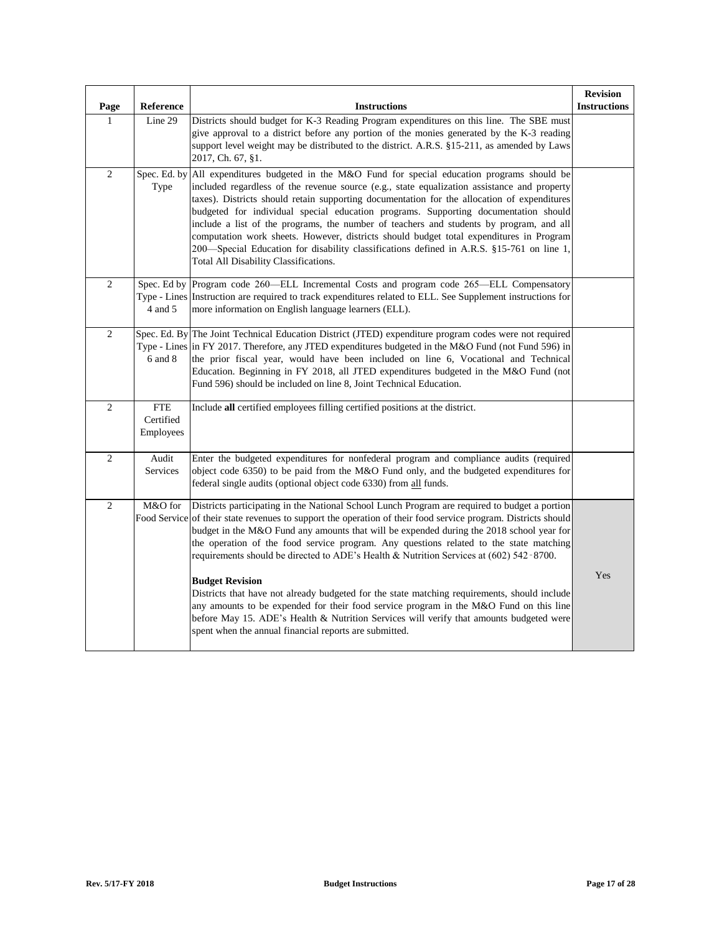| Page           | Reference                            | <b>Instructions</b>                                                                                                                                                                                                                                                                                                                                                                                                                                                                                                                                                                                                                                                                                 | <b>Revision</b><br><b>Instructions</b> |
|----------------|--------------------------------------|-----------------------------------------------------------------------------------------------------------------------------------------------------------------------------------------------------------------------------------------------------------------------------------------------------------------------------------------------------------------------------------------------------------------------------------------------------------------------------------------------------------------------------------------------------------------------------------------------------------------------------------------------------------------------------------------------------|----------------------------------------|
| $\mathbf{1}$   | Line 29                              | Districts should budget for K-3 Reading Program expenditures on this line. The SBE must<br>give approval to a district before any portion of the monies generated by the K-3 reading<br>support level weight may be distributed to the district. A.R.S. §15-211, as amended by Laws<br>2017, Ch. 67, §1.                                                                                                                                                                                                                                                                                                                                                                                            |                                        |
| $\overline{2}$ | Spec. Ed. by<br>Type                 | All expenditures budgeted in the M&O Fund for special education programs should be<br>included regardless of the revenue source (e.g., state equalization assistance and property<br>taxes). Districts should retain supporting documentation for the allocation of expenditures<br>budgeted for individual special education programs. Supporting documentation should<br>include a list of the programs, the number of teachers and students by program, and all<br>computation work sheets. However, districts should budget total expenditures in Program<br>200—Special Education for disability classifications defined in A.R.S. §15-761 on line 1,<br>Total All Disability Classifications. |                                        |
| 2              | 4 and 5                              | Spec. Ed by Program code 260—ELL Incremental Costs and program code 265—ELL Compensatory<br>Type - Lines Instruction are required to track expenditures related to ELL. See Supplement instructions for<br>more information on English language learners (ELL).                                                                                                                                                                                                                                                                                                                                                                                                                                     |                                        |
| $\overline{2}$ | 6 and 8                              | Spec. Ed. By The Joint Technical Education District (JTED) expenditure program codes were not required<br>Type - Lines in FY 2017. Therefore, any JTED expenditures budgeted in the M&O Fund (not Fund 596) in<br>the prior fiscal year, would have been included on line 6, Vocational and Technical<br>Education. Beginning in FY 2018, all JTED expenditures budgeted in the M&O Fund (not<br>Fund 596) should be included on line 8, Joint Technical Education.                                                                                                                                                                                                                                 |                                        |
| $\overline{c}$ | <b>FTE</b><br>Certified<br>Employees | Include all certified employees filling certified positions at the district.                                                                                                                                                                                                                                                                                                                                                                                                                                                                                                                                                                                                                        |                                        |
| 2              | Audit<br>Services                    | Enter the budgeted expenditures for nonfederal program and compliance audits (required<br>object code 6350) to be paid from the M&O Fund only, and the budgeted expenditures for<br>federal single audits (optional object code 6330) from all funds.                                                                                                                                                                                                                                                                                                                                                                                                                                               |                                        |
| $\overline{2}$ | M&O for<br>Food Service              | Districts participating in the National School Lunch Program are required to budget a portion<br>of their state revenues to support the operation of their food service program. Districts should<br>budget in the M&O Fund any amounts that will be expended during the 2018 school year for<br>the operation of the food service program. Any questions related to the state matching<br>requirements should be directed to ADE's Health & Nutrition Services at $(602)$ 542-8700.                                                                                                                                                                                                                |                                        |
|                |                                      | <b>Budget Revision</b><br>Districts that have not already budgeted for the state matching requirements, should include<br>any amounts to be expended for their food service program in the M&O Fund on this line<br>before May 15. ADE's Health & Nutrition Services will verify that amounts budgeted were<br>spent when the annual financial reports are submitted.                                                                                                                                                                                                                                                                                                                               | Yes                                    |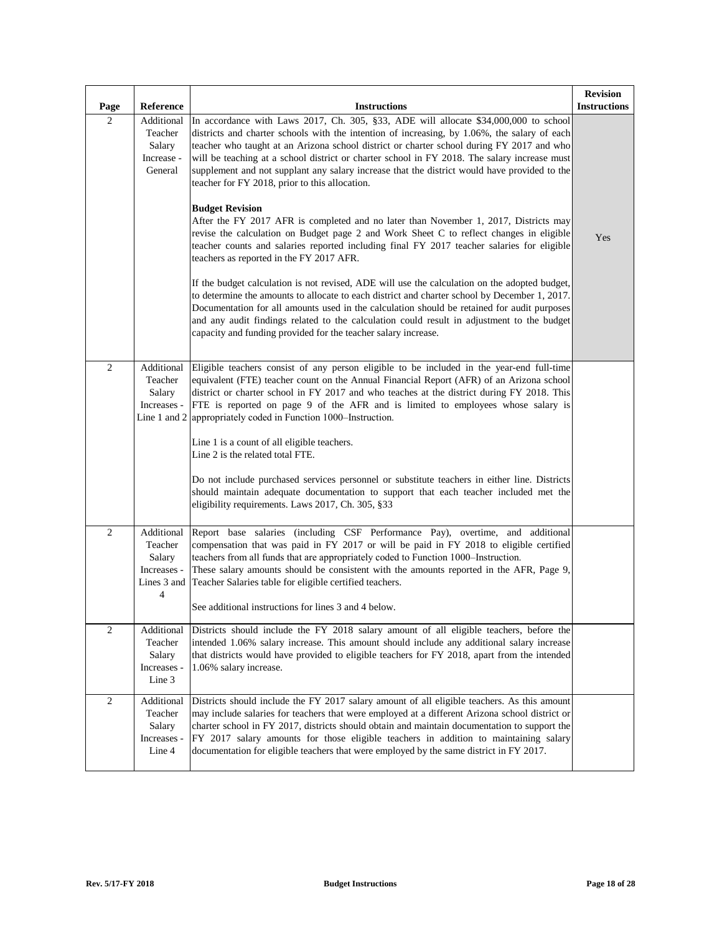| Page           | Reference                                                          | <b>Instructions</b>                                                                                                                                                                                                                                                                                                                                                                                                                                                                                                                 | <b>Revision</b><br><b>Instructions</b> |
|----------------|--------------------------------------------------------------------|-------------------------------------------------------------------------------------------------------------------------------------------------------------------------------------------------------------------------------------------------------------------------------------------------------------------------------------------------------------------------------------------------------------------------------------------------------------------------------------------------------------------------------------|----------------------------------------|
| 2              | Additional<br>Teacher<br>Salary<br>Increase -<br>General           | In accordance with Laws 2017, Ch. 305, §33, ADE will allocate \$34,000,000 to school<br>districts and charter schools with the intention of increasing, by 1.06%, the salary of each<br>teacher who taught at an Arizona school district or charter school during FY 2017 and who<br>will be teaching at a school district or charter school in FY 2018. The salary increase must<br>supplement and not supplant any salary increase that the district would have provided to the<br>teacher for FY 2018, prior to this allocation. |                                        |
|                |                                                                    | <b>Budget Revision</b><br>After the FY 2017 AFR is completed and no later than November 1, 2017, Districts may<br>revise the calculation on Budget page 2 and Work Sheet C to reflect changes in eligible<br>teacher counts and salaries reported including final FY 2017 teacher salaries for eligible<br>teachers as reported in the FY 2017 AFR.                                                                                                                                                                                 | Yes                                    |
|                |                                                                    | If the budget calculation is not revised, ADE will use the calculation on the adopted budget,<br>to determine the amounts to allocate to each district and charter school by December 1, 2017.<br>Documentation for all amounts used in the calculation should be retained for audit purposes<br>and any audit findings related to the calculation could result in adjustment to the budget<br>capacity and funding provided for the teacher salary increase.                                                                       |                                        |
| $\overline{2}$ | Additional<br>Teacher<br>Salary<br>Increases -<br>Line 1 and 2     | Eligible teachers consist of any person eligible to be included in the year-end full-time<br>equivalent (FTE) teacher count on the Annual Financial Report (AFR) of an Arizona school<br>district or charter school in FY 2017 and who teaches at the district during FY 2018. This<br>FTE is reported on page 9 of the AFR and is limited to employees whose salary is<br>appropriately coded in Function 1000–Instruction.<br>Line 1 is a count of all eligible teachers.                                                         |                                        |
|                |                                                                    | Line 2 is the related total FTE.<br>Do not include purchased services personnel or substitute teachers in either line. Districts<br>should maintain adequate documentation to support that each teacher included met the<br>eligibility requirements. Laws 2017, Ch. 305, §33                                                                                                                                                                                                                                                       |                                        |
| $\overline{2}$ | Additional<br>Teacher<br>Salary<br>Increases -<br>Lines 3 and<br>4 | Report base salaries (including CSF Performance Pay), overtime, and additional<br>compensation that was paid in FY 2017 or will be paid in FY 2018 to eligible certified<br>teachers from all funds that are appropriately coded to Function 1000–Instruction.<br>These salary amounts should be consistent with the amounts reported in the AFR, Page 9,<br>Teacher Salaries table for eligible certified teachers.<br>See additional instructions for lines 3 and 4 below.                                                        |                                        |
| $\mathbf{2}$   | Additional<br>Teacher<br>Salary<br>Increases -<br>Line 3           | Districts should include the FY 2018 salary amount of all eligible teachers, before the<br>intended 1.06% salary increase. This amount should include any additional salary increase<br>that districts would have provided to eligible teachers for FY 2018, apart from the intended<br>1.06% salary increase.                                                                                                                                                                                                                      |                                        |
| $\mathbf{2}$   | Additional<br>Teacher<br>Salary<br>Increases -<br>Line 4           | Districts should include the FY 2017 salary amount of all eligible teachers. As this amount<br>may include salaries for teachers that were employed at a different Arizona school district or<br>charter school in FY 2017, districts should obtain and maintain documentation to support the<br>FY 2017 salary amounts for those eligible teachers in addition to maintaining salary<br>documentation for eligible teachers that were employed by the same district in FY 2017.                                                    |                                        |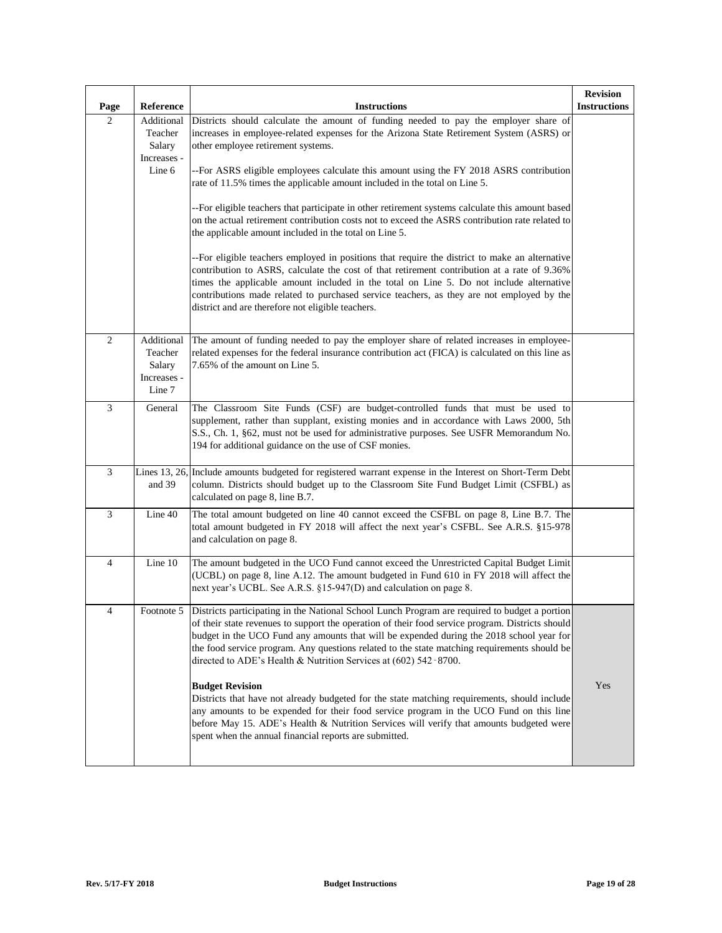| Page           | Reference                                                | <b>Instructions</b>                                                                                                                                                                                                                                                                                                                                                                                                                                                                                                                                                                                                                                                                                                                                                                                                                                                                                                                                                                                                                                                                                              | <b>Revision</b><br><b>Instructions</b> |
|----------------|----------------------------------------------------------|------------------------------------------------------------------------------------------------------------------------------------------------------------------------------------------------------------------------------------------------------------------------------------------------------------------------------------------------------------------------------------------------------------------------------------------------------------------------------------------------------------------------------------------------------------------------------------------------------------------------------------------------------------------------------------------------------------------------------------------------------------------------------------------------------------------------------------------------------------------------------------------------------------------------------------------------------------------------------------------------------------------------------------------------------------------------------------------------------------------|----------------------------------------|
| $\mathbf{2}$   | Additional<br>Teacher<br>Salary<br>Increases -<br>Line 6 | Districts should calculate the amount of funding needed to pay the employer share of<br>increases in employee-related expenses for the Arizona State Retirement System (ASRS) or<br>other employee retirement systems.<br>--For ASRS eligible employees calculate this amount using the FY 2018 ASRS contribution<br>rate of 11.5% times the applicable amount included in the total on Line 5.<br>-- For eligible teachers that participate in other retirement systems calculate this amount based<br>on the actual retirement contribution costs not to exceed the ASRS contribution rate related to<br>the applicable amount included in the total on Line 5.<br>-- For eligible teachers employed in positions that require the district to make an alternative<br>contribution to ASRS, calculate the cost of that retirement contribution at a rate of 9.36%<br>times the applicable amount included in the total on Line 5. Do not include alternative<br>contributions made related to purchased service teachers, as they are not employed by the<br>district and are therefore not eligible teachers. |                                        |
| $\overline{c}$ | Additional<br>Teacher<br>Salary<br>Increases -<br>Line 7 | The amount of funding needed to pay the employer share of related increases in employee-<br>related expenses for the federal insurance contribution act (FICA) is calculated on this line as<br>7.65% of the amount on Line 5.                                                                                                                                                                                                                                                                                                                                                                                                                                                                                                                                                                                                                                                                                                                                                                                                                                                                                   |                                        |
| 3              | General                                                  | The Classroom Site Funds (CSF) are budget-controlled funds that must be used to<br>supplement, rather than supplant, existing monies and in accordance with Laws 2000, 5th<br>S.S., Ch. 1, §62, must not be used for administrative purposes. See USFR Memorandum No.<br>194 for additional guidance on the use of CSF monies.                                                                                                                                                                                                                                                                                                                                                                                                                                                                                                                                                                                                                                                                                                                                                                                   |                                        |
| $\mathfrak{Z}$ | and 39                                                   | Lines 13, 26, Include amounts budgeted for registered warrant expense in the Interest on Short-Term Debt<br>column. Districts should budget up to the Classroom Site Fund Budget Limit (CSFBL) as<br>calculated on page 8, line B.7.                                                                                                                                                                                                                                                                                                                                                                                                                                                                                                                                                                                                                                                                                                                                                                                                                                                                             |                                        |
| $\mathfrak{Z}$ | Line 40                                                  | The total amount budgeted on line 40 cannot exceed the CSFBL on page 8, Line B.7. The<br>total amount budgeted in FY 2018 will affect the next year's CSFBL. See A.R.S. §15-978<br>and calculation on page 8.                                                                                                                                                                                                                                                                                                                                                                                                                                                                                                                                                                                                                                                                                                                                                                                                                                                                                                    |                                        |
| $\overline{4}$ | Line 10                                                  | The amount budgeted in the UCO Fund cannot exceed the Unrestricted Capital Budget Limit<br>(UCBL) on page 8, line A.12. The amount budgeted in Fund 610 in FY 2018 will affect the<br>next year's UCBL. See A.R.S. §15-947(D) and calculation on page 8.                                                                                                                                                                                                                                                                                                                                                                                                                                                                                                                                                                                                                                                                                                                                                                                                                                                         |                                        |
|                |                                                          | Footnote 5   Districts participating in the National School Lunch Program are required to budget a portion<br>of their state revenues to support the operation of their food service program. Districts should<br>budget in the UCO Fund any amounts that will be expended during the 2018 school year for<br>the food service program. Any questions related to the state matching requirements should be<br>directed to ADE's Health & Nutrition Services at (602) 542-8700.<br><b>Budget Revision</b><br>Districts that have not already budgeted for the state matching requirements, should include<br>any amounts to be expended for their food service program in the UCO Fund on this line<br>before May 15. ADE's Health & Nutrition Services will verify that amounts budgeted were<br>spent when the annual financial reports are submitted.                                                                                                                                                                                                                                                          | Yes                                    |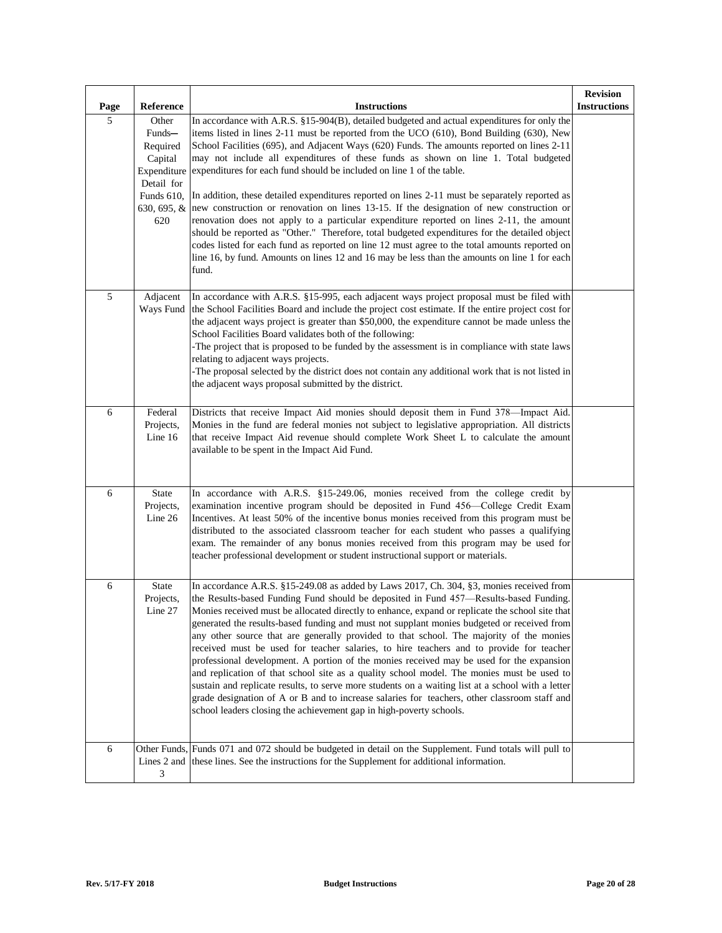| Page | Reference                                                           | <b>Instructions</b>                                                                                                                                                                                                                                                                                                                                                                                                                                                                                                                                                                                                                                                                                                                                                                                                                                                                                                                                                                                                                           | <b>Revision</b><br><b>Instructions</b> |
|------|---------------------------------------------------------------------|-----------------------------------------------------------------------------------------------------------------------------------------------------------------------------------------------------------------------------------------------------------------------------------------------------------------------------------------------------------------------------------------------------------------------------------------------------------------------------------------------------------------------------------------------------------------------------------------------------------------------------------------------------------------------------------------------------------------------------------------------------------------------------------------------------------------------------------------------------------------------------------------------------------------------------------------------------------------------------------------------------------------------------------------------|----------------------------------------|
| 5    | Other<br>Funds-<br>Required<br>Capital<br>Expenditure<br>Detail for | In accordance with A.R.S. §15-904(B), detailed budgeted and actual expenditures for only the<br>items listed in lines $2-11$ must be reported from the UCO (610), Bond Building (630), New<br>School Facilities (695), and Adjacent Ways (620) Funds. The amounts reported on lines 2-11<br>may not include all expenditures of these funds as shown on line 1. Total budgeted<br>expenditures for each fund should be included on line 1 of the table.                                                                                                                                                                                                                                                                                                                                                                                                                                                                                                                                                                                       |                                        |
|      | Funds 610,<br>630, 695, &<br>620                                    | In addition, these detailed expenditures reported on lines 2-11 must be separately reported as<br>new construction or renovation on lines 13-15. If the designation of new construction or<br>renovation does not apply to a particular expenditure reported on lines 2-11, the amount<br>should be reported as "Other." Therefore, total budgeted expenditures for the detailed object<br>codes listed for each fund as reported on line 12 must agree to the total amounts reported on<br>line 16, by fund. Amounts on lines 12 and 16 may be less than the amounts on line 1 for each<br>fund.                                                                                                                                                                                                                                                                                                                                                                                                                                             |                                        |
| 5    | Adjacent<br>Ways Fund                                               | In accordance with A.R.S. §15-995, each adjacent ways project proposal must be filed with<br>the School Facilities Board and include the project cost estimate. If the entire project cost for<br>the adjacent ways project is greater than \$50,000, the expenditure cannot be made unless the<br>School Facilities Board validates both of the following:<br>The project that is proposed to be funded by the assessment is in compliance with state laws<br>relating to adjacent ways projects.<br>The proposal selected by the district does not contain any additional work that is not listed in<br>the adjacent ways proposal submitted by the district.                                                                                                                                                                                                                                                                                                                                                                               |                                        |
| 6    | Federal<br>Projects,<br>Line 16                                     | Districts that receive Impact Aid monies should deposit them in Fund 378—Impact Aid.<br>Monies in the fund are federal monies not subject to legislative appropriation. All districts<br>that receive Impact Aid revenue should complete Work Sheet L to calculate the amount<br>available to be spent in the Impact Aid Fund.                                                                                                                                                                                                                                                                                                                                                                                                                                                                                                                                                                                                                                                                                                                |                                        |
| 6    | State<br>Projects,<br>Line $26$                                     | In accordance with A.R.S. §15-249.06, monies received from the college credit by<br>examination incentive program should be deposited in Fund 456—College Credit Exam<br>Incentives. At least 50% of the incentive bonus monies received from this program must be<br>distributed to the associated classroom teacher for each student who passes a qualifying<br>exam. The remainder of any bonus monies received from this program may be used for<br>teacher professional development or student instructional support or materials.                                                                                                                                                                                                                                                                                                                                                                                                                                                                                                       |                                        |
| 6    | <b>State</b><br>Projects,<br>Line 27                                | In accordance A.R.S. §15-249.08 as added by Laws 2017, Ch. 304, §3, monies received from<br>the Results-based Funding Fund should be deposited in Fund 457—Results-based Funding.<br>Monies received must be allocated directly to enhance, expand or replicate the school site that<br>generated the results-based funding and must not supplant monies budgeted or received from<br>any other source that are generally provided to that school. The majority of the monies<br>received must be used for teacher salaries, to hire teachers and to provide for teacher<br>professional development. A portion of the monies received may be used for the expansion<br>and replication of that school site as a quality school model. The monies must be used to<br>sustain and replicate results, to serve more students on a waiting list at a school with a letter<br>grade designation of A or B and to increase salaries for teachers, other classroom staff and<br>school leaders closing the achievement gap in high-poverty schools. |                                        |
| 6    | Lines 2 and<br>3                                                    | Other Funds, Funds 071 and 072 should be budgeted in detail on the Supplement. Fund totals will pull to<br>these lines. See the instructions for the Supplement for additional information.                                                                                                                                                                                                                                                                                                                                                                                                                                                                                                                                                                                                                                                                                                                                                                                                                                                   |                                        |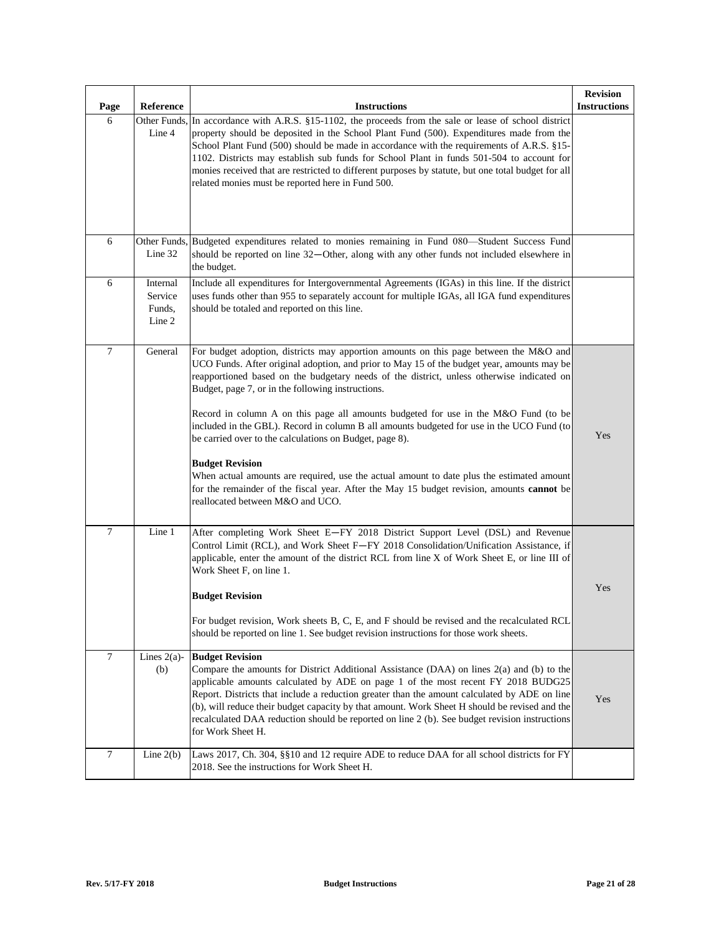| Page           | Reference                               | <b>Instructions</b>                                                                                                                                                                                                                                                                                                                                                                                                                                                                                                                                                                                                                                                                                                                                                                                                                          | <b>Revision</b><br><b>Instructions</b> |
|----------------|-----------------------------------------|----------------------------------------------------------------------------------------------------------------------------------------------------------------------------------------------------------------------------------------------------------------------------------------------------------------------------------------------------------------------------------------------------------------------------------------------------------------------------------------------------------------------------------------------------------------------------------------------------------------------------------------------------------------------------------------------------------------------------------------------------------------------------------------------------------------------------------------------|----------------------------------------|
| 6              | Line 4                                  | Other Funds, In accordance with A.R.S. §15-1102, the proceeds from the sale or lease of school district<br>property should be deposited in the School Plant Fund (500). Expenditures made from the<br>School Plant Fund (500) should be made in accordance with the requirements of A.R.S. §15-<br>1102. Districts may establish sub funds for School Plant in funds 501-504 to account for<br>monies received that are restricted to different purposes by statute, but one total budget for all<br>related monies must be reported here in Fund 500.                                                                                                                                                                                                                                                                                       |                                        |
| 6              | Line 32                                 | Other Funds, Budgeted expenditures related to monies remaining in Fund 080—Student Success Fund<br>should be reported on line 32—Other, along with any other funds not included elsewhere in<br>the budget.                                                                                                                                                                                                                                                                                                                                                                                                                                                                                                                                                                                                                                  |                                        |
| 6              | Internal<br>Service<br>Funds,<br>Line 2 | Include all expenditures for Intergovernmental Agreements (IGAs) in this line. If the district<br>uses funds other than 955 to separately account for multiple IGAs, all IGA fund expenditures<br>should be totaled and reported on this line.                                                                                                                                                                                                                                                                                                                                                                                                                                                                                                                                                                                               |                                        |
| $\overline{7}$ | General                                 | For budget adoption, districts may apportion amounts on this page between the M&O and<br>UCO Funds. After original adoption, and prior to May 15 of the budget year, amounts may be<br>reapportioned based on the budgetary needs of the district, unless otherwise indicated on<br>Budget, page 7, or in the following instructions.<br>Record in column A on this page all amounts budgeted for use in the M&O Fund (to be<br>included in the GBL). Record in column B all amounts budgeted for use in the UCO Fund (to<br>be carried over to the calculations on Budget, page 8).<br><b>Budget Revision</b><br>When actual amounts are required, use the actual amount to date plus the estimated amount<br>for the remainder of the fiscal year. After the May 15 budget revision, amounts cannot be<br>reallocated between M&O and UCO. | Yes                                    |
| $\tau$         | Line 1                                  | After completing Work Sheet E-FY 2018 District Support Level (DSL) and Revenue<br>Control Limit (RCL), and Work Sheet F-FY 2018 Consolidation/Unification Assistance, if<br>applicable, enter the amount of the district RCL from line X of Work Sheet E, or line III of<br>Work Sheet F, on line 1.<br><b>Budget Revision</b><br>For budget revision, Work sheets B, C, E, and F should be revised and the recalculated RCL<br>should be reported on line 1. See budget revision instructions for those work sheets.                                                                                                                                                                                                                                                                                                                        | Yes                                    |
| $\tau$         | Lines $2(a)$ -<br>(b)                   | <b>Budget Revision</b><br>Compare the amounts for District Additional Assistance (DAA) on lines 2(a) and (b) to the<br>applicable amounts calculated by ADE on page 1 of the most recent FY 2018 BUDG25<br>Report. Districts that include a reduction greater than the amount calculated by ADE on line<br>(b), will reduce their budget capacity by that amount. Work Sheet H should be revised and the<br>recalculated DAA reduction should be reported on line 2 (b). See budget revision instructions<br>for Work Sheet H.                                                                                                                                                                                                                                                                                                               | Yes                                    |
| $\tau$         | Line $2(b)$                             | Laws 2017, Ch. 304, §§10 and 12 require ADE to reduce DAA for all school districts for FY<br>2018. See the instructions for Work Sheet H.                                                                                                                                                                                                                                                                                                                                                                                                                                                                                                                                                                                                                                                                                                    |                                        |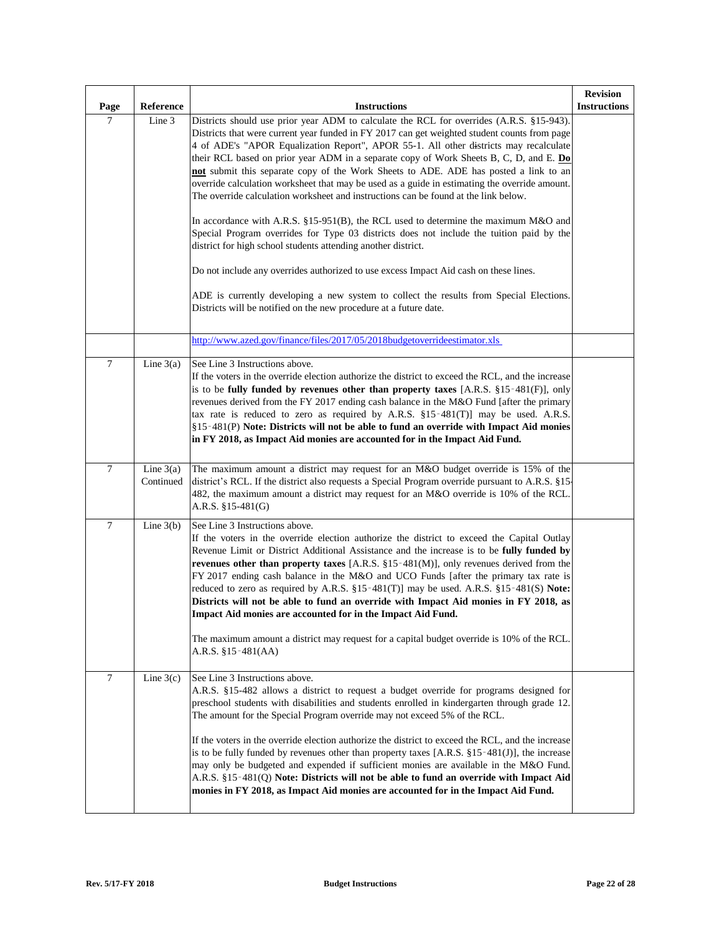| Page   | Reference                | <b>Instructions</b>                                                                                                                                                                                                                                                                                                                                                                                                                                                                                                                                                                                                                                                                                                                                                                          | <b>Revision</b><br><b>Instructions</b> |
|--------|--------------------------|----------------------------------------------------------------------------------------------------------------------------------------------------------------------------------------------------------------------------------------------------------------------------------------------------------------------------------------------------------------------------------------------------------------------------------------------------------------------------------------------------------------------------------------------------------------------------------------------------------------------------------------------------------------------------------------------------------------------------------------------------------------------------------------------|----------------------------------------|
| $\tau$ | Line 3                   | Districts should use prior year ADM to calculate the RCL for overrides (A.R.S. §15-943).<br>Districts that were current year funded in FY 2017 can get weighted student counts from page<br>4 of ADE's "APOR Equalization Report", APOR 55-1. All other districts may recalculate<br>their RCL based on prior year ADM in a separate copy of Work Sheets B, C, D, and E. Do<br>not submit this separate copy of the Work Sheets to ADE. ADE has posted a link to an<br>override calculation worksheet that may be used as a guide in estimating the override amount.<br>The override calculation worksheet and instructions can be found at the link below.                                                                                                                                  |                                        |
|        |                          | In accordance with A.R.S. §15-951(B), the RCL used to determine the maximum M&O and<br>Special Program overrides for Type 03 districts does not include the tuition paid by the<br>district for high school students attending another district.                                                                                                                                                                                                                                                                                                                                                                                                                                                                                                                                             |                                        |
|        |                          | Do not include any overrides authorized to use excess Impact Aid cash on these lines.<br>ADE is currently developing a new system to collect the results from Special Elections.<br>Districts will be notified on the new procedure at a future date.                                                                                                                                                                                                                                                                                                                                                                                                                                                                                                                                        |                                        |
|        |                          | http://www.azed.gov/finance/files/2017/05/2018budgetoverrideestimator.xls                                                                                                                                                                                                                                                                                                                                                                                                                                                                                                                                                                                                                                                                                                                    |                                        |
| $\tau$ | Line $3(a)$              | See Line 3 Instructions above.<br>If the voters in the override election authorize the district to exceed the RCL, and the increase<br>is to be fully funded by revenues other than property taxes $[A.R.S. §15-481(F)],$ only<br>revenues derived from the FY 2017 ending cash balance in the M&O Fund [after the primary<br>tax rate is reduced to zero as required by A.R.S. §15-481(T)] may be used. A.R.S.<br>§15-481(P) Note: Districts will not be able to fund an override with Impact Aid monies<br>in FY 2018, as Impact Aid monies are accounted for in the Impact Aid Fund.                                                                                                                                                                                                      |                                        |
| $\tau$ | Line $3(a)$<br>Continued | The maximum amount a district may request for an M&O budget override is 15% of the<br>district's RCL. If the district also requests a Special Program override pursuant to A.R.S. §15<br>482, the maximum amount a district may request for an M&O override is 10% of the RCL.<br>A.R.S. §15-481(G)                                                                                                                                                                                                                                                                                                                                                                                                                                                                                          |                                        |
| $\tau$ | Line $3(b)$              | See Line 3 Instructions above.<br>If the voters in the override election authorize the district to exceed the Capital Outlay<br>Revenue Limit or District Additional Assistance and the increase is to be fully funded by<br>revenues other than property taxes [A.R.S. $\S15$ -481(M)], only revenues derived from the<br>FY 2017 ending cash balance in the M&O and UCO Funds [after the primary tax rate is<br>reduced to zero as required by A.R.S. $\S15-481(T)$ ] may be used. A.R.S. $\S15-481(S)$ Note:<br>Districts will not be able to fund an override with Impact Aid monies in FY 2018, as<br>Impact Aid monies are accounted for in the Impact Aid Fund.<br>The maximum amount a district may request for a capital budget override is 10% of the RCL.<br>A.R.S. $§15-481(AA)$ |                                        |
| $\tau$ | Line $3(c)$              | See Line 3 Instructions above.<br>A.R.S. §15-482 allows a district to request a budget override for programs designed for<br>preschool students with disabilities and students enrolled in kindergarten through grade 12.<br>The amount for the Special Program override may not exceed 5% of the RCL.<br>If the voters in the override election authorize the district to exceed the RCL, and the increase<br>is to be fully funded by revenues other than property taxes [A.R.S. $\S 15 - 481(J)$ ], the increase<br>may only be budgeted and expended if sufficient monies are available in the M&O Fund.<br>A.R.S. §15-481(Q) Note: Districts will not be able to fund an override with Impact Aid<br>monies in FY 2018, as Impact Aid monies are accounted for in the Impact Aid Fund.  |                                        |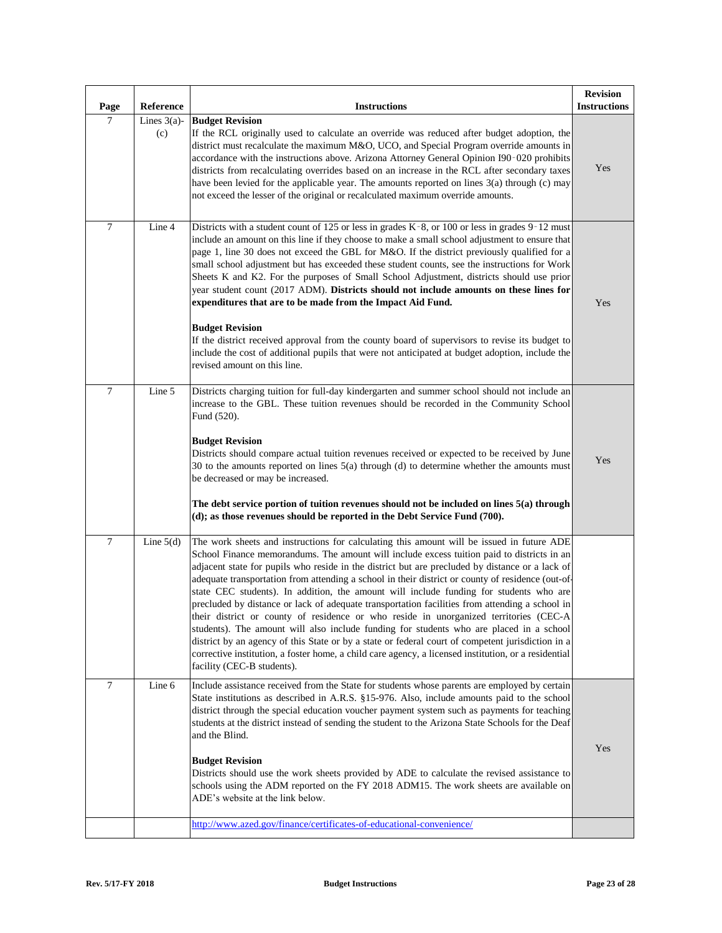| Page           | Reference             | <b>Instructions</b>                                                                                                                                                                                                                                                                                                                                                                                                                                                                                                                                                                                                                                                                                                                                                                                                                                                                                                                                                                                                        | <b>Revision</b><br><b>Instructions</b> |
|----------------|-----------------------|----------------------------------------------------------------------------------------------------------------------------------------------------------------------------------------------------------------------------------------------------------------------------------------------------------------------------------------------------------------------------------------------------------------------------------------------------------------------------------------------------------------------------------------------------------------------------------------------------------------------------------------------------------------------------------------------------------------------------------------------------------------------------------------------------------------------------------------------------------------------------------------------------------------------------------------------------------------------------------------------------------------------------|----------------------------------------|
| $\overline{7}$ | Lines $3(a)$ -<br>(c) | <b>Budget Revision</b><br>If the RCL originally used to calculate an override was reduced after budget adoption, the<br>district must recalculate the maximum M&O, UCO, and Special Program override amounts in<br>accordance with the instructions above. Arizona Attorney General Opinion I90-020 prohibits<br>districts from recalculating overrides based on an increase in the RCL after secondary taxes<br>have been levied for the applicable year. The amounts reported on lines 3(a) through (c) may<br>not exceed the lesser of the original or recalculated maximum override amounts.                                                                                                                                                                                                                                                                                                                                                                                                                           | Yes                                    |
| 7              | Line 4                | Districts with a student count of 125 or less in grades K-8, or 100 or less in grades 9-12 must<br>include an amount on this line if they choose to make a small school adjustment to ensure that<br>page 1, line 30 does not exceed the GBL for M&O. If the district previously qualified for a<br>small school adjustment but has exceeded these student counts, see the instructions for Work<br>Sheets K and K2. For the purposes of Small School Adjustment, districts should use prior<br>year student count (2017 ADM). Districts should not include amounts on these lines for<br>expenditures that are to be made from the Impact Aid Fund.<br><b>Budget Revision</b><br>If the district received approval from the county board of supervisors to revise its budget to<br>include the cost of additional pupils that were not anticipated at budget adoption, include the<br>revised amount on this line.                                                                                                        | Yes                                    |
| 7              | Line 5                | Districts charging tuition for full-day kindergarten and summer school should not include an<br>increase to the GBL. These tuition revenues should be recorded in the Community School<br>Fund (520).<br><b>Budget Revision</b><br>Districts should compare actual tuition revenues received or expected to be received by June<br>30 to the amounts reported on lines $5(a)$ through (d) to determine whether the amounts must<br>be decreased or may be increased.<br>The debt service portion of tuition revenues should not be included on lines 5(a) through<br>(d); as those revenues should be reported in the Debt Service Fund (700).                                                                                                                                                                                                                                                                                                                                                                             | Yes                                    |
| $\overline{7}$ | Line $5(d)$           | The work sheets and instructions for calculating this amount will be issued in future ADE<br>School Finance memorandums. The amount will include excess tuition paid to districts in an<br>adjacent state for pupils who reside in the district but are precluded by distance or a lack of<br>adequate transportation from attending a school in their district or county of residence (out-of-<br>state CEC students). In addition, the amount will include funding for students who are<br>precluded by distance or lack of adequate transportation facilities from attending a school in<br>their district or county of residence or who reside in unorganized territories (CEC-A<br>students). The amount will also include funding for students who are placed in a school<br>district by an agency of this State or by a state or federal court of competent jurisdiction in a<br>corrective institution, a foster home, a child care agency, a licensed institution, or a residential<br>facility (CEC-B students). |                                        |
| 7              | Line 6                | Include assistance received from the State for students whose parents are employed by certain<br>State institutions as described in A.R.S. §15-976. Also, include amounts paid to the school<br>district through the special education voucher payment system such as payments for teaching<br>students at the district instead of sending the student to the Arizona State Schools for the Deaf<br>and the Blind.<br><b>Budget Revision</b><br>Districts should use the work sheets provided by ADE to calculate the revised assistance to<br>schools using the ADM reported on the FY 2018 ADM15. The work sheets are available on<br>ADE's website at the link below.                                                                                                                                                                                                                                                                                                                                                   | Yes                                    |
|                |                       | http://www.azed.gov/finance/certificates-of-educational-convenience/                                                                                                                                                                                                                                                                                                                                                                                                                                                                                                                                                                                                                                                                                                                                                                                                                                                                                                                                                       |                                        |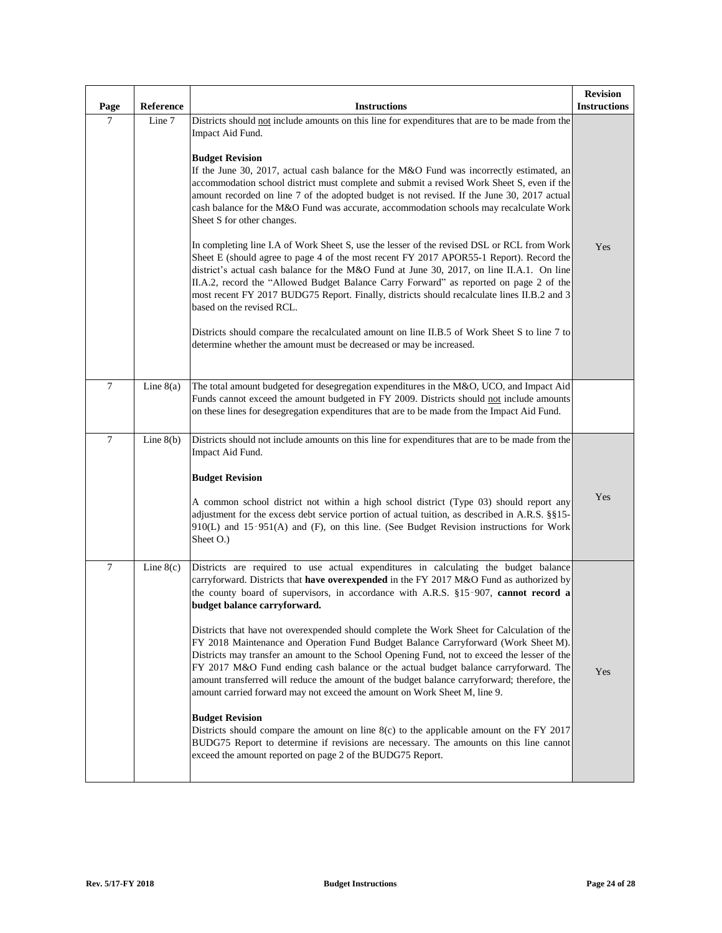| Page             | Reference   | <b>Instructions</b>                                                                                                                                                                                                                                                                                                                                                                                                                                                                                                                                                                                                                                                                                                                                                                                                                                                                                                                                                                                                                                                                                                                                                                                                                               | <b>Revision</b><br><b>Instructions</b> |
|------------------|-------------|---------------------------------------------------------------------------------------------------------------------------------------------------------------------------------------------------------------------------------------------------------------------------------------------------------------------------------------------------------------------------------------------------------------------------------------------------------------------------------------------------------------------------------------------------------------------------------------------------------------------------------------------------------------------------------------------------------------------------------------------------------------------------------------------------------------------------------------------------------------------------------------------------------------------------------------------------------------------------------------------------------------------------------------------------------------------------------------------------------------------------------------------------------------------------------------------------------------------------------------------------|----------------------------------------|
| 7                | Line 7      | Districts should not include amounts on this line for expenditures that are to be made from the<br>Impact Aid Fund.<br><b>Budget Revision</b><br>If the June 30, 2017, actual cash balance for the M&O Fund was incorrectly estimated, an<br>accommodation school district must complete and submit a revised Work Sheet S, even if the<br>amount recorded on line 7 of the adopted budget is not revised. If the June 30, 2017 actual<br>cash balance for the M&O Fund was accurate, accommodation schools may recalculate Work<br>Sheet S for other changes.<br>In completing line I.A of Work Sheet S, use the lesser of the revised DSL or RCL from Work<br>Sheet E (should agree to page 4 of the most recent FY 2017 APOR55-1 Report). Record the<br>district's actual cash balance for the M&O Fund at June 30, 2017, on line II.A.1. On line<br>II.A.2, record the "Allowed Budget Balance Carry Forward" as reported on page 2 of the<br>most recent FY 2017 BUDG75 Report. Finally, districts should recalculate lines II.B.2 and 3<br>based on the revised RCL.<br>Districts should compare the recalculated amount on line II.B.5 of Work Sheet S to line 7 to<br>determine whether the amount must be decreased or may be increased. | Yes                                    |
| $\boldsymbol{7}$ | Line $8(a)$ | The total amount budgeted for desegregation expenditures in the M&O, UCO, and Impact Aid<br>Funds cannot exceed the amount budgeted in FY 2009. Districts should not include amounts<br>on these lines for desegregation expenditures that are to be made from the Impact Aid Fund.                                                                                                                                                                                                                                                                                                                                                                                                                                                                                                                                                                                                                                                                                                                                                                                                                                                                                                                                                               |                                        |
| $\boldsymbol{7}$ | Line $8(b)$ | Districts should not include amounts on this line for expenditures that are to be made from the<br>Impact Aid Fund.<br><b>Budget Revision</b><br>A common school district not within a high school district (Type 03) should report any<br>adjustment for the excess debt service portion of actual tuition, as described in A.R.S. §§15-<br>910(L) and 15-951(A) and (F), on this line. (See Budget Revision instructions for Work<br>Sheet O.)                                                                                                                                                                                                                                                                                                                                                                                                                                                                                                                                                                                                                                                                                                                                                                                                  | Yes                                    |
| $\boldsymbol{7}$ | Line $8(c)$ | Districts are required to use actual expenditures in calculating the budget balance<br>carryforward. Districts that have overexpended in the FY 2017 M&O Fund as authorized by<br>the county board of supervisors, in accordance with A.R.S. §15-907, cannot record a<br>budget balance carryforward.<br>Districts that have not overexpended should complete the Work Sheet for Calculation of the<br>FY 2018 Maintenance and Operation Fund Budget Balance Carryforward (Work Sheet M).<br>Districts may transfer an amount to the School Opening Fund, not to exceed the lesser of the<br>FY 2017 M&O Fund ending cash balance or the actual budget balance carryforward. The<br>amount transferred will reduce the amount of the budget balance carryforward; therefore, the<br>amount carried forward may not exceed the amount on Work Sheet M, line 9.<br><b>Budget Revision</b><br>Districts should compare the amount on line $8(c)$ to the applicable amount on the FY 2017<br>BUDG75 Report to determine if revisions are necessary. The amounts on this line cannot<br>exceed the amount reported on page 2 of the BUDG75 Report.                                                                                                     | Yes                                    |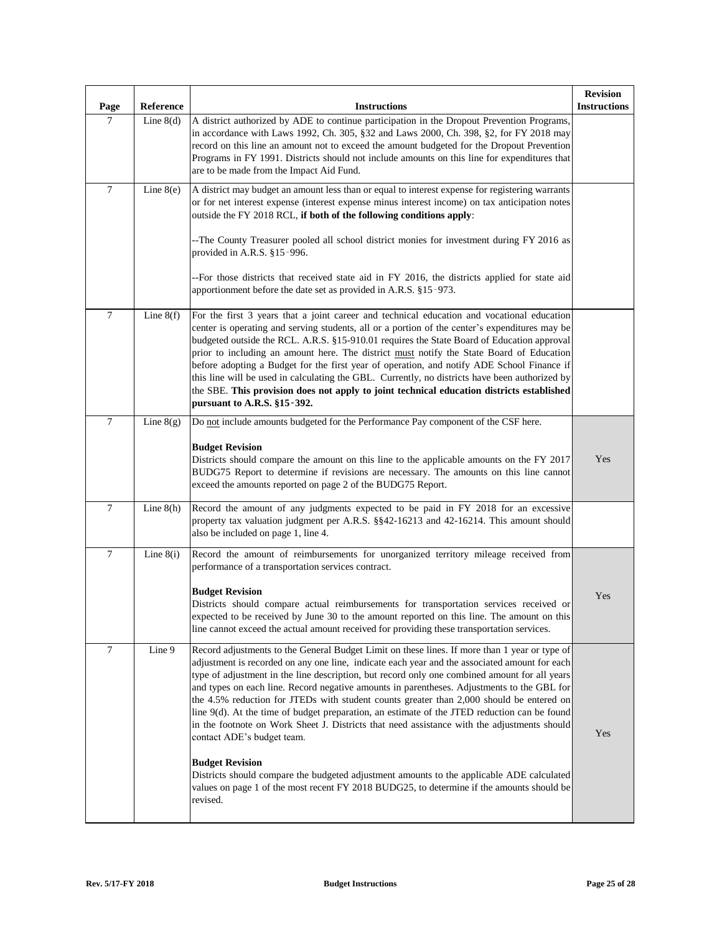| Page             | Reference   | <b>Instructions</b>                                                                                                                                                                                                                                                                                                                                                                                                                                                                                                                                                                                                                                                                                                                                                                                                                                                                                                                                    | <b>Revision</b><br><b>Instructions</b> |
|------------------|-------------|--------------------------------------------------------------------------------------------------------------------------------------------------------------------------------------------------------------------------------------------------------------------------------------------------------------------------------------------------------------------------------------------------------------------------------------------------------------------------------------------------------------------------------------------------------------------------------------------------------------------------------------------------------------------------------------------------------------------------------------------------------------------------------------------------------------------------------------------------------------------------------------------------------------------------------------------------------|----------------------------------------|
| $\tau$           | Line $8(d)$ | A district authorized by ADE to continue participation in the Dropout Prevention Programs.<br>in accordance with Laws 1992, Ch. 305, §32 and Laws 2000, Ch. 398, §2, for FY 2018 may<br>record on this line an amount not to exceed the amount budgeted for the Dropout Prevention<br>Programs in FY 1991. Districts should not include amounts on this line for expenditures that<br>are to be made from the Impact Aid Fund.                                                                                                                                                                                                                                                                                                                                                                                                                                                                                                                         |                                        |
| $\boldsymbol{7}$ | Line $8(e)$ | A district may budget an amount less than or equal to interest expense for registering warrants<br>or for net interest expense (interest expense minus interest income) on tax anticipation notes<br>outside the FY 2018 RCL, if both of the following conditions apply:                                                                                                                                                                                                                                                                                                                                                                                                                                                                                                                                                                                                                                                                               |                                        |
|                  |             | --The County Treasurer pooled all school district monies for investment during FY 2016 as<br>provided in A.R.S. §15-996.                                                                                                                                                                                                                                                                                                                                                                                                                                                                                                                                                                                                                                                                                                                                                                                                                               |                                        |
|                  |             | --For those districts that received state aid in FY 2016, the districts applied for state aid<br>apportionment before the date set as provided in A.R.S. §15-973.                                                                                                                                                                                                                                                                                                                                                                                                                                                                                                                                                                                                                                                                                                                                                                                      |                                        |
| $\boldsymbol{7}$ | Line $8(f)$ | For the first 3 years that a joint career and technical education and vocational education<br>center is operating and serving students, all or a portion of the center's expenditures may be<br>budgeted outside the RCL. A.R.S. §15-910.01 requires the State Board of Education approval<br>prior to including an amount here. The district must notify the State Board of Education<br>before adopting a Budget for the first year of operation, and notify ADE School Finance if<br>this line will be used in calculating the GBL. Currently, no districts have been authorized by<br>the SBE. This provision does not apply to joint technical education districts established<br>pursuant to A.R.S. §15-392.                                                                                                                                                                                                                                     |                                        |
| $\boldsymbol{7}$ | Line $8(g)$ | Do not include amounts budgeted for the Performance Pay component of the CSF here.                                                                                                                                                                                                                                                                                                                                                                                                                                                                                                                                                                                                                                                                                                                                                                                                                                                                     |                                        |
|                  |             | <b>Budget Revision</b><br>Districts should compare the amount on this line to the applicable amounts on the FY 2017<br>BUDG75 Report to determine if revisions are necessary. The amounts on this line cannot<br>exceed the amounts reported on page 2 of the BUDG75 Report.                                                                                                                                                                                                                                                                                                                                                                                                                                                                                                                                                                                                                                                                           | Yes                                    |
| $\boldsymbol{7}$ | Line $8(h)$ | Record the amount of any judgments expected to be paid in FY 2018 for an excessive<br>property tax valuation judgment per A.R.S. §§42-16213 and 42-16214. This amount should<br>also be included on page 1, line 4.                                                                                                                                                                                                                                                                                                                                                                                                                                                                                                                                                                                                                                                                                                                                    |                                        |
| $\boldsymbol{7}$ | Line $8(i)$ | Record the amount of reimbursements for unorganized territory mileage received from<br>performance of a transportation services contract.                                                                                                                                                                                                                                                                                                                                                                                                                                                                                                                                                                                                                                                                                                                                                                                                              |                                        |
|                  |             | <b>Budget Revision</b><br>Districts should compare actual reimbursements for transportation services received or<br>expected to be received by June 30 to the amount reported on this line. The amount on this<br>line cannot exceed the actual amount received for providing these transportation services.                                                                                                                                                                                                                                                                                                                                                                                                                                                                                                                                                                                                                                           | Yes                                    |
| $\tau$           | Line 9      | Record adjustments to the General Budget Limit on these lines. If more than 1 year or type of<br>adjustment is recorded on any one line, indicate each year and the associated amount for each<br>type of adjustment in the line description, but record only one combined amount for all years<br>and types on each line. Record negative amounts in parentheses. Adjustments to the GBL for<br>the 4.5% reduction for JTEDs with student counts greater than 2,000 should be entered on<br>line 9(d). At the time of budget preparation, an estimate of the JTED reduction can be found<br>in the footnote on Work Sheet J. Districts that need assistance with the adjustments should<br>contact ADE's budget team.<br><b>Budget Revision</b><br>Districts should compare the budgeted adjustment amounts to the applicable ADE calculated<br>values on page 1 of the most recent FY 2018 BUDG25, to determine if the amounts should be<br>revised. | Yes                                    |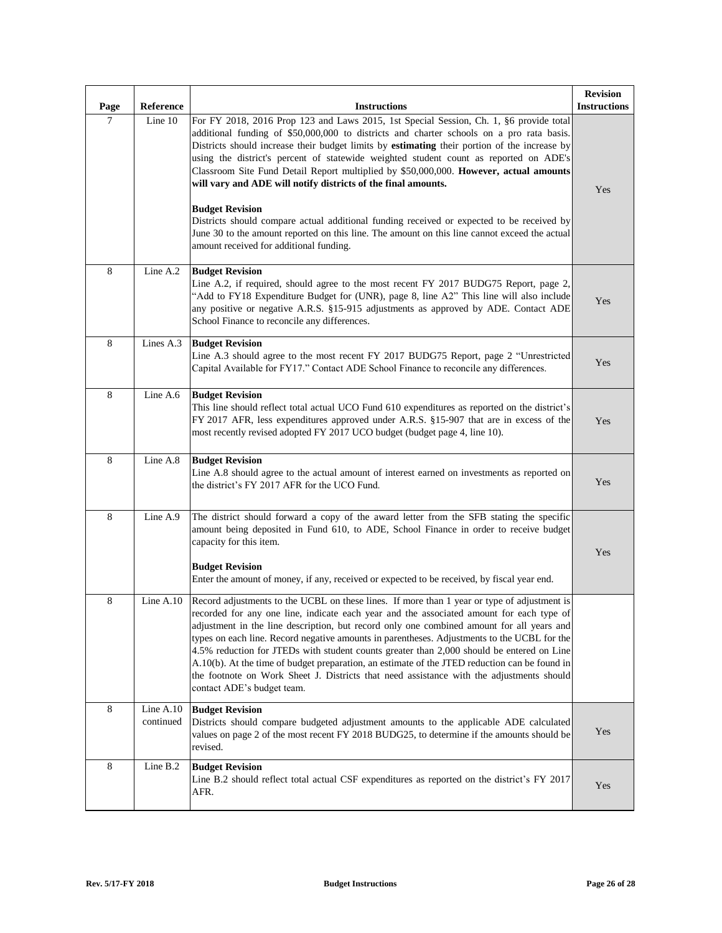| Page    | Reference              | <b>Instructions</b>                                                                                                                                                                                                                                                                                                                                                                                                                                                                                                                                                                                                                                                                                                                                                                                      | <b>Revision</b><br><b>Instructions</b> |
|---------|------------------------|----------------------------------------------------------------------------------------------------------------------------------------------------------------------------------------------------------------------------------------------------------------------------------------------------------------------------------------------------------------------------------------------------------------------------------------------------------------------------------------------------------------------------------------------------------------------------------------------------------------------------------------------------------------------------------------------------------------------------------------------------------------------------------------------------------|----------------------------------------|
| $\tau$  | Line 10                | For FY 2018, 2016 Prop 123 and Laws 2015, 1st Special Session, Ch. 1, §6 provide total<br>additional funding of \$50,000,000 to districts and charter schools on a pro rata basis.<br>Districts should increase their budget limits by estimating their portion of the increase by<br>using the district's percent of statewide weighted student count as reported on ADE's<br>Classroom Site Fund Detail Report multiplied by \$50,000,000. However, actual amounts<br>will vary and ADE will notify districts of the final amounts.<br><b>Budget Revision</b><br>Districts should compare actual additional funding received or expected to be received by<br>June 30 to the amount reported on this line. The amount on this line cannot exceed the actual<br>amount received for additional funding. | Yes                                    |
| 8       | Line A.2               | <b>Budget Revision</b><br>Line A.2, if required, should agree to the most recent FY 2017 BUDG75 Report, page 2,<br>"Add to FY18 Expenditure Budget for (UNR), page 8, line A2" This line will also include<br>any positive or negative A.R.S. §15-915 adjustments as approved by ADE. Contact ADE<br>School Finance to reconcile any differences.                                                                                                                                                                                                                                                                                                                                                                                                                                                        | Yes                                    |
| $\,8\,$ | Lines A.3              | <b>Budget Revision</b><br>Line A.3 should agree to the most recent FY 2017 BUDG75 Report, page 2 "Unrestricted<br>Capital Available for FY17." Contact ADE School Finance to reconcile any differences.                                                                                                                                                                                                                                                                                                                                                                                                                                                                                                                                                                                                  | Yes                                    |
| 8       | Line A.6               | <b>Budget Revision</b><br>This line should reflect total actual UCO Fund 610 expenditures as reported on the district's<br>FY 2017 AFR, less expenditures approved under A.R.S. §15-907 that are in excess of the<br>most recently revised adopted FY 2017 UCO budget (budget page 4, line 10).                                                                                                                                                                                                                                                                                                                                                                                                                                                                                                          | Yes                                    |
| $\,8\,$ | Line A.8               | <b>Budget Revision</b><br>Line A.8 should agree to the actual amount of interest earned on investments as reported on<br>the district's FY 2017 AFR for the UCO Fund.                                                                                                                                                                                                                                                                                                                                                                                                                                                                                                                                                                                                                                    | Yes                                    |
| 8       | Line A.9               | The district should forward a copy of the award letter from the SFB stating the specific<br>amount being deposited in Fund 610, to ADE, School Finance in order to receive budget<br>capacity for this item.<br><b>Budget Revision</b><br>Enter the amount of money, if any, received or expected to be received, by fiscal year end.                                                                                                                                                                                                                                                                                                                                                                                                                                                                    | Yes                                    |
| 8       | Line $A.10$            | Record adjustments to the UCBL on these lines. If more than 1 year or type of adjustment is<br>recorded for any one line, indicate each year and the associated amount for each type of<br>adjustment in the line description, but record only one combined amount for all years and<br>types on each line. Record negative amounts in parentheses. Adjustments to the UCBL for the<br>4.5% reduction for JTEDs with student counts greater than 2,000 should be entered on Line<br>A.10(b). At the time of budget preparation, an estimate of the JTED reduction can be found in<br>the footnote on Work Sheet J. Districts that need assistance with the adjustments should<br>contact ADE's budget team.                                                                                              |                                        |
| 8       | Line A.10<br>continued | <b>Budget Revision</b><br>Districts should compare budgeted adjustment amounts to the applicable ADE calculated<br>values on page 2 of the most recent FY 2018 BUDG25, to determine if the amounts should be<br>revised.                                                                                                                                                                                                                                                                                                                                                                                                                                                                                                                                                                                 | Yes                                    |
| 8       | Line B.2               | <b>Budget Revision</b><br>Line B.2 should reflect total actual CSF expenditures as reported on the district's FY 2017<br>AFR.                                                                                                                                                                                                                                                                                                                                                                                                                                                                                                                                                                                                                                                                            | Yes                                    |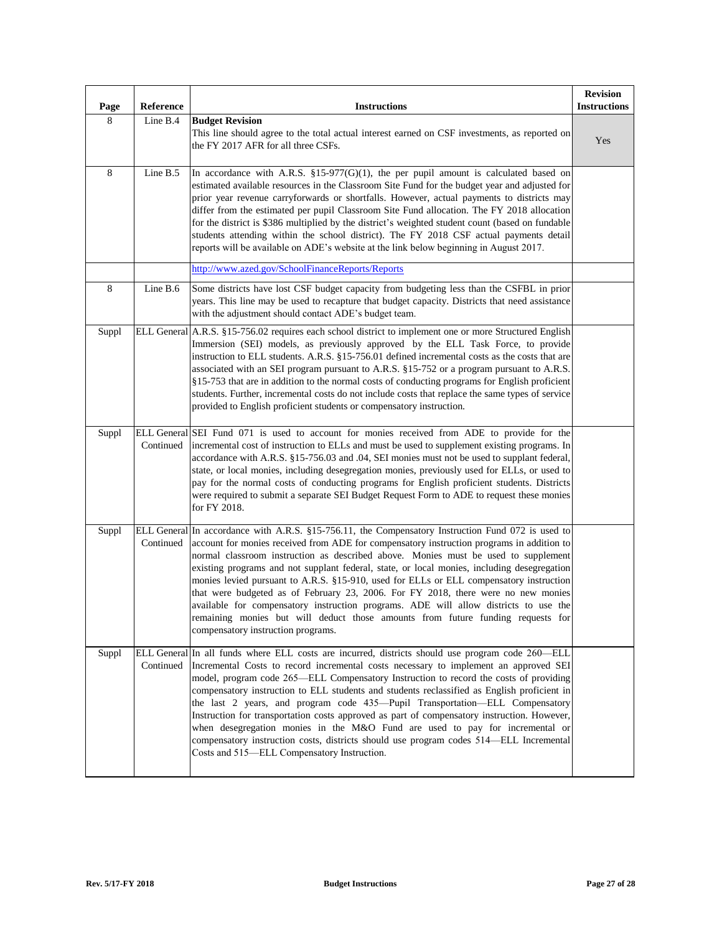| Page    | Reference          | <b>Instructions</b>                                                                                                                                                                                                                                                                                                                                                                                                                                                                                                                                                                                                                                                                                                                                                                      | <b>Revision</b><br><b>Instructions</b> |
|---------|--------------------|------------------------------------------------------------------------------------------------------------------------------------------------------------------------------------------------------------------------------------------------------------------------------------------------------------------------------------------------------------------------------------------------------------------------------------------------------------------------------------------------------------------------------------------------------------------------------------------------------------------------------------------------------------------------------------------------------------------------------------------------------------------------------------------|----------------------------------------|
| 8       | Line B.4           | <b>Budget Revision</b><br>This line should agree to the total actual interest earned on CSF investments, as reported on<br>the FY 2017 AFR for all three CSFs.                                                                                                                                                                                                                                                                                                                                                                                                                                                                                                                                                                                                                           | Yes                                    |
| $\,8\,$ | Line B.5           | In accordance with A.R.S. §15-977(G)(1), the per pupil amount is calculated based on<br>estimated available resources in the Classroom Site Fund for the budget year and adjusted for<br>prior year revenue carryforwards or shortfalls. However, actual payments to districts may<br>differ from the estimated per pupil Classroom Site Fund allocation. The FY 2018 allocation<br>for the district is \$386 multiplied by the district's weighted student count (based on fundable<br>students attending within the school district). The FY 2018 CSF actual payments detail<br>reports will be available on ADE's website at the link below beginning in August 2017.                                                                                                                 |                                        |
|         |                    | http://www.azed.gov/SchoolFinanceReports/Reports                                                                                                                                                                                                                                                                                                                                                                                                                                                                                                                                                                                                                                                                                                                                         |                                        |
| $\,8\,$ | Line B.6           | Some districts have lost CSF budget capacity from budgeting less than the CSFBL in prior<br>years. This line may be used to recapture that budget capacity. Districts that need assistance<br>with the adjustment should contact ADE's budget team.                                                                                                                                                                                                                                                                                                                                                                                                                                                                                                                                      |                                        |
| Suppl   | <b>ELL General</b> | A.R.S. §15-756.02 requires each school district to implement one or more Structured English<br>Immersion (SEI) models, as previously approved by the ELL Task Force, to provide<br>instruction to ELL students. A.R.S. §15-756.01 defined incremental costs as the costs that are<br>associated with an SEI program pursuant to A.R.S. §15-752 or a program pursuant to A.R.S.<br>§15-753 that are in addition to the normal costs of conducting programs for English proficient<br>students. Further, incremental costs do not include costs that replace the same types of service<br>provided to English proficient students or compensatory instruction.                                                                                                                             |                                        |
| Suppl   | Continued          | ELL General SEI Fund 071 is used to account for monies received from ADE to provide for the<br>incremental cost of instruction to ELLs and must be used to supplement existing programs. In<br>accordance with A.R.S. §15-756.03 and .04, SEI monies must not be used to supplant federal,<br>state, or local monies, including desegregation monies, previously used for ELLs, or used to<br>pay for the normal costs of conducting programs for English proficient students. Districts<br>were required to submit a separate SEI Budget Request Form to ADE to request these monies<br>for FY 2018.                                                                                                                                                                                    |                                        |
| Suppl   | Continued          | ELL General In accordance with A.R.S. §15-756.11, the Compensatory Instruction Fund 072 is used to<br>account for monies received from ADE for compensatory instruction programs in addition to<br>normal classroom instruction as described above. Monies must be used to supplement<br>existing programs and not supplant federal, state, or local monies, including desegregation<br>monies levied pursuant to A.R.S. §15-910, used for ELLs or ELL compensatory instruction<br>that were budgeted as of February 23, 2006. For FY 2018, there were no new monies<br>available for compensatory instruction programs. ADE will allow districts to use the<br>remaining monies but will deduct those amounts from future funding requests for<br>compensatory instruction programs.    |                                        |
| Suppl   | Continued          | ELL General In all funds where ELL costs are incurred, districts should use program code 260-ELL<br>Incremental Costs to record incremental costs necessary to implement an approved SEI<br>model, program code 265—ELL Compensatory Instruction to record the costs of providing<br>compensatory instruction to ELL students and students reclassified as English proficient in<br>the last 2 years, and program code 435-Pupil Transportation-ELL Compensatory<br>Instruction for transportation costs approved as part of compensatory instruction. However,<br>when desegregation monies in the M&O Fund are used to pay for incremental or<br>compensatory instruction costs, districts should use program codes 514—ELL Incremental<br>Costs and 515—ELL Compensatory Instruction. |                                        |